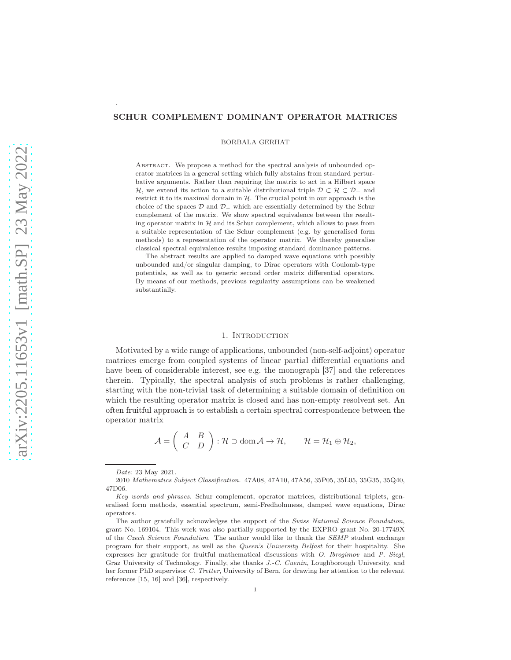## SCHUR COMPLEMENT DOMINANT OPERATOR MATRICES

BORBALA GERHAT

ABSTRACT. We propose a method for the spectral analysis of unbounded operator matrices in a general setting which fully abstains from standard perturbative arguments. Rather than requiring the matrix to act in a Hilbert space H, we extend its action to a suitable distributional triple  $\mathcal{D} \subset \mathcal{H} \subset \mathcal{D}_-$  and restrict it to its maximal domain in  $H$ . The crucial point in our approach is the choice of the spaces  $D$  and  $D_$  which are essentially determined by the Schur complement of the matrix. We show spectral equivalence between the resulting operator matrix in  $H$  and its Schur complement, which allows to pass from a suitable representation of the Schur complement (e.g. by generalised form methods) to a representation of the operator matrix. We thereby generalise classical spectral equivalence results imposing standard dominance patterns.

The abstract results are applied to damped wave equations with possibly unbounded and/or singular damping, to Dirac operators with Coulomb-type potentials, as well as to generic second order matrix differential operators. By means of our methods, previous regularity assumptions can be weakened substantially.

## 1. INTRODUCTION

Motivated by a wide range of applications, unbounded (non-self-adjoint) operator matrices emerge from coupled systems of linear partial differential equations and have been of considerable interest, see e.g. the monograph [37] and the references therein. Typically, the spectral analysis of such problems is rather challenging, starting with the non-trivial task of determining a suitable domain of definition on which the resulting operator matrix is closed and has non-empty resolvent set. An often fruitful approach is to establish a certain spectral correspondence between the operator matrix

$$
\mathcal{A} = \begin{pmatrix} A & B \\ C & D \end{pmatrix} : \mathcal{H} \supset \text{dom}\,\mathcal{A} \to \mathcal{H}, \qquad \mathcal{H} = \mathcal{H}_1 \oplus \mathcal{H}_2,
$$

.

Date: 23 May 2021.

<sup>2010</sup> Mathematics Subject Classification. 47A08, 47A10, 47A56, 35P05, 35L05, 35G35, 35Q40, 47D06.

Key words and phrases. Schur complement, operator matrices, distributional triplets, generalised form methods, essential spectrum, semi-Fredholmness, damped wave equations, Dirac operators.

The author gratefully acknowledges the support of the Swiss National Science Foundation, grant No. 169104. This work was also partially supported by the EXPRO grant No. 20-17749X of the Czech Science Foundation. The author would like to thank the SEMP student exchange program for their support, as well as the Queen's University Belfast for their hospitality. She expresses her gratitude for fruitful mathematical discussions with O. Ibrogimov and P. Siegl, Graz University of Technology. Finally, she thanks J.-C. Cuenin, Loughborough University, and her former PhD supervisor C. Tretter, University of Bern, for drawing her attention to the relevant references [15, 16] and [36], respectively.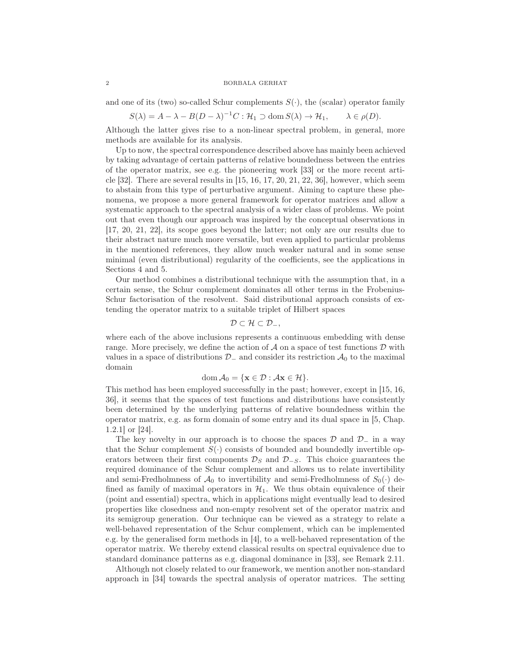and one of its (two) so-called Schur complements  $S(\cdot)$ , the (scalar) operator family

$$
S(\lambda) = A - \lambda - B(D - \lambda)^{-1}C : \mathcal{H}_1 \supset \text{dom } S(\lambda) \to \mathcal{H}_1, \qquad \lambda \in \rho(D).
$$

Although the latter gives rise to a non-linear spectral problem, in general, more methods are available for its analysis.

Up to now, the spectral correspondence described above has mainly been achieved by taking advantage of certain patterns of relative boundedness between the entries of the operator matrix, see e.g. the pioneering work [33] or the more recent article  $[32]$ . There are several results in  $[15, 16, 17, 20, 21, 22, 36]$ , however, which seem to abstain from this type of perturbative argument. Aiming to capture these phenomena, we propose a more general framework for operator matrices and allow a systematic approach to the spectral analysis of a wider class of problems. We point out that even though our approach was inspired by the conceptual observations in [17, 20, 21, 22], its scope goes beyond the latter; not only are our results due to their abstract nature much more versatile, but even applied to particular problems in the mentioned references, they allow much weaker natural and in some sense minimal (even distributional) regularity of the coefficients, see the applications in Sections 4 and 5.

Our method combines a distributional technique with the assumption that, in a certain sense, the Schur complement dominates all other terms in the Frobenius-Schur factorisation of the resolvent. Said distributional approach consists of extending the operator matrix to a suitable triplet of Hilbert spaces

$$
\mathcal{D}\subset\mathcal{H}\subset\mathcal{D}_{-},
$$

where each of the above inclusions represents a continuous embedding with dense range. More precisely, we define the action of  $A$  on a space of test functions  $D$  with values in a space of distributions  $\mathcal{D}_-$  and consider its restriction  $\mathcal{A}_0$  to the maximal domain

$$
\operatorname{dom} \mathcal{A}_0 = \{\mathbf{x} \in \mathcal{D} : \mathcal{A}\mathbf{x} \in \mathcal{H}\}.
$$

This method has been employed successfully in the past; however, except in [15, 16, 36], it seems that the spaces of test functions and distributions have consistently been determined by the underlying patterns of relative boundedness within the operator matrix, e.g. as form domain of some entry and its dual space in [5, Chap. 1.2.1] or [24].

The key novelty in our approach is to choose the spaces  $\mathcal D$  and  $\mathcal D_-\,$  in a way that the Schur complement  $S(\cdot)$  consists of bounded and boundedly invertible operators between their first components  $\mathcal{D}_S$  and  $\mathcal{D}_{-S}$ . This choice guarantees the required dominance of the Schur complement and allows us to relate invertibility and semi-Fredholmness of  $\mathcal{A}_0$  to invertibility and semi-Fredholmness of  $S_0(\cdot)$  defined as family of maximal operators in  $H_1$ . We thus obtain equivalence of their (point and essential) spectra, which in applications might eventually lead to desired properties like closedness and non-empty resolvent set of the operator matrix and its semigroup generation. Our technique can be viewed as a strategy to relate a well-behaved representation of the Schur complement, which can be implemented e.g. by the generalised form methods in [4], to a well-behaved representation of the operator matrix. We thereby extend classical results on spectral equivalence due to standard dominance patterns as e.g. diagonal dominance in [33], see Remark 2.11.

Although not closely related to our framework, we mention another non-standard approach in [34] towards the spectral analysis of operator matrices. The setting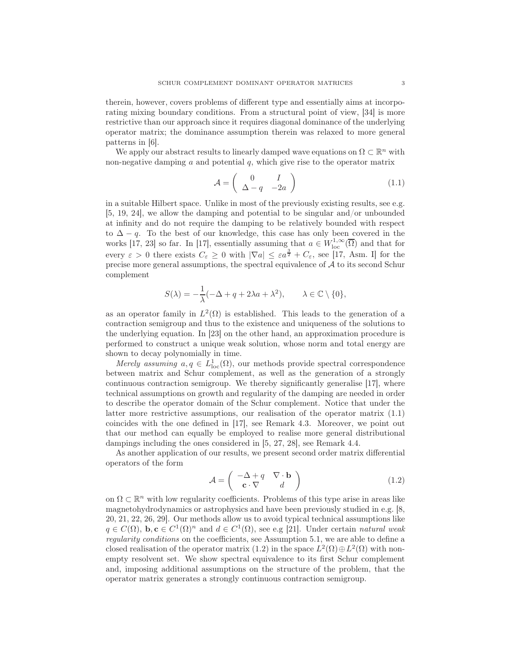therein, however, covers problems of different type and essentially aims at incorporating mixing boundary conditions. From a structural point of view, [34] is more restrictive than our approach since it requires diagonal dominance of the underlying operator matrix; the dominance assumption therein was relaxed to more general patterns in [6].

We apply our abstract results to linearly damped wave equations on  $\Omega \subset \mathbb{R}^n$  with non-negative damping  $a$  and potential  $q$ , which give rise to the operator matrix

$$
\mathcal{A} = \left( \begin{array}{cc} 0 & I \\ \Delta - q & -2a \end{array} \right) \tag{1.1}
$$

in a suitable Hilbert space. Unlike in most of the previously existing results, see e.g. [5, 19, 24], we allow the damping and potential to be singular and/or unbounded at infinity and do not require the damping to be relatively bounded with respect to  $\Delta - q$ . To the best of our knowledge, this case has only been covered in the works [17, 23] so far. In [17], essentially assuming that  $a \in W^{1,\infty}_{loc}(\overline{\Omega})$  and that for every  $\varepsilon > 0$  there exists  $C_{\varepsilon} \geq 0$  with  $|\nabla a| \leq \varepsilon a^{\frac{3}{2}} + C_{\varepsilon}$ , see [17, Asm. I] for the precise more general assumptions, the spectral equivalence of  $A$  to its second Schur complement

$$
S(\lambda) = -\frac{1}{\lambda}(-\Delta + q + 2\lambda a + \lambda^{2}), \qquad \lambda \in \mathbb{C} \setminus \{0\},\
$$

as an operator family in  $L^2(\Omega)$  is established. This leads to the generation of a contraction semigroup and thus to the existence and uniqueness of the solutions to the underlying equation. In [23] on the other hand, an approximation procedure is performed to construct a unique weak solution, whose norm and total energy are shown to decay polynomially in time.

Merely assuming  $a, q \in L^1_{loc}(\Omega)$ , our methods provide spectral correspondence between matrix and Schur complement, as well as the generation of a strongly continuous contraction semigroup. We thereby significantly generalise [17], where technical assumptions on growth and regularity of the damping are needed in order to describe the operator domain of the Schur complement. Notice that under the latter more restrictive assumptions, our realisation of the operator matrix (1.1) coincides with the one defined in [17], see Remark 4.3. Moreover, we point out that our method can equally be employed to realise more general distributional dampings including the ones considered in [5, 27, 28], see Remark 4.4.

As another application of our results, we present second order matrix differential operators of the form

$$
\mathcal{A} = \begin{pmatrix} -\Delta + q & \nabla \cdot \mathbf{b} \\ \mathbf{c} \cdot \nabla & d \end{pmatrix}
$$
 (1.2)

on  $\Omega \subset \mathbb{R}^n$  with low regularity coefficients. Problems of this type arise in areas like magnetohydrodynamics or astrophysics and have been previously studied in e.g. [8, 20, 21, 22, 26, 29]. Our methods allow us to avoid typical technical assumptions like  $q \in C(\Omega)$ , **b**, **c**  $\in C^1(\Omega)^n$  and  $d \in C^1(\Omega)$ , see e.g [21]. Under certain *natural weak* regularity conditions on the coefficients, see Assumption 5.1, we are able to define a closed realisation of the operator matrix (1.2) in the space  $L^2(\Omega) \oplus L^2(\Omega)$  with nonempty resolvent set. We show spectral equivalence to its first Schur complement and, imposing additional assumptions on the structure of the problem, that the operator matrix generates a strongly continuous contraction semigroup.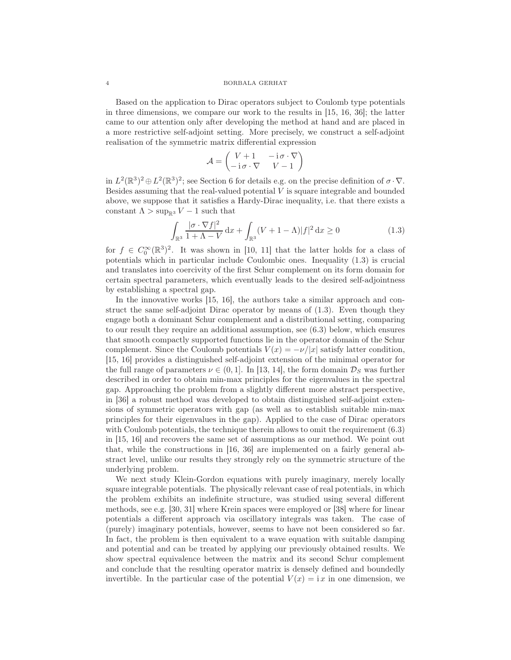Based on the application to Dirac operators subject to Coulomb type potentials in three dimensions, we compare our work to the results in [15, 16, 36]; the latter came to our attention only after developing the method at hand and are placed in a more restrictive self-adjoint setting. More precisely, we construct a self-adjoint realisation of the symmetric matrix differential expression

$$
\mathcal{A} = \begin{pmatrix} V+1 & -\operatorname{i}\sigma\cdot\nabla \\ -\operatorname{i}\sigma\cdot\nabla & V-1 \end{pmatrix}
$$

in  $L^2(\mathbb{R}^3)^2 \oplus L^2(\mathbb{R}^3)^2$ ; see Section 6 for details e.g. on the precise definition of  $\sigma \cdot \nabla$ . Besides assuming that the real-valued potential  $V$  is square integrable and bounded above, we suppose that it satisfies a Hardy-Dirac inequality, i.e. that there exists a constant  $\Lambda > \sup_{\mathbb{R}^3} V - 1$  such that

$$
\int_{\mathbb{R}^3} \frac{|\sigma \cdot \nabla f|^2}{1 + \Lambda - V} \, \mathrm{d}x + \int_{\mathbb{R}^3} (V + 1 - \Lambda) |f|^2 \, \mathrm{d}x \ge 0 \tag{1.3}
$$

for  $f \in C_0^{\infty}(\mathbb{R}^3)^2$ . It was shown in [10, 11] that the latter holds for a class of potentials which in particular include Coulombic ones. Inequality (1.3) is crucial and translates into coercivity of the first Schur complement on its form domain for certain spectral parameters, which eventually leads to the desired self-adjointness by establishing a spectral gap.

In the innovative works [15, 16], the authors take a similar approach and construct the same self-adjoint Dirac operator by means of (1.3). Even though they engage both a dominant Schur complement and a distributional setting, comparing to our result they require an additional assumption, see (6.3) below, which ensures that smooth compactly supported functions lie in the operator domain of the Schur complement. Since the Coulomb potentials  $V(x) = -\nu/|x|$  satisfy latter condition, [15, 16] provides a distinguished self-adjoint extension of the minimal operator for the full range of parameters  $\nu \in (0, 1]$ . In [13, 14], the form domain  $\mathcal{D}_S$  was further described in order to obtain min-max principles for the eigenvalues in the spectral gap. Approaching the problem from a slightly different more abstract perspective, in [36] a robust method was developed to obtain distinguished self-adjoint extensions of symmetric operators with gap (as well as to establish suitable min-max principles for their eigenvalues in the gap). Applied to the case of Dirac operators with Coulomb potentials, the technique therein allows to omit the requirement (6.3) in [15, 16] and recovers the same set of assumptions as our method. We point out that, while the constructions in [16, 36] are implemented on a fairly general abstract level, unlike our results they strongly rely on the symmetric structure of the underlying problem.

We next study Klein-Gordon equations with purely imaginary, merely locally square integrable potentials. The physically relevant case of real potentials, in which the problem exhibits an indefinite structure, was studied using several different methods, see e.g. [30, 31] where Krein spaces were employed or [38] where for linear potentials a different approach via oscillatory integrals was taken. The case of (purely) imaginary potentials, however, seems to have not been considered so far. In fact, the problem is then equivalent to a wave equation with suitable damping and potential and can be treated by applying our previously obtained results. We show spectral equivalence between the matrix and its second Schur complement and conclude that the resulting operator matrix is densely defined and boundedly invertible. In the particular case of the potential  $V(x) = i x$  in one dimension, we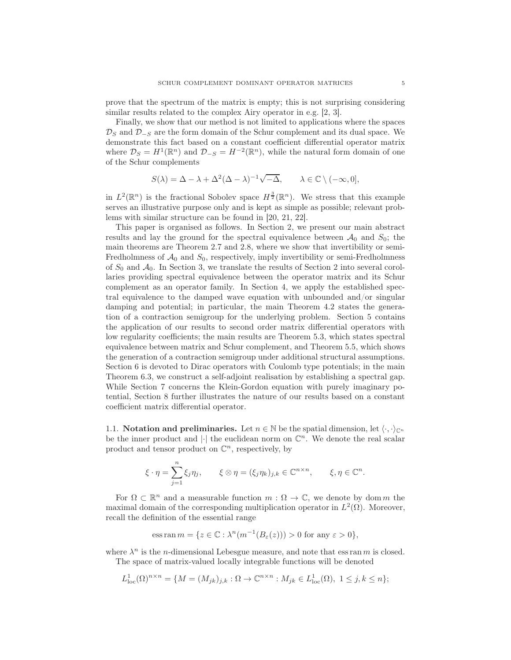prove that the spectrum of the matrix is empty; this is not surprising considering similar results related to the complex Airy operator in e.g. [2, 3].

Finally, we show that our method is not limited to applications where the spaces  $\mathcal{D}_S$  and  $\mathcal{D}_{-S}$  are the form domain of the Schur complement and its dual space. We demonstrate this fact based on a constant coefficient differential operator matrix where  $\mathcal{D}_S = H^1(\mathbb{R}^n)$  and  $\mathcal{D}_{-S} = H^{-2}(\mathbb{R}^n)$ , while the natural form domain of one of the Schur complements

$$
S(\lambda) = \Delta - \lambda + \Delta^2 (\Delta - \lambda)^{-1} \sqrt{-\Delta}, \qquad \lambda \in \mathbb{C} \setminus (-\infty, 0],
$$

in  $L^2(\mathbb{R}^n)$  is the fractional Sobolev space  $H^{\frac{3}{2}}(\mathbb{R}^n)$ . We stress that this example serves an illustrative purpose only and is kept as simple as possible; relevant problems with similar structure can be found in [20, 21, 22].

This paper is organised as follows. In Section 2, we present our main abstract results and lay the ground for the spectral equivalence between  $A_0$  and  $S_0$ ; the main theorems are Theorem 2.7 and 2.8, where we show that invertibility or semi-Fredholmness of  $\mathcal{A}_0$  and  $S_0$ , respectively, imply invertibility or semi-Fredholmness of  $S_0$  and  $A_0$ . In Section 3, we translate the results of Section 2 into several corollaries providing spectral equivalence between the operator matrix and its Schur complement as an operator family. In Section 4, we apply the established spectral equivalence to the damped wave equation with unbounded and/or singular damping and potential; in particular, the main Theorem 4.2 states the generation of a contraction semigroup for the underlying problem. Section 5 contains the application of our results to second order matrix differential operators with low regularity coefficients; the main results are Theorem 5.3, which states spectral equivalence between matrix and Schur complement, and Theorem 5.5, which shows the generation of a contraction semigroup under additional structural assumptions. Section 6 is devoted to Dirac operators with Coulomb type potentials; in the main Theorem 6.3, we construct a self-adjoint realisation by establishing a spectral gap. While Section 7 concerns the Klein-Gordon equation with purely imaginary potential, Section 8 further illustrates the nature of our results based on a constant coefficient matrix differential operator.

1.1. Notation and preliminaries. Let  $n \in \mathbb{N}$  be the spatial dimension, let  $\langle \cdot, \cdot \rangle_{\mathbb{C}^n}$ be the inner product and  $|\cdot|$  the euclidean norm on  $\mathbb{C}^n$ . We denote the real scalar product and tensor product on  $\mathbb{C}^n$ , respectively, by

$$
\xi \cdot \eta = \sum_{j=1}^{n} \xi_j \eta_j, \qquad \xi \otimes \eta = (\xi_j \eta_k)_{j,k} \in \mathbb{C}^{n \times n}, \qquad \xi, \eta \in \mathbb{C}^n.
$$

For  $\Omega \subset \mathbb{R}^n$  and a measurable function  $m : \Omega \to \mathbb{C}$ , we denote by dom m the maximal domain of the corresponding multiplication operator in  $L^2(\Omega)$ . Moreover, recall the definition of the essential range

$$
\operatorname{ess} \operatorname{ran} m = \{ z \in \mathbb{C} : \lambda^n (m^{-1}(B_{\varepsilon}(z))) > 0 \text{ for any } \varepsilon > 0 \},
$$

where  $\lambda^n$  is the *n*-dimensional Lebesgue measure, and note that ess ran *m* is closed. The space of matrix-valued locally integrable functions will be denoted

$$
L^1_{\text{loc}}(\Omega)^{n \times n} = \{ M = (M_{jk})_{j,k} : \Omega \to \mathbb{C}^{n \times n} : M_{jk} \in L^1_{\text{loc}}(\Omega), 1 \le j,k \le n \};
$$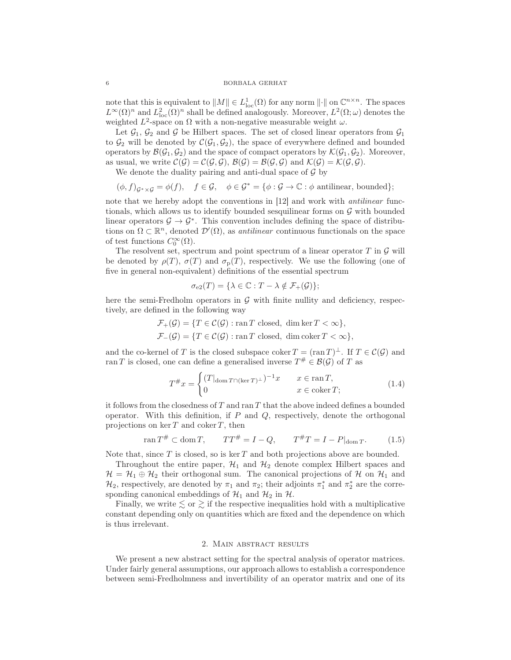note that this is equivalent to  $||M|| \in L^1_{loc}(\Omega)$  for any norm  $||\cdot||$  on  $\mathbb{C}^{n \times n}$ . The spaces  $L^{\infty}(\Omega)^n$  and  $L^2_{loc}(\Omega)^n$  shall be defined analogously. Moreover,  $L^2(\Omega;\omega)$  denotes the weighted  $L^2$ -space on  $\Omega$  with a non-negative measurable weight  $\omega$ .

Let  $\mathcal{G}_1$ ,  $\mathcal{G}_2$  and  $\mathcal{G}$  be Hilbert spaces. The set of closed linear operators from  $\mathcal{G}_1$ to  $\mathcal{G}_2$  will be denoted by  $\mathcal{C}(\mathcal{G}_1, \mathcal{G}_2)$ , the space of everywhere defined and bounded operators by  $\mathcal{B}(\mathcal{G}_1, \mathcal{G}_2)$  and the space of compact operators by  $\mathcal{K}(\mathcal{G}_1, \mathcal{G}_2)$ . Moreover, as usual, we write  $\mathcal{C}(\mathcal{G}) = \mathcal{C}(\mathcal{G}, \mathcal{G}), \mathcal{B}(\mathcal{G}) = \mathcal{B}(\mathcal{G}, \mathcal{G})$  and  $\mathcal{K}(\mathcal{G}) = \mathcal{K}(\mathcal{G}, \mathcal{G}).$ 

We denote the duality pairing and anti-dual space of  $\mathcal G$  by

$$
(\phi, f)_{\mathcal{G}^*\times\mathcal{G}} = \phi(f), \quad f \in \mathcal{G}, \quad \phi \in \mathcal{G}^* = \{\phi: \mathcal{G} \to \mathbb{C} : \phi \text{ antilinear, bounded}\};
$$

note that we hereby adopt the conventions in [12] and work with antilinear functionals, which allows us to identify bounded sesquilinear forms on  $G$  with bounded linear operators  $\mathcal{G} \to \mathcal{G}^*$ . This convention includes defining the space of distributions on  $\Omega \subset \mathbb{R}^n$ , denoted  $\mathcal{D}'(\Omega)$ , as *antilinear* continuous functionals on the space of test functions  $C_0^{\infty}(\Omega)$ .

The resolvent set, spectrum and point spectrum of a linear operator  $T$  in  $\mathcal G$  will be denoted by  $\rho(T)$ ,  $\sigma(T)$  and  $\sigma_{\rm p}(T)$ , respectively. We use the following (one of five in general non-equivalent) definitions of the essential spectrum

$$
\sigma_{e2}(T) = \{\lambda \in \mathbb{C} : T - \lambda \notin \mathcal{F}_+(\mathcal{G})\};
$$

here the semi-Fredholm operators in  $G$  with finite nullity and deficiency, respectively, are defined in the following way

$$
\mathcal{F}_{+}(\mathcal{G}) = \{ T \in \mathcal{C}(\mathcal{G}) : \text{ran } T \text{ closed, dim } \ker T < \infty \},\
$$
  

$$
\mathcal{F}_{-}(\mathcal{G}) = \{ T \in \mathcal{C}(\mathcal{G}) : \text{ran } T \text{ closed, dim } \text{coker } T < \infty \},\
$$

and the co-kernel of T is the closed subspace coker  $T = (\text{ran } T)^\perp$ . If  $T \in \mathcal{C}(\mathcal{G})$  and ran T is closed, one can define a generalised inverse  $T^{\#} \in \mathcal{B}(\mathcal{G})$  of T as

$$
T^{\#}x = \begin{cases} (T|_{\text{dom }T \cap (\ker T)^{\perp}})^{-1}x & x \in \operatorname{ran} T, \\ 0 & x \in \operatorname{coker} T; \end{cases}
$$
 (1.4)

it follows from the closedness of  $T$  and ran  $T$  that the above indeed defines a bounded operator. With this definition, if  $P$  and  $Q$ , respectively, denote the orthogonal projections on ker  $T$  and coker  $T$ , then

$$
\tan T^{\#} \subset \text{dom } T, \qquad TT^{\#} = I - Q, \qquad T^{\#}T = I - P|_{\text{dom } T}.
$$
 (1.5)

Note that, since  $T$  is closed, so is ker  $T$  and both projections above are bounded.

Throughout the entire paper,  $\mathcal{H}_1$  and  $\mathcal{H}_2$  denote complex Hilbert spaces and  $\mathcal{H} = \mathcal{H}_1 \oplus \mathcal{H}_2$  their orthogonal sum. The canonical projections of  $\mathcal{H}$  on  $\mathcal{H}_1$  and  $\mathcal{H}_2$ , respectively, are denoted by  $\pi_1$  and  $\pi_2$ ; their adjoints  $\pi_1^*$  and  $\pi_2^*$  are the corresponding canonical embeddings of  $\mathcal{H}_1$  and  $\mathcal{H}_2$  in  $\mathcal{H}$ .

Finally, we write  $\leq$  or  $\geq$  if the respective inequalities hold with a multiplicative constant depending only on quantities which are fixed and the dependence on which is thus irrelevant.

# 2. Main abstract results

We present a new abstract setting for the spectral analysis of operator matrices. Under fairly general assumptions, our approach allows to establish a correspondence between semi-Fredholmness and invertibility of an operator matrix and one of its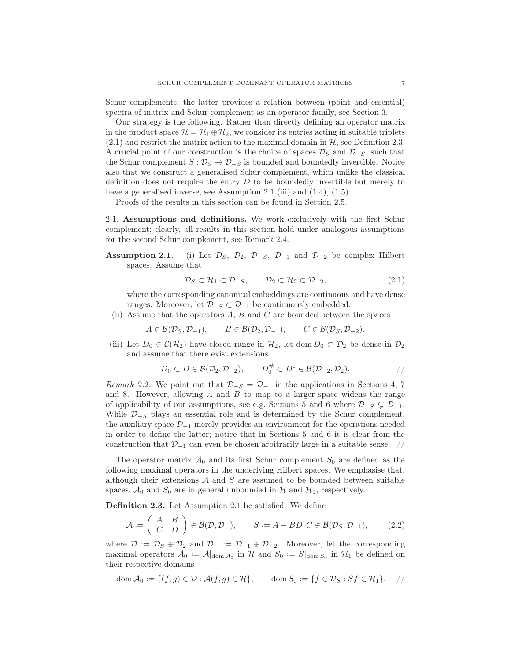Schur complements; the latter provides a relation between (point and essential) spectra of matrix and Schur complement as an operator family, see Section 3.

Our strategy is the following. Rather than directly defining an operator matrix in the product space  $\mathcal{H} = \mathcal{H}_1 \oplus \mathcal{H}_2$ , we consider its entries acting in suitable triplets  $(2.1)$  and restrict the matrix action to the maximal domain in  $H$ , see Definition 2.3. A crucial point of our construction is the choice of spaces  $\mathcal{D}_S$  and  $\mathcal{D}_{-S}$ , such that the Schur complement  $S: \mathcal{D}_S \to \mathcal{D}_{-S}$  is bounded and boundedly invertible. Notice also that we construct a generalised Schur complement, which unlike the classical definition does not require the entry  $D$  to be boundedly invertible but merely to have a generalised inverse, see Assumption 2.1 (iii) and (1.4), (1.5).

Proofs of the results in this section can be found in Section 2.5.

2.1. Assumptions and definitions. We work exclusively with the first Schur complement; clearly, all results in this section hold under analogous assumptions for the second Schur complement, see Remark 2.4.

**Assumption 2.1.** (i) Let  $\mathcal{D}_S$ ,  $\mathcal{D}_2$ ,  $\mathcal{D}_{-S}$ ,  $\mathcal{D}_{-1}$  and  $\mathcal{D}_{-2}$  be complex Hilbert spaces. Assume that

$$
\mathcal{D}_S \subset \mathcal{H}_1 \subset \mathcal{D}_{-S}, \qquad \mathcal{D}_2 \subset \mathcal{H}_2 \subset \mathcal{D}_{-2}, \tag{2.1}
$$

where the corresponding canonical embeddings are continuous and have dense ranges. Moreover, let  $\mathcal{D}_{-S} \subset \mathcal{D}_{-1}$  be continuously embedded.

(ii) Assume that the operators  $A, B$  and  $C$  are bounded between the spaces

$$
A \in \mathcal{B}(\mathcal{D}_S, \mathcal{D}_{-1}), \qquad B \in \mathcal{B}(\mathcal{D}_2, \mathcal{D}_{-1}), \qquad C \in \mathcal{B}(\mathcal{D}_S, \mathcal{D}_{-2}).
$$

(iii) Let  $D_0 \in \mathcal{C}(\mathcal{H}_2)$  have closed range in  $\mathcal{H}_2$ , let dom  $D_0 \subset \mathcal{D}_2$  be dense in  $\mathcal{D}_2$ and assume that there exist extensions

$$
D_0 \subset D \in \mathcal{B}(\mathcal{D}_2, \mathcal{D}_{-2}), \qquad D_0^{\#} \subset D^{\ddagger} \in \mathcal{B}(\mathcal{D}_{-2}, \mathcal{D}_2).
$$

Remark 2.2. We point out that  $\mathcal{D}_{-S} = \mathcal{D}_{-1}$  in the applications in Sections 4, 7 and 8. However, allowing  $A$  and  $B$  to map to a larger space widens the range of applicability of our assumptions, see e.g. Sections 5 and 6 where  $\mathcal{D}_{-S} \subsetneq \mathcal{D}_{-1}$ . While  $\mathcal{D}_{-S}$  plays an essential role and is determined by the Schur complement, the auxiliary space  $\mathcal{D}_{-1}$  merely provides an environment for the operations needed in order to define the latter; notice that in Sections 5 and 6 it is clear from the construction that  $\mathcal{D}_{-1}$  can even be chosen arbitrarily large in a suitable sense. //

The operator matrix  $\mathcal{A}_0$  and its first Schur complement  $S_0$  are defined as the following maximal operators in the underlying Hilbert spaces. We emphasise that, although their extensions  $A$  and  $S$  are assumed to be bounded between suitable spaces,  $\mathcal{A}_0$  and  $S_0$  are in general unbounded in H and  $\mathcal{H}_1$ , respectively.

Definition 2.3. Let Assumption 2.1 be satisfied. We define

$$
\mathcal{A} := \left( \begin{array}{cc} A & B \\ C & D \end{array} \right) \in \mathcal{B}(\mathcal{D}, \mathcal{D}_-), \qquad S := A - BD^{\ddagger}C \in \mathcal{B}(\mathcal{D}_S, \mathcal{D}_{-1}), \tag{2.2}
$$

where  $\mathcal{D} := \mathcal{D}_S \oplus \mathcal{D}_2$  and  $\mathcal{D}_- := \mathcal{D}_{-1} \oplus \mathcal{D}_{-2}$ . Moreover, let the corresponding maximal operators  $\mathcal{A}_0 := \mathcal{A}|_{\text{dom }\mathcal{A}_0}$  in  $\mathcal{H}$  and  $S_0 := S|_{\text{dom }S_0}$  in  $\mathcal{H}_1$  be defined on their respective domains

$$
\operatorname{dom} \mathcal{A}_0 := \{ (f, g) \in \mathcal{D} : \mathcal{A}(f, g) \in \mathcal{H} \}, \qquad \operatorname{dom} S_0 := \{ f \in \mathcal{D}_S : Sf \in \mathcal{H}_1 \}.
$$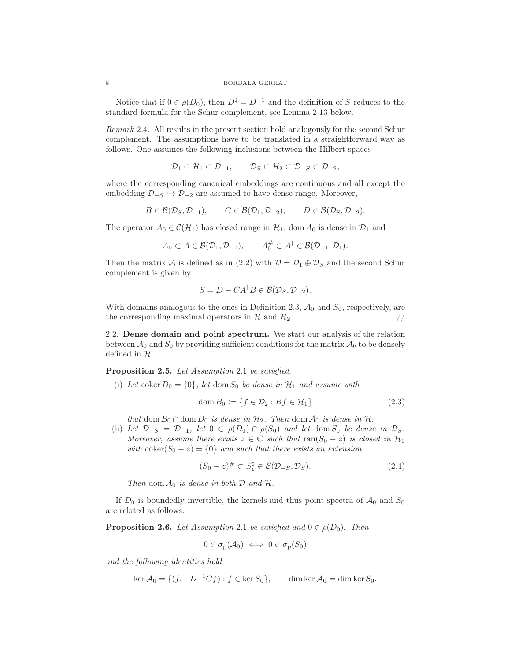Notice that if  $0 \in \rho(D_0)$ , then  $D^{\ddagger} = D^{-1}$  and the definition of S reduces to the standard formula for the Schur complement, see Lemma 2.13 below.

Remark 2.4. All results in the present section hold analogously for the second Schur complement. The assumptions have to be translated in a straightforward way as follows. One assumes the following inclusions between the Hilbert spaces

$$
\mathcal{D}_1 \subset \mathcal{H}_1 \subset \mathcal{D}_{-1}, \qquad \mathcal{D}_S \subset \mathcal{H}_2 \subset \mathcal{D}_{-S} \subset \mathcal{D}_{-2},
$$

where the corresponding canonical embeddings are continuous and all except the embedding  $\mathcal{D}_{-S} \hookrightarrow \mathcal{D}_{-2}$  are assumed to have dense range. Moreover,

$$
B\in \mathcal{B}(\mathcal{D}_S, \mathcal{D}_{-1}), \qquad C\in \mathcal{B}(\mathcal{D}_1, \mathcal{D}_{-2}), \qquad D\in \mathcal{B}(\mathcal{D}_S, \mathcal{D}_{-2}).
$$

The operator  $A_0 \in \mathcal{C}(\mathcal{H}_1)$  has closed range in  $\mathcal{H}_1$ , dom  $A_0$  is dense in  $\mathcal{D}_1$  and

$$
A_0 \subset A \in \mathcal{B}(\mathcal{D}_1, \mathcal{D}_{-1}), \qquad A_0^{\#} \subset A^{\ddagger} \in \mathcal{B}(\mathcal{D}_{-1}, \mathcal{D}_1).
$$

Then the matrix A is defined as in (2.2) with  $\mathcal{D} = \mathcal{D}_1 \oplus \mathcal{D}_S$  and the second Schur complement is given by

$$
S = D - CA^{\dagger}B \in \mathcal{B}(\mathcal{D}_S, \mathcal{D}_{-2}).
$$

With domains analogous to the ones in Definition 2.3,  $\mathcal{A}_0$  and  $S_0$ , respectively, are the corresponding maximal operators in  $\mathcal{H}$  and  $\mathcal{H}_2$ . the corresponding maximal operators in  $H$  and  $H_2$ .

2.2. Dense domain and point spectrum. We start our analysis of the relation between  $\mathcal{A}_0$  and  $S_0$  by providing sufficient conditions for the matrix  $\mathcal{A}_0$  to be densely defined in H.

Proposition 2.5. Let Assumption 2.1 be satisfied.

(i) Let coker  $D_0 = \{0\}$ , let dom  $S_0$  be dense in  $\mathcal{H}_1$  and assume with

$$
\text{dom}\, B_0 := \{ f \in \mathcal{D}_2 : Bf \in \mathcal{H}_1 \} \tag{2.3}
$$

that dom  $B_0 \cap$  dom  $D_0$  is dense in  $\mathcal{H}_2$ . Then dom  $\mathcal{A}_0$  is dense in  $\mathcal{H}$ .

(ii) Let  $\mathcal{D}_{-S} = \mathcal{D}_{-1}$ , let  $0 \in \rho(D_0) \cap \rho(S_0)$  and let dom  $S_0$  be dense in  $\mathcal{D}_S$ . Moreover, assume there exists  $z \in \mathbb{C}$  such that  $ran(S_0 - z)$  is closed in  $\mathcal{H}_1$ with  $\text{coker}(S_0 - z) = \{0\}$  and such that there exists an extension

$$
(S_0 - z)^{\#} \subset S_z^{\dagger} \in \mathcal{B}(\mathcal{D}_{-S}, \mathcal{D}_S). \tag{2.4}
$$

Then dom  $\mathcal{A}_0$  is dense in both  $\mathcal D$  and  $\mathcal H$ .

If  $D_0$  is boundedly invertible, the kernels and thus point spectra of  $\mathcal{A}_0$  and  $S_0$ are related as follows.

**Proposition 2.6.** Let Assumption 2.1 be satisfied and  $0 \in \rho(D_0)$ . Then

$$
0 \in \sigma_{\mathbf{p}}(\mathcal{A}_0) \iff 0 \in \sigma_{\mathbf{p}}(S_0)
$$

and the following identities hold

$$
\ker \mathcal{A}_0 = \{ (f, -D^{-1}Cf) : f \in \ker S_0 \}, \qquad \dim \ker \mathcal{A}_0 = \dim \ker S_0.
$$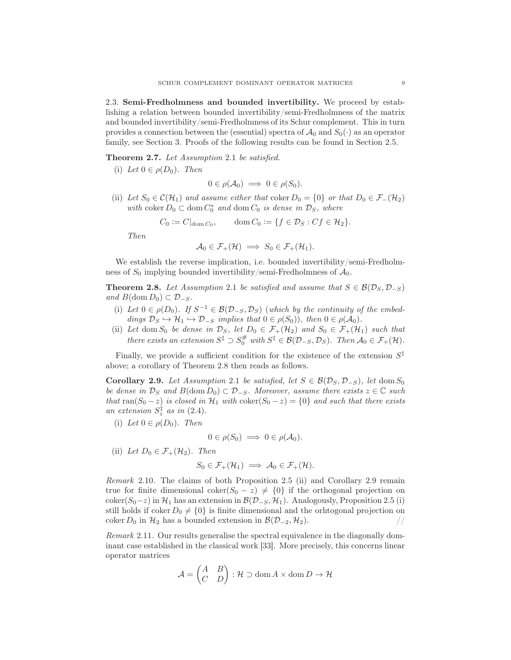2.3. Semi-Fredholmness and bounded invertibility. We proceed by establishing a relation between bounded invertibility/semi-Fredholmness of the matrix and bounded invertibility/semi-Fredholmness of its Schur complement. This in turn provides a connection between the (essential) spectra of  $\mathcal{A}_0$  and  $S_0(\cdot)$  as an operator family, see Section 3. Proofs of the following results can be found in Section 2.5.

Theorem 2.7. Let Assumption 2.1 be satisfied.

(i) Let  $0 \in \rho(D_0)$ . Then

$$
0\in \rho(\mathcal{A}_0)\implies 0\in \rho(S_0).
$$

(ii) Let  $S_0 \in \mathcal{C}(\mathcal{H}_1)$  and assume either that  $\text{coker } D_0 = \{0\}$  or that  $D_0 \in \mathcal{F}_-(\mathcal{H}_2)$ with coker  $D_0 \subset \text{dom } C_0^*$  and  $\text{dom } C_0$  is dense in  $\mathcal{D}_S$ , where

$$
C_0 := C|_{\text{dom }C_0}, \qquad \text{dom }C_0 := \{f \in \mathcal{D}_S : Cf \in \mathcal{H}_2\}.
$$

Then

$$
\mathcal{A}_0 \in \mathcal{F}_+(\mathcal{H}) \implies S_0 \in \mathcal{F}_+(\mathcal{H}_1).
$$

We establish the reverse implication, i.e. bounded invertibility/semi-Fredholmness of  $S_0$  implying bounded invertibility/semi-Fredholmness of  $\mathcal{A}_0$ .

**Theorem 2.8.** Let Assumption 2.1 be satisfied and assume that  $S \in \mathcal{B}(\mathcal{D}_S, \mathcal{D}_{-S})$ and  $B(\text{dom } D_0) \subset \mathcal{D}_{-S}$ .

- (i) Let  $0 \in \rho(D_0)$ . If  $S^{-1} \in \mathcal{B}(\mathcal{D}_{-S}, \mathcal{D}_S)$  (which by the continuity of the embeddings  $\mathcal{D}_S \hookrightarrow \mathcal{H}_1 \hookrightarrow \mathcal{D}_{-S}$  implies that  $0 \in \rho(S_0)$ , then  $0 \in \rho(\mathcal{A}_0)$ .
- (ii) Let dom  $S_0$  be dense in  $\mathcal{D}_S$ , let  $D_0 \in \mathcal{F}_+(\mathcal{H}_2)$  and  $S_0 \in \mathcal{F}_+(\mathcal{H}_1)$  such that there exists an extension  $S^{\ddagger} \supset S_0^{\#}$  with  $S^{\ddagger} \in \mathcal{B}(\mathcal{D}_{-S}, \mathcal{D}_S)$ . Then  $\mathcal{A}_0 \in \mathcal{F}_+(\mathcal{H})$ .

Finally, we provide a sufficient condition for the existence of the extension  $S^{\ddagger}$ above; a corollary of Theorem 2.8 then reads as follows.

Corollary 2.9. Let Assumption 2.1 be satisfied, let  $S \in \mathcal{B}(\mathcal{D}_S, \mathcal{D}_{-S})$ , let dom  $S_0$ be dense in  $\mathcal{D}_S$  and  $B(\text{dom } D_0) \subset \mathcal{D}_{-S}$ . Moreover, assume there exists  $z \in \mathbb{C}$  such that ran( $S_0 - z$ ) is closed in  $\mathcal{H}_1$  with  $\text{coker}(S_0 - z) = \{0\}$  and such that there exists an extension  $S_z^{\ddagger}$  as in (2.4).

(i) Let  $0 \in \rho(D_0)$ . Then

$$
0\in \rho(S_0)\implies 0\in \rho(\mathcal{A}_0).
$$

(ii) Let  $D_0 \in \mathcal{F}_+(\mathcal{H}_2)$ . Then  $S_0 \in \mathcal{F}_+(\mathcal{H}_1) \implies \mathcal{A}_0 \in \mathcal{F}_+(\mathcal{H}).$ 

Remark 2.10. The claims of both Proposition 2.5 (ii) and Corollary 2.9 remain true for finite dimensional coker( $S_0 - z$ )  $\neq$  {0} if the orthogonal projection on coker( $S_0$ −z) in  $\mathcal{H}_1$  has an extension in  $\mathcal{B}(\mathcal{D}_{-S}, \mathcal{H}_1)$ . Analogously, Proposition 2.5 (i) still holds if coker  $D_0 \neq \{0\}$  is finite dimensional and the orhtogonal projection on coker  $D_0$  in  $\mathcal{H}_2$  has a bounded extension in  $\mathcal{B}(\mathcal{D}_{-2}, \mathcal{H}_2)$ .

Remark 2.11. Our results generalise the spectral equivalence in the diagonally dominant case established in the classical work [33]. More precisely, this concerns linear operator matrices

$$
\mathcal{A} = \begin{pmatrix} A & B \\ C & D \end{pmatrix} : \mathcal{H} \supset \text{dom}\, A \times \text{dom}\, D \to \mathcal{H}
$$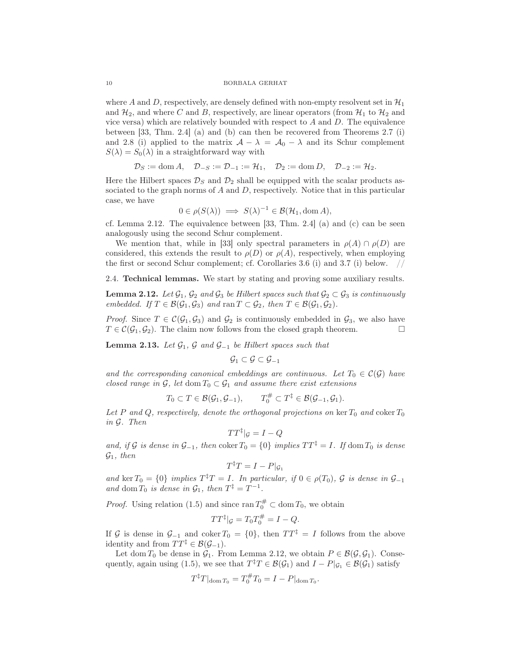where A and D, respectively, are densely defined with non-empty resolvent set in  $\mathcal{H}_1$ and  $\mathcal{H}_2$ , and where C and B, respectively, are linear operators (from  $\mathcal{H}_1$  to  $\mathcal{H}_2$  and vice versa) which are relatively bounded with respect to  $A$  and  $D$ . The equivalence between [33, Thm. 2.4] (a) and (b) can then be recovered from Theorems 2.7 (i) and 2.8 (i) applied to the matrix  $\mathcal{A} - \lambda = \mathcal{A}_0 - \lambda$  and its Schur complement  $S(\lambda) = S_0(\lambda)$  in a straightforward way with

$$
\mathcal{D}_S := \text{dom}\, A, \quad \mathcal{D}_{-S} := \mathcal{D}_{-1} := \mathcal{H}_1, \quad \mathcal{D}_2 := \text{dom}\, D, \quad \mathcal{D}_{-2} := \mathcal{H}_2.
$$

Here the Hilbert spaces  $\mathcal{D}_S$  and  $\mathcal{D}_2$  shall be equipped with the scalar products associated to the graph norms of  $A$  and  $D$ , respectively. Notice that in this particular case, we have

$$
0 \in \rho(S(\lambda)) \implies S(\lambda)^{-1} \in \mathcal{B}(\mathcal{H}_1, \text{dom } A),
$$

cf. Lemma 2.12. The equivalence between  $[33, Thm. 2.4]$  (a) and (c) can be seen analogously using the second Schur complement.

We mention that, while in [33] only spectral parameters in  $\rho(A) \cap \rho(D)$  are considered, this extends the result to  $\rho(D)$  or  $\rho(A)$ , respectively, when employing the first or second Schur complement; cf. Corollaries  $3.6$  (i) and  $3.7$  (i) below.

2.4. Technical lemmas. We start by stating and proving some auxiliary results.

**Lemma 2.12.** Let  $\mathcal{G}_1$ ,  $\mathcal{G}_2$  and  $\mathcal{G}_3$  be Hilbert spaces such that  $\mathcal{G}_2 \subset \mathcal{G}_3$  is continuously embedded. If  $T \in \mathcal{B}(\mathcal{G}_1, \mathcal{G}_3)$  and  $\text{ran } T \subset \mathcal{G}_2$ , then  $T \in \mathcal{B}(\mathcal{G}_1, \mathcal{G}_2)$ .

*Proof.* Since  $T \in \mathcal{C}(\mathcal{G}_1, \mathcal{G}_3)$  and  $\mathcal{G}_2$  is continuously embedded in  $\mathcal{G}_3$ , we also have  $T \in \mathcal{C}(\mathcal{G}_1, \mathcal{G}_2)$ . The claim now follows from the closed graph theorem.  $T \in \mathcal{C}(\mathcal{G}_1, \mathcal{G}_2)$ . The claim now follows from the closed graph theorem.

**Lemma 2.13.** Let  $\mathcal{G}_1$ ,  $\mathcal{G}$  and  $\mathcal{G}_{-1}$  be Hilbert spaces such that

$$
\mathcal{G}_1 \subset \mathcal{G} \subset \mathcal{G}_{-1}
$$

and the corresponding canonical embeddings are continuous. Let  $T_0 \in \mathcal{C}(\mathcal{G})$  have closed range in  $\mathcal{G}$ , let dom  $T_0 \subset \mathcal{G}_1$  and assume there exist extensions

$$
T_0 \subset T \in \mathcal{B}(\mathcal{G}_1, \mathcal{G}_{-1}), \qquad T_0^{\#} \subset T^{\ddagger} \in \mathcal{B}(\mathcal{G}_{-1}, \mathcal{G}_1).
$$

Let P and Q, respectively, denote the orthogonal projections on ker  $T_0$  and coker  $T_0$ in G. Then

$$
TT^{\ddagger}|_{\mathcal{G}}=I-Q
$$

and, if G is dense in  $\mathcal{G}_{-1}$ , then coker  $T_0 = \{0\}$  implies  $TT^{\ddagger} = I$ . If dom  $T_0$  is dense  $\mathcal{G}_1$ , then

$$
T^{\ddagger}T = I - P|_{\mathcal{G}_1}
$$

and ker  $T_0 = \{0\}$  implies  $T^{\ddagger}T = I$ . In particular, if  $0 \in \rho(T_0)$ ,  $\mathcal G$  is dense in  $\mathcal G_{-1}$ and dom  $T_0$  is dense in  $\mathcal{G}_1$ , then  $T^{\ddagger} = T^{-1}$ .

*Proof.* Using relation (1.5) and since  $\text{ran } T_0^{\#} \subset \text{dom } T_0$ , we obtain

$$
TT^{\ddagger}|_{\mathcal{G}} = T_0 T_0^{\#} = I - Q.
$$

If G is dense in  $\mathcal{G}_{-1}$  and coker  $T_0 = \{0\}$ , then  $TT^{\ddagger} = I$  follows from the above identity and from  $TT^{\ddagger} \in \mathcal{B}(\mathcal{G}_{-1})$ .

Let dom  $T_0$  be dense in  $\mathcal{G}_1$ . From Lemma 2.12, we obtain  $P \in \mathcal{B}(\mathcal{G}, \mathcal{G}_1)$ . Consequently, again using (1.5), we see that  $T^{\ddagger}T \in \mathcal{B}(\mathcal{G}_1)$  and  $I - P|_{\mathcal{G}_1} \in \mathcal{B}(\mathcal{G}_1)$  satisfy

$$
T^{\ddagger}T|_{\text{dom }T_0} = T_0^{\#}T_0 = I - P|_{\text{dom }T_0}.
$$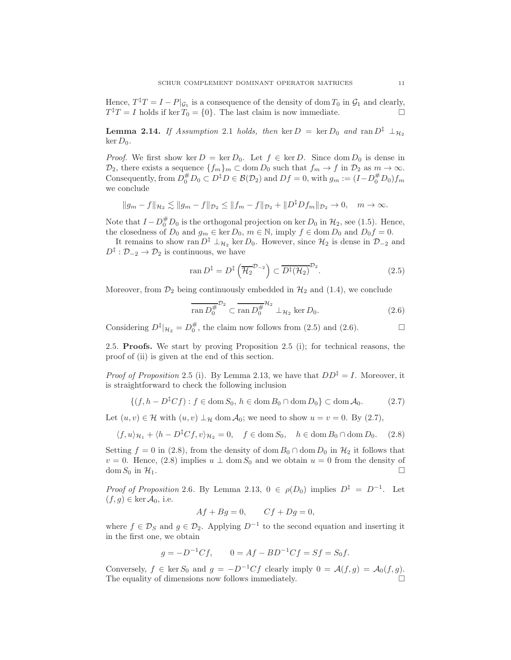Hence,  $T^{\dagger}T = I - P|_{\mathcal{G}_1}$  is a consequence of the density of dom  $T_0$  in  $\mathcal{G}_1$  and clearly,  $T^{\ddagger}T = I$  holds if ker  $T_0 = \{0\}$ . The last claim is now immediate.

**Lemma 2.14.** If Assumption 2.1 holds, then ker  $D = \text{ker } D_0$  and  $\text{ran } D^{\ddagger} \perp_{\mathcal{H}_2}$ ker  $D_0$ .

*Proof.* We first show ker  $D = \ker D_0$ . Let  $f \in \ker D$ . Since dom  $D_0$  is dense in  $\mathcal{D}_2$ , there exists a sequence  $\{f_m\}_m \subset \text{dom } D_0$  such that  $f_m \to f$  in  $\mathcal{D}_2$  as  $m \to \infty$ . Consequently, from  $D_0^{\#} D_0 \subset D^{\ddagger} D \in \mathcal{B}(\mathcal{D}_2)$  and  $Df = 0$ , with  $g_m := (I - D_0^{\#} D_0) f_m$ we conclude

$$
||g_m - f||_{\mathcal{H}_2} \lesssim ||g_m - f||_{\mathcal{D}_2} \le ||f_m - f||_{\mathcal{D}_2} + ||D^{\ddagger}Df_m||_{\mathcal{D}_2} \to 0, \quad m \to \infty.
$$

Note that  $I - D_0^{\#} D_0$  is the orthogonal projection on ker  $D_0$  in  $\mathcal{H}_2$ , see (1.5). Hence, the closedness of  $D_0$  and  $g_m \in \text{ker } D_0$ ,  $m \in \mathbb{N}$ , imply  $f \in \text{dom } D_0$  and  $D_0 f = 0$ .

It remains to show ran  $D^{\ddagger} \perp_{\mathcal{H}_2}$  ker  $D_0$ . However, since  $\mathcal{H}_2$  is dense in  $\mathcal{D}_{-2}$  and  $D^{\ddagger}: \mathcal{D}_{-2} \to \mathcal{D}_2$  is continuous, we have

$$
\operatorname{ran} D^{\ddagger} = D^{\ddagger} \left( \overline{\mathcal{H}_2}^{\mathcal{D}_{-2}} \right) \subset \overline{D^{\ddagger}(\mathcal{H}_2)}^{\mathcal{D}_2}.
$$
 (2.5)

Moreover, from  $\mathcal{D}_2$  being continuously embedded in  $\mathcal{H}_2$  and (1.4), we conclude

$$
\overline{\operatorname{ran} D_0^{\#}}^{\mathcal{D}_2} \subset \overline{\operatorname{ran} D_0^{\#}}^{\mathcal{H}_2} \perp_{\mathcal{H}_2} \ker D_0. \tag{2.6}
$$

Considering  $D^{\ddagger}|_{\mathcal{H}_2} = D_0^{\#}$ , the claim now follows from (2.5) and (2.6).

 $\mathbb{R}^2$ 

2.5. Proofs. We start by proving Proposition 2.5 (i); for technical reasons, the proof of (ii) is given at the end of this section.

*Proof of Proposition* 2.5 (i). By Lemma 2.13, we have that  $DD^{\ddagger} = I$ . Moreover, it is straightforward to check the following inclusion

$$
\{(f, h - D\ddagger Cf) : f \in \text{dom } S_0, h \in \text{dom } B_0 \cap \text{dom } D_0\} \subset \text{dom } \mathcal{A}_0. \tag{2.7}
$$

Let  $(u, v) \in \mathcal{H}$  with  $(u, v) \perp_{\mathcal{H}} \text{dom } \mathcal{A}_0$ ; we need to show  $u = v = 0$ . By  $(2.7)$ ,

$$
\langle f, u \rangle_{\mathcal{H}_1} + \langle h - D^{\ddagger} C f, v \rangle_{\mathcal{H}_2} = 0, \quad f \in \text{dom} S_0, \quad h \in \text{dom} B_0 \cap \text{dom} D_0. \tag{2.8}
$$

Setting  $f = 0$  in (2.8), from the density of dom  $B_0 \cap$  dom  $D_0$  in  $\mathcal{H}_2$  it follows that  $v = 0$ . Hence, (2.8) implies  $u \perp \text{dom } S_0$  and we obtain  $u = 0$  from the density of dom  $S_0$  in  $\mathcal{H}_1$ . dom  $S_0$  in  $\mathcal{H}_1$ .

*Proof of Proposition* 2.6. By Lemma 2.13,  $0 \in \rho(D_0)$  implies  $D^{\ddagger} = D^{-1}$ . Let  $(f, g) \in \ker \mathcal{A}_0$ , i.e.

$$
Af + Bg = 0, \qquad Cf + Dg = 0,
$$

where  $f \in \mathcal{D}_S$  and  $g \in \mathcal{D}_2$ . Applying  $D^{-1}$  to the second equation and inserting it in the first one, we obtain

$$
g = -D^{-1}Cf
$$
,  $0 = Af - BD^{-1}Cf = Sf = S_0f$ .

Conversely,  $f \in \text{ker } S_0$  and  $g = -D^{-1}Cf$  clearly imply  $0 = \mathcal{A}(f,g) = \mathcal{A}_0(f,g)$ . The equality of dimensions now follows immediately.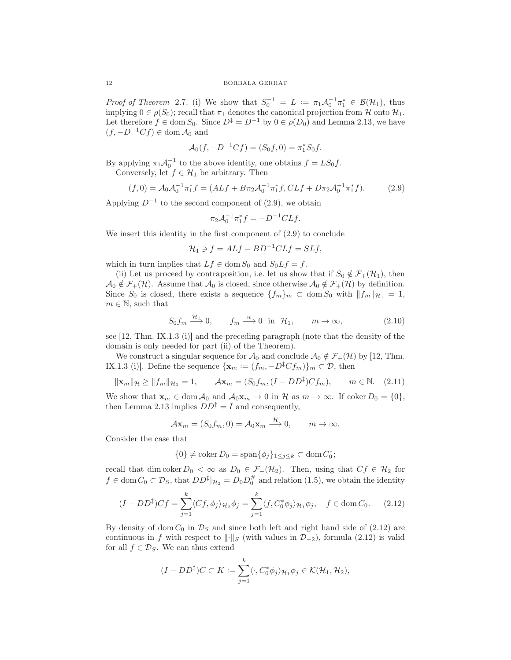*Proof of Theorem* 2.7. (i) We show that  $S_0^{-1} = L := \pi_1 \mathcal{A}_0^{-1} \pi_1^* \in \mathcal{B}(\mathcal{H}_1)$ , thus implying  $0 \in \rho(S_0)$ ; recall that  $\pi_1$  denotes the canonical projection from H onto  $\mathcal{H}_1$ . Let therefore  $f \in \text{dom } S_0$ . Since  $D^{\ddagger} = D^{-1}$  by  $0 \in \rho(D_0)$  and Lemma 2.13, we have  $(f, -D^{-1}Cf) \in \text{dom } A_0$  and

$$
\mathcal{A}_0(f, -D^{-1}Cf) = (S_0f, 0) = \pi_1^*S_0f.
$$

By applying  $\pi_1 \mathcal{A}_0^{-1}$  to the above identity, one obtains  $f = LS_0 f$ .

Conversely, let  $f \in \mathcal{H}_1$  be arbitrary. Then

$$
(f,0) = \mathcal{A}_0 \mathcal{A}_0^{-1} \pi_1^* f = (ALf + B\pi_2 \mathcal{A}_0^{-1} \pi_1^* f, CLf + D\pi_2 \mathcal{A}_0^{-1} \pi_1^* f). \tag{2.9}
$$

Applying  $D^{-1}$  to the second component of (2.9), we obtain

$$
\pi_2 \mathcal{A}_0^{-1} \pi_1^* f = -D^{-1} CLf.
$$

We insert this identity in the first component of (2.9) to conclude

$$
\mathcal{H}_1 \ni f = ALf - BD^{-1}CLf = SLf,
$$

which in turn implies that  $Lf \in \text{dom } S_0$  and  $S_0 L f = f$ .

(ii) Let us proceed by contraposition, i.e. let us show that if  $S_0 \notin \mathcal{F}_+(\mathcal{H}_1)$ , then  $\mathcal{A}_0 \notin \mathcal{F}_+(\mathcal{H})$ . Assume that  $\mathcal{A}_0$  is closed, since otherwise  $\mathcal{A}_0 \notin \mathcal{F}_+(\mathcal{H})$  by definition. Since  $S_0$  is closed, there exists a sequence  $\{f_m\}_m \subset \text{dom } S_0$  with  $||f_m||_{\mathcal{H}_1} = 1$ ,  $m \in \mathbb{N}$ , such that

$$
S_0 f_m \xrightarrow{\mathcal{H}_1} 0, \qquad f_m \xrightarrow{w} 0 \text{ in } \mathcal{H}_1, \qquad m \to \infty,
$$
 (2.10)

see [12, Thm. IX.1.3 (i)] and the preceding paragraph (note that the density of the domain is only needed for part (ii) of the Theorem).

We construct a singular sequence for  $\mathcal{A}_0$  and conclude  $\mathcal{A}_0 \notin \mathcal{F}_+(\mathcal{H})$  by [12, Thm. IX.1.3 (i)]. Define the sequence  $\{x_m := (f_m, -D^{\ddagger} C f_m)\}_m \subset \mathcal{D}$ , then

$$
\|\mathbf{x}_{m}\|_{\mathcal{H}} \ge \|f_{m}\|_{\mathcal{H}_{1}} = 1, \qquad \mathcal{A}\mathbf{x}_{m} = (S_{0}f_{m}, (I - DD^{\ddagger})Cf_{m}), \qquad m \in \mathbb{N}. \tag{2.11}
$$

We show that  $\mathbf{x}_m \in \text{dom}\, \mathcal{A}_0$  and  $\mathcal{A}_0\mathbf{x}_m \to 0$  in H as  $m \to \infty$ . If coker  $D_0 = \{0\},$ then Lemma 2.13 implies  $DD^{\ddagger} = I$  and consequently,

$$
\mathcal{A}\mathbf{x}_m = (S_0 f_m, 0) = \mathcal{A}_0 \mathbf{x}_m \xrightarrow{\mathcal{H}} 0, \qquad m \to \infty.
$$

Consider the case that

$$
\{0\} \neq \operatorname{coker} D_0 = \operatorname{span}\{\phi_j\}_{1 \leq j \leq k} \subset \operatorname{dom} C_0^*;
$$

recall that dim coker  $D_0 < \infty$  as  $D_0 \in \mathcal{F}_-(\mathcal{H}_2)$ . Then, using that  $Cf \in \mathcal{H}_2$  for  $f \in \text{dom}\, C_0 \subset \mathcal{D}_S$ , that  $DD^{\ddagger}|_{\mathcal{H}_2} = D_0D_0^{\#}$  and relation (1.5), we obtain the identity

$$
(I - DD^{\ddagger})Cf = \sum_{j=1}^{k} \langle Cf, \phi_j \rangle_{\mathcal{H}_2} \phi_j = \sum_{j=1}^{k} \langle f, C_0^* \phi_j \rangle_{\mathcal{H}_1} \phi_j, \quad f \in \text{dom}\, C_0. \tag{2.12}
$$

By density of dom  $C_0$  in  $\mathcal{D}_S$  and since both left and right hand side of (2.12) are continuous in f with respect to  $\|\cdot\|_S$  (with values in  $\mathcal{D}_{-2}$ ), formula (2.12) is valid for all  $f \in \mathcal{D}_S$ . We can thus extend

$$
(I - DD^{\ddagger})C \subset K := \sum_{j=1}^{k} \langle \cdot, C_0^* \phi_j \rangle_{\mathcal{H}_1} \phi_j \in \mathcal{K}(\mathcal{H}_1, \mathcal{H}_2),
$$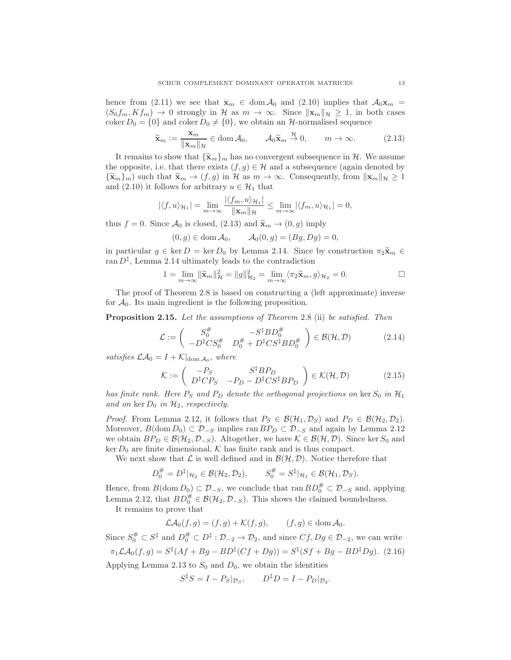hence from (2.11) we see that  $\mathbf{x}_m \in \text{dom} \mathcal{A}_0$  and (2.10) implies that  $\mathcal{A}_0 \mathbf{x}_m =$  $(S_0 f_m, K f_m) \to 0$  strongly in H as  $m \to \infty$ . Since  $\|\mathbf{x}_m\|_{\mathcal{H}} \geq 1$ , in both cases coker  $D_0 = \{0\}$  and coker  $D_0 \neq \{0\}$ , we obtain an H-normalised sequence

$$
\widetilde{\mathbf{x}}_m := \frac{\mathbf{x}_m}{\|\mathbf{x}_m\|_{\mathcal{H}}} \in \text{dom}\,\mathcal{A}_0, \qquad \mathcal{A}_0 \widetilde{\mathbf{x}}_m \stackrel{\mathcal{H}}{\to} 0, \qquad m \to \infty. \tag{2.13}
$$

It remains to show that  ${\{\tilde{\mathbf{x}}_m\}}_m$  has no convergent subsequence in  $\mathcal{H}$ . We assume the opposite, i.e. that there exists  $(f, g) \in \mathcal{H}$  and a subsequence (again denoted by  ${\{\tilde{\mathbf{x}}_m\}_m}$  such that  ${\tilde{\mathbf{x}}_m \to (f,g)}$  in H as  $m \to \infty$ . Consequently, from  $\|\mathbf{x}_m\|_{\mathcal{H}} \geq 1$ and (2.10) it follows for arbitrary  $u \in \mathcal{H}_1$  that

$$
|\langle f, u \rangle_{\mathcal{H}_1}| = \lim_{m \to \infty} \frac{|\langle f_m, u \rangle_{\mathcal{H}_1}|}{\|\mathbf{x}_m\|_{\mathcal{H}}} \le \lim_{m \to \infty} |\langle f_m, u \rangle_{\mathcal{H}_1}| = 0,
$$

thus  $f = 0$ . Since  $\mathcal{A}_0$  is closed, (2.13) and  $\widetilde{\mathbf{x}}_m \to (0, g)$  imply

$$
(0,g) \in \text{dom}\,\mathcal{A}_0, \qquad \mathcal{A}_0(0,g) = (Bg,Dg) = 0,
$$

in particular  $g \in \text{ker } D = \text{ker } D_0$  by Lemma 2.14. Since by construction  $\pi_2 \tilde{\mathbf{x}}_m \in$ ran  $D^{\ddagger}$ , Lemma 2.14 ultimately leads to the contradiction

$$
1 = \lim_{m \to \infty} \|\widetilde{\mathbf{x}}_m\|_{\mathcal{H}}^2 = \|g\|_{\mathcal{H}_2}^2 = \lim_{m \to \infty} \langle \pi_2 \widetilde{\mathbf{x}}_m, g \rangle_{\mathcal{H}_2} = 0.
$$

The proof of Theorem 2.8 is based on constructing a (left approximate) inverse for  $A_0$ . Its main ingredient is the following proposition.

Proposition 2.15. Let the assumptions of Theorem 2.8 (ii) be satisfied. Then

$$
\mathcal{L} := \begin{pmatrix} S_0^{\#} & -S^{\ddagger}BD_0^{\#} \\ -D^{\ddagger}CS_0^{\#} & D_0^{\#} + D^{\ddagger}CS^{\ddagger}BD_0^{\#} \end{pmatrix} \in \mathcal{B}(\mathcal{H}, \mathcal{D}) \tag{2.14}
$$

satisfies  $\mathcal{LA}_0 = I + \mathcal{K}|_{\text{dom } \mathcal{A}_0}$ , where

$$
\mathcal{K} := \begin{pmatrix} -P_S & S^{\dagger} B P_D \\ D^{\dagger} C P_S & -P_D - D^{\dagger} C S^{\dagger} B P_D \end{pmatrix} \in \mathcal{K}(\mathcal{H}, \mathcal{D}) \tag{2.15}
$$

has finite rank. Here  $P_S$  and  $P_D$  denote the orthogonal projections on ker  $S_0$  in  $\mathcal{H}_1$ and on ker  $D_0$  in  $\mathcal{H}_2$ , respectively.

*Proof.* From Lemma 2.12, it follows that  $P_S \in \mathcal{B}(\mathcal{H}_1, \mathcal{D}_S)$  and  $P_D \in \mathcal{B}(\mathcal{H}_2, \mathcal{D}_2)$ . Moreover,  $B(\text{dom }D_0) \subset \mathcal{D}_{-S}$  implies ran  $BP_D \subset \mathcal{D}_{-S}$  and again by Lemma 2.12 we obtain  $BP_D \in \mathcal{B}(\mathcal{H}_2, \mathcal{D}_{-S})$ . Altogether, we have  $\mathcal{K} \in \mathcal{B}(\mathcal{H}, \mathcal{D})$ . Since ker  $S_0$  and ker  $D_0$  are finite dimensional, K has finite rank and is thus compact.

We next show that  $\mathcal L$  is well defined and in  $\mathcal B(\mathcal H, \mathcal D)$ . Notice therefore that

$$
D_0^{\#} = D^{\ddagger} |_{\mathcal{H}_2} \in \mathcal{B}(\mathcal{H}_2, \mathcal{D}_2), \qquad S_0^{\#} = S^{\ddagger} |_{\mathcal{H}_1} \in \mathcal{B}(\mathcal{H}_1, \mathcal{D}_S).
$$

Hence, from  $B(\text{dom } D_0) \subset \mathcal{D}_{-S}$ , we conclude that ran  $BD_0^{\#} \subset \mathcal{D}_{-S}$  and, applying Lemma 2.12, that  $BD_0^{\#} \in \mathcal{B}(\mathcal{H}_2, \mathcal{D}_{-S})$ . This shows the claimed boundedness.

It remains to prove that

$$
\mathcal{LA}_0(f,g) = (f,g) + \mathcal{K}(f,g), \qquad (f,g) \in \text{dom}\,\mathcal{A}_0.
$$

Since  $S_0^{\#} \subset S^{\ddagger}$  and  $D_0^{\#} \subset D^{\ddagger} : \mathcal{D}_{-2} \to \mathcal{D}_2$ , and since  $Cf, Dg \in \mathcal{D}_{-2}$ , we can write  $\pi_1 \mathcal{L} \mathcal{A}_0(f,g) = S^{\ddagger} (Af + Bg - BD^{\ddagger} (Cf + Dg)) = S^{\ddagger} (Sf + Bg - BD^{\ddagger} Dg).$  (2.16) Applying Lemma 2.13 to  $S_0$  and  $D_0$ , we obtain the identities

$$
S^{\ddagger}S = I - P_S|_{\mathcal{D}_S}, \qquad D^{\ddagger}D = I - P_D|_{\mathcal{D}_2}.
$$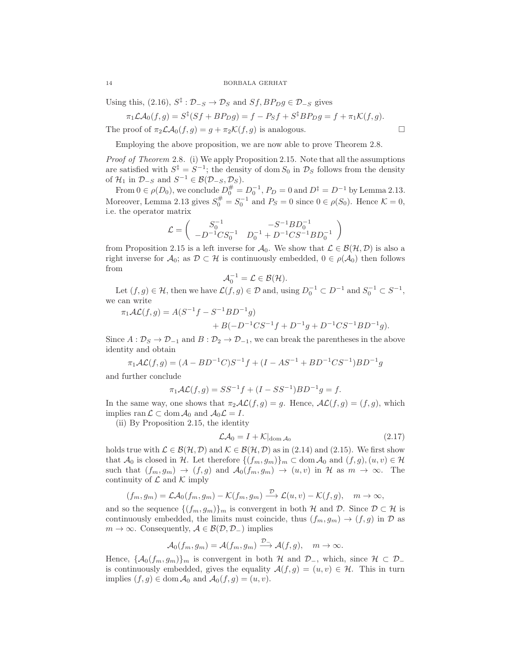Using this,  $(2.16)$ ,  $S^{\ddagger}$ :  $\mathcal{D}_{-S} \to \mathcal{D}_S$  and  $Sf, BP_Dg \in \mathcal{D}_{-S}$  gives

$$
\pi_1\mathcal{LA}_0(f,g) = S^{\ddagger}(Sf + BP_Dg) = f - P_Sf + S^{\ddagger}BP_Dg = f + \pi_1\mathcal{K}(f,g).
$$

The proof of  $\pi_2\mathcal{LA}_0(f,g) = g + \pi_2\mathcal{K}(f,g)$  is analogous.

Employing the above proposition, we are now able to prove Theorem 2.8.

Proof of Theorem 2.8. (i) We apply Proposition 2.15. Note that all the assumptions are satisfied with  $S^{\ddagger} = S^{-1}$ ; the density of dom  $S_0$  in  $\mathcal{D}_S$  follows from the density of  $\mathcal{H}_1$  in  $\mathcal{D}_{-S}$  and  $S^{-1} \in \mathcal{B}(\mathcal{D}_{-S}, \mathcal{D}_{S}).$ 

From  $0 \in \rho(D_0)$ , we conclude  $D_0^{\#} = D_0^{-1}$ ,  $P_D = 0$  and  $D^{\ddagger} = D^{-1}$  by Lemma 2.13. Moreover, Lemma 2.13 gives  $S_0^{\#} = S_0^{-1}$  and  $P_S = 0$  since  $0 \in \rho(S_0)$ . Hence  $\mathcal{K} = 0$ , i.e. the operator matrix

$$
\mathcal{L}=\left(\begin{array}{cc} S_0^{-1} & -S^{-1}BD_0^{-1} \\ -D^{-1}CS_0^{-1} & D_0^{-1}+D^{-1}CS^{-1}BD_0^{-1} \end{array}\right)
$$

from Proposition 2.15 is a left inverse for  $\mathcal{A}_0$ . We show that  $\mathcal{L} \in \mathcal{B}(\mathcal{H}, \mathcal{D})$  is also a right inverse for  $\mathcal{A}_0$ ; as  $\mathcal{D} \subset \mathcal{H}$  is continuously embedded,  $0 \in \rho(\mathcal{A}_0)$  then follows from

$$
\mathcal{A}_0^{-1}=\mathcal{L}\in\mathcal{B}(\mathcal{H}).
$$

Let  $(f, g) \in \mathcal{H}$ , then we have  $\mathcal{L}(f, g) \in \mathcal{D}$  and, using  $D_0^{-1} \subset D^{-1}$  and  $S_0^{-1} \subset S^{-1}$ , we can write

$$
\pi_1 \mathcal{AL}(f,g) = A(S^{-1}f - S^{-1}BD^{-1}g) + B(-D^{-1}CS^{-1}f + D^{-1}g + D^{-1}CS^{-1}BD^{-1}g).
$$

Since  $A: \mathcal{D}_S \to \mathcal{D}_{-1}$  and  $B: \mathcal{D}_2 \to \mathcal{D}_{-1}$ , we can break the parentheses in the above identity and obtain

$$
\pi_1 \mathcal{AL}(f,g) = (A - BD^{-1}C)S^{-1}f + (I - AS^{-1} + BD^{-1}CS^{-1})BD^{-1}g
$$

and further conclude

$$
\pi_1 \mathcal{AL}(f, g) = SS^{-1} f + (I - SS^{-1}) BD^{-1} g = f.
$$

In the same way, one shows that  $\pi_2 A\mathcal{L}(f,g) = g$ . Hence,  $\mathcal{AL}(f,g) = (f,g)$ , which implies ran  $\mathcal{L} \subset \text{dom } \mathcal{A}_0$  and  $\mathcal{A}_0 \mathcal{L} = I$ .

(ii) By Proposition 2.15, the identity

$$
\mathcal{LA}_0 = I + \mathcal{K}|_{\text{dom } \mathcal{A}_0} \tag{2.17}
$$

holds true with  $\mathcal{L} \in \mathcal{B}(\mathcal{H}, \mathcal{D})$  and  $\mathcal{K} \in \mathcal{B}(\mathcal{H}, \mathcal{D})$  as in (2.14) and (2.15). We first show that  $\mathcal{A}_0$  is closed in H. Let therefore  $\{(f_m, g_m)\}_m \subset \text{dom}\,\mathcal{A}_0$  and  $(f, g), (u, v) \in \mathcal{H}$ such that  $(f_m, g_m) \to (f, g)$  and  $\mathcal{A}_0(f_m, g_m) \to (u, v)$  in H as  $m \to \infty$ . The continuity of  $\mathcal L$  and  $\mathcal K$  imply

$$
(f_m, g_m) = \mathcal{LA}_0(f_m, g_m) - \mathcal{K}(f_m, g_m) \xrightarrow{\mathcal{D}} \mathcal{L}(u, v) - \mathcal{K}(f, g), \quad m \to \infty,
$$

and so the sequence  $\{(f_m, g_m)\}_m$  is convergent in both  $H$  and  $D$ . Since  $D \subset H$  is continuously embedded, the limits must coincide, thus  $(f_m, g_m) \rightarrow (f, g)$  in  $\mathcal D$  as  $m \to \infty$ . Consequently,  $\mathcal{A} \in \mathcal{B}(\mathcal{D}, \mathcal{D}_-)$  implies

$$
\mathcal{A}_0(f_m,g_m)=\mathcal{A}(f_m,g_m)\xrightarrow{\mathcal{D}_{\rightharpoonup}}\mathcal{A}(f,g),\quad m\to\infty.
$$

Hence,  $\{\mathcal{A}_0(f_m, g_m)\}_m$  is convergent in both  $\mathcal{H}$  and  $\mathcal{D}_-$ , which, since  $\mathcal{H} \subset \mathcal{D}_$ is continuously embedded, gives the equality  $A(f,g) = (u, v) \in \mathcal{H}$ . This in turn implies  $(f, g) \in \text{dom } A_0$  and  $A_0(f, g) = (u, v)$ .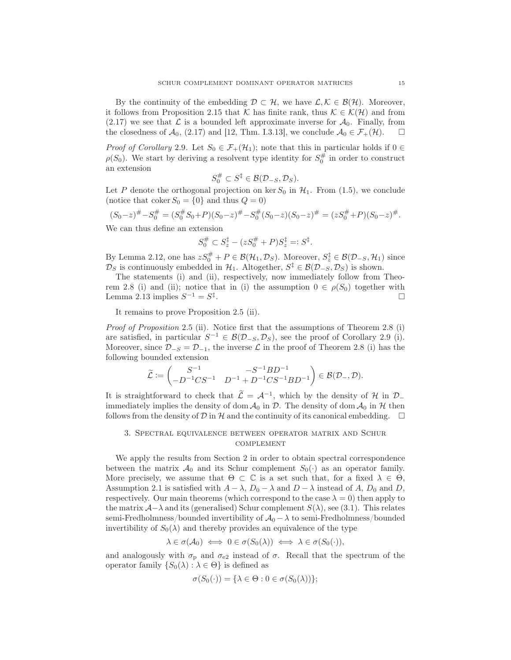By the continuity of the embedding  $\mathcal{D} \subset \mathcal{H}$ , we have  $\mathcal{L}, \mathcal{K} \in \mathcal{B}(\mathcal{H})$ . Moreover, it follows from Proposition 2.15 that K has finite rank, thus  $\mathcal{K} \in \mathcal{K}(\mathcal{H})$  and from (2.17) we see that  $\mathcal L$  is a bounded left approximate inverse for  $\mathcal A_0$ . Finally, from the closedness of  $\mathcal A_0$ , (2.17) and [12, Thm. I.3.13], we conclude  $\mathcal A_0 \in \mathcal F_+(\mathcal H)$ . the closedness of  $\mathcal{A}_0$ , (2.17) and [12, Thm. I.3.13], we conclude  $\mathcal{A}_0 \in \mathcal{F}_+(\mathcal{H})$ .

*Proof of Corollary* 2.9. Let  $S_0 \in \mathcal{F}_+(\mathcal{H}_1)$ ; note that this in particular holds if  $0 \in$  $\rho(S_0)$ . We start by deriving a resolvent type identity for  $S_0^{\#}$  in order to construct an extension

$$
S_0^{\#} \subset S^{\ddagger} \in \mathcal{B}(\mathcal{D}_{-S}, \mathcal{D}_S).
$$

Let P denote the orthogonal projection on ker  $S_0$  in  $\mathcal{H}_1$ . From (1.5), we conclude (notice that coker  $S_0 = \{0\}$  and thus  $Q = 0$ )

$$
(S_0 - z)^{\#} - S_0^{\#} = (S_0^{\#} S_0 + P)(S_0 - z)^{\#} - S_0^{\#}(S_0 - z)(S_0 - z)^{\#} = (zS_0^{\#} + P)(S_0 - z)^{\#}.
$$

We can thus define an extension

$$
S_0^{\#} \subset S_z^{\ddagger} - (zS_0^{\#} + P)S_z^{\ddagger} =: S^{\ddagger}.
$$

By Lemma 2.12, one has  $zS_0^{\#} + P \in \mathcal{B}(\mathcal{H}_1, \mathcal{D}_S)$ . Moreover,  $S_z^{\ddagger} \in \mathcal{B}(\mathcal{D}_{-S}, \mathcal{H}_1)$  since  $\mathcal{D}_S$  is continuously embedded in  $\mathcal{H}_1$ . Altogether,  $S^{\ddagger} \in \mathcal{B}(\mathcal{D}_{-S}, \mathcal{D}_S)$  is shown.

The statements (i) and (ii), respectively, now immediately follow from Theorem 2.8 (i) and (ii); notice that in (i) the assumption  $0 \in \rho(S_0)$  together with Lemma 2.13 implies  $S^{-1} = S^{\ddagger}$ . Lemma 2.13 implies  $S^{-1} = S^{\ddagger}$ .

It remains to prove Proposition 2.5 (ii).

*Proof of Proposition* 2.5 (ii). Notice first that the assumptions of Theorem 2.8 (i) are satisfied, in particular  $S^{-1} \in \mathcal{B}(\mathcal{D}_{-S}, \mathcal{D}_S)$ , see the proof of Corollary 2.9 (i). Moreover, since  $\mathcal{D}_{-S} = \mathcal{D}_{-1}$ , the inverse  $\mathcal L$  in the proof of Theorem 2.8 (i) has the following bounded extension

$$
\widetilde{\mathcal{L}}:=\begin{pmatrix} S^{-1} & -S^{-1}BD^{-1} \\ -D^{-1}CS^{-1} & D^{-1}+D^{-1}CS^{-1}BD^{-1} \end{pmatrix} \in \mathcal{B}(\mathcal{D}_{-},\mathcal{D}).
$$

It is straightforward to check that  $\tilde{\mathcal{L}} = \mathcal{A}^{-1}$ , which by the density of  $\mathcal{H}$  in  $\mathcal{D}_{-}$ immediately implies the density of dom  $\mathcal{A}_0$  in D. The density of dom  $\mathcal{A}_0$  in H then follows from the density of  $D$  in  $H$  and the continuity of its canonical embedding.

# 3. Spectral equivalence between operator matrix and Schur **COMPLEMENT**

We apply the results from Section 2 in order to obtain spectral correspondence between the matrix  $\mathcal{A}_0$  and its Schur complement  $S_0(\cdot)$  as an operator family. More precisely, we assume that  $\Theta \subset \mathbb{C}$  is a set such that, for a fixed  $\lambda \in \Theta$ , Assumption 2.1 is satisfied with  $A - \lambda$ ,  $D_0 - \lambda$  and  $D - \lambda$  instead of A,  $D_0$  and D, respectively. Our main theorems (which correspond to the case  $\lambda = 0$ ) then apply to the matrix  $\mathcal{A}-\lambda$  and its (generalised) Schur complement  $S(\lambda)$ , see (3.1). This relates semi-Fredholmness/bounded invertibility of  $\mathcal{A}_0 - \lambda$  to semi-Fredholmness/bounded invertibility of  $S_0(\lambda)$  and thereby provides an equivalence of the type

$$
\lambda \in \sigma(\mathcal{A}_0) \iff 0 \in \sigma(S_0(\lambda)) \iff \lambda \in \sigma(S_0(\cdot)),
$$

and analogously with  $\sigma_{\rm p}$  and  $\sigma_{\rm e2}$  instead of  $\sigma$ . Recall that the spectrum of the operator family  $\{S_0(\lambda): \lambda \in \Theta\}$  is defined as

$$
\sigma(S_0(\cdot)) = \{\lambda \in \Theta : 0 \in \sigma(S_0(\lambda))\};
$$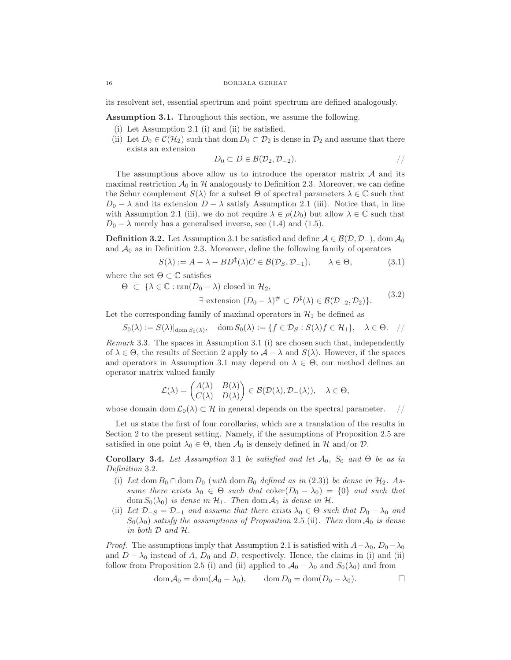its resolvent set, essential spectrum and point spectrum are defined analogously.

Assumption 3.1. Throughout this section, we assume the following.

- (i) Let Assumption 2.1 (i) and (ii) be satisfied.
- (ii) Let  $D_0 \in \mathcal{C}(\mathcal{H}_2)$  such that dom  $D_0 \subset \mathcal{D}_2$  is dense in  $\mathcal{D}_2$  and assume that there exists an extension

$$
D_0 \subset D \in \mathcal{B}(\mathcal{D}_2, \mathcal{D}_{-2}).
$$

The assumptions above allow us to introduce the operator matrix  $A$  and its maximal restriction  $\mathcal{A}_0$  in H analogously to Definition 2.3. Moreover, we can define the Schur complement  $S(\lambda)$  for a subset  $\Theta$  of spectral parameters  $\lambda \in \mathbb{C}$  such that  $D_0 - \lambda$  and its extension  $D - \lambda$  satisfy Assumption 2.1 (iii). Notice that, in line with Assumption 2.1 (iii), we do not require  $\lambda \in \rho(D_0)$  but allow  $\lambda \in \mathbb{C}$  such that  $D_0 - \lambda$  merely has a generalised inverse, see (1.4) and (1.5).

**Definition 3.2.** Let Assumption 3.1 be satisfied and define  $A \in \mathcal{B}(\mathcal{D}, \mathcal{D}_-)$ , dom  $\mathcal{A}_0$ and  $A_0$  as in Definition 2.3. Moreover, define the following family of operators

$$
S(\lambda) := A - \lambda - BD^{\dagger}(\lambda)C \in \mathcal{B}(\mathcal{D}_S, \mathcal{D}_{-1}), \qquad \lambda \in \Theta,
$$
\n(3.1)

where the set  $\Theta \subset \mathbb{C}$  satisfies

 $\Theta \subset {\lambda \in \mathbb{C} : \text{ran}(D_0 - \lambda) \text{ closed in } \mathcal{H}_2},$ 

$$
\exists \text{ extension } (D_0 - \lambda)^\# \subset D^\ddagger(\lambda) \in \mathcal{B}(\mathcal{D}_{-2}, \mathcal{D}_2) \}. \tag{3.2}
$$

Let the corresponding family of maximal operators in  $\mathcal{H}_1$  be defined as

 $S_0(\lambda) := S(\lambda)|_{\text{dom }S_0(\lambda)}, \text{ dom }S_0(\lambda) := \{f \in \mathcal{D}_S : S(\lambda)f \in \mathcal{H}_1\}, \lambda \in \Theta. \quad //$ 

Remark 3.3. The spaces in Assumption 3.1 (i) are chosen such that, independently of  $\lambda \in \Theta$ , the results of Section 2 apply to  $\mathcal{A} - \lambda$  and  $S(\lambda)$ . However, if the spaces and operators in Assumption 3.1 may depend on  $\lambda \in \Theta$ , our method defines an operator matrix valued family

$$
\mathcal{L}(\lambda) = \begin{pmatrix} A(\lambda) & B(\lambda) \\ C(\lambda) & D(\lambda) \end{pmatrix} \in \mathcal{B}(\mathcal{D}(\lambda), \mathcal{D}_{-}(\lambda)), \quad \lambda \in \Theta,
$$

whose domain dom  $\mathcal{L}_0(\lambda) \subset \mathcal{H}$  in general depends on the spectral parameter. //

Let us state the first of four corollaries, which are a translation of the results in Section 2 to the present setting. Namely, if the assumptions of Proposition 2.5 are satisfied in one point  $\lambda_0 \in \Theta$ , then  $\mathcal{A}_0$  is densely defined in H and/or D.

Corollary 3.4. Let Assumption 3.1 be satisfied and let  $\mathcal{A}_0$ ,  $S_0$  and  $\Theta$  be as in Definition 3.2.

- (i) Let dom  $B_0 \cap \text{dom } D_0$  (with dom  $B_0$  defined as in (2.3)) be dense in  $\mathcal{H}_2$ . Assume there exists  $\lambda_0 \in \Theta$  such that  $\mathrm{coker}(D_0 - \lambda_0) = \{0\}$  and such that dom  $S_0(\lambda_0)$  is dense in  $\mathcal{H}_1$ . Then dom  $\mathcal{A}_0$  is dense in  $\mathcal{H}$ .
- (ii) Let  $\mathcal{D}_{-S} = \mathcal{D}_{-1}$  and assume that there exists  $\lambda_0 \in \Theta$  such that  $D_0 \lambda_0$  and  $S_0(\lambda_0)$  satisfy the assumptions of Proposition 2.5 (ii). Then dom  $\mathcal{A}_0$  is dense in both D and H.

*Proof.* The assumptions imply that Assumption 2.1 is satisfied with  $A - \lambda_0$ ,  $D_0 - \lambda_0$ and  $D - \lambda_0$  instead of A,  $D_0$  and D, respectively. Hence, the claims in (i) and (ii) follow from Proposition 2.5 (i) and (ii) applied to  $\mathcal{A}_0 - \lambda_0$  and  $S_0(\lambda_0)$  and from

$$
\operatorname{dom} \mathcal{A}_0 = \operatorname{dom} (\mathcal{A}_0 - \lambda_0), \qquad \operatorname{dom} D_0 = \operatorname{dom} (D_0 - \lambda_0).
$$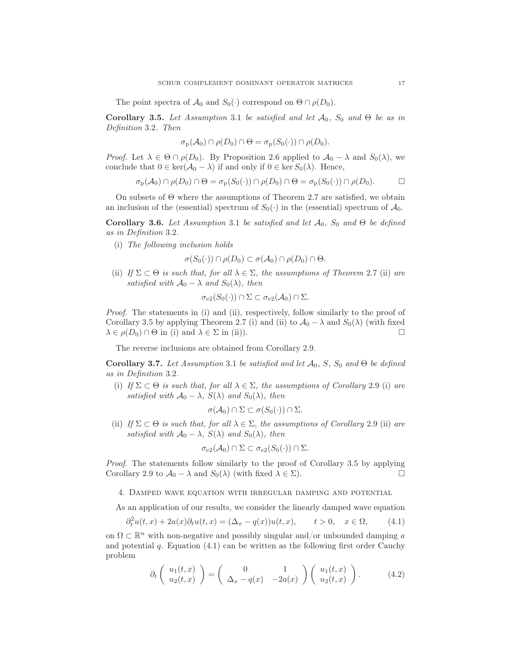The point spectra of  $\mathcal{A}_0$  and  $S_0(\cdot)$  correspond on  $\Theta \cap \rho(D_0)$ .

Corollary 3.5. Let Assumption 3.1 be satisfied and let  $\mathcal{A}_0$ ,  $S_0$  and  $\Theta$  be as in Definition 3.2. Then

$$
\sigma_{\mathbf{p}}(\mathcal{A}_0) \cap \rho(D_0) \cap \Theta = \sigma_{\mathbf{p}}(S_0(\cdot)) \cap \rho(D_0).
$$

*Proof.* Let  $\lambda \in \Theta \cap \rho(D_0)$ . By Proposition 2.6 applied to  $\mathcal{A}_0 - \lambda$  and  $S_0(\lambda)$ , we conclude that  $0 \in \ker(\mathcal{A}_0 - \lambda)$  if and only if  $0 \in \ker S_0(\lambda)$ . Hence,

$$
\sigma_{\mathbf{p}}(\mathcal{A}_0) \cap \rho(D_0) \cap \Theta = \sigma_{\mathbf{p}}(S_0(\cdot)) \cap \rho(D_0) \cap \Theta = \sigma_{\mathbf{p}}(S_0(\cdot)) \cap \rho(D_0).
$$

On subsets of Θ where the assumptions of Theorem 2.7 are satisfied, we obtain an inclusion of the (essential) spectrum of  $S_0(\cdot)$  in the (essential) spectrum of  $\mathcal{A}_0$ .

Corollary 3.6. Let Assumption 3.1 be satisfied and let  $\mathcal{A}_0$ ,  $S_0$  and  $\Theta$  be defined as in Definition 3.2.

(i) The following inclusion holds

$$
\sigma(S_0(\cdot)) \cap \rho(D_0) \subset \sigma(\mathcal{A}_0) \cap \rho(D_0) \cap \Theta.
$$

(ii) If  $\Sigma \subset \Theta$  is such that, for all  $\lambda \in \Sigma$ , the assumptions of Theorem 2.7 (ii) are satisfied with  $A_0 - \lambda$  and  $S_0(\lambda)$ , then

$$
\sigma_{e2}(S_0(\cdot)) \cap \Sigma \subset \sigma_{e2}(\mathcal{A}_0) \cap \Sigma.
$$

Proof. The statements in (i) and (ii), respectively, follow similarly to the proof of Corollary 3.5 by applying Theorem 2.7 (i) and (ii) to  $\mathcal{A}_0 - \lambda$  and  $S_0(\lambda)$  (with fixed  $\lambda \in \rho(D_0) \cap \Theta$  in (i) and  $\lambda \in \Sigma$  in (ii)).  $\lambda \in \rho(D_0) \cap \Theta$  in (i) and  $\lambda \in \Sigma$  in (ii)).

The reverse inclusions are obtained from Corollary 2.9.

Corollary 3.7. Let Assumption 3.1 be satisfied and let  $\mathcal{A}_0$ , S,  $S_0$  and  $\Theta$  be defined as in Definition 3.2.

(i) If  $\Sigma \subset \Theta$  is such that, for all  $\lambda \in \Sigma$ , the assumptions of Corollary 2.9 (i) are satisfied with  $\mathcal{A}_0 - \lambda$ ,  $S(\lambda)$  and  $S_0(\lambda)$ , then

$$
\sigma(\mathcal{A}_0) \cap \Sigma \subset \sigma(S_0(\cdot)) \cap \Sigma.
$$

(ii) If  $\Sigma \subset \Theta$  is such that, for all  $\lambda \in \Sigma$ , the assumptions of Corollary 2.9 (ii) are satisfied with  $A_0 - \lambda$ ,  $S(\lambda)$  and  $S_0(\lambda)$ , then

$$
\sigma_{e2}(\mathcal{A}_0) \cap \Sigma \subset \sigma_{e2}(S_0(\cdot)) \cap \Sigma.
$$

Proof. The statements follow similarly to the proof of Corollary 3.5 by applying Corollary 2.9 to  $\mathcal{A}_0 - \lambda$  and  $S_0(\lambda)$  (with fixed  $\lambda \in \Sigma$ ).

4. Damped wave equation with irregular damping and potential

As an application of our results, we consider the linearly damped wave equation

$$
\partial_t^2 u(t, x) + 2a(x)\partial_t u(t, x) = (\Delta_x - q(x))u(t, x), \qquad t > 0, \quad x \in \Omega,
$$
\n(4.1)

on  $\Omega \subset \mathbb{R}^n$  with non-negative and possibly singular and/or unbounded damping  $a$ and potential  $q$ . Equation (4.1) can be written as the following first order Cauchy problem

$$
\partial_t \left( \begin{array}{c} u_1(t,x) \\ u_2(t,x) \end{array} \right) = \left( \begin{array}{cc} 0 & 1 \\ \Delta_x - q(x) & -2a(x) \end{array} \right) \left( \begin{array}{c} u_1(t,x) \\ u_2(t,x) \end{array} \right). \tag{4.2}
$$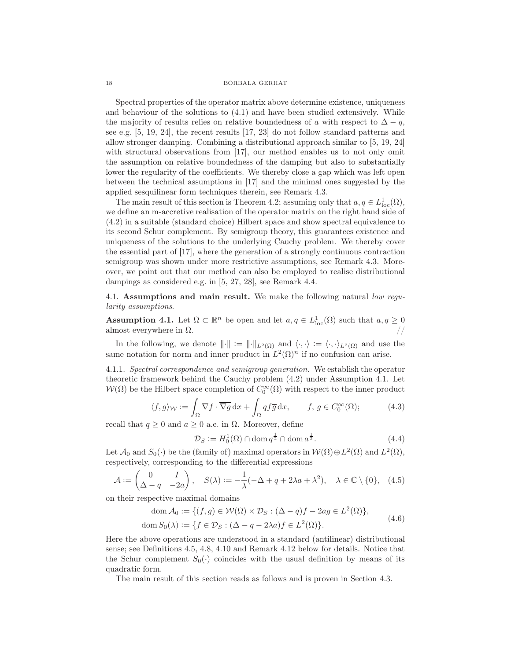Spectral properties of the operator matrix above determine existence, uniqueness and behaviour of the solutions to (4.1) and have been studied extensively. While the majority of results relies on relative boundedness of a with respect to  $\Delta - q$ , see e.g. [5, 19, 24], the recent results [17, 23] do not follow standard patterns and allow stronger damping. Combining a distributional approach similar to [5, 19, 24] with structural observations from [17], our method enables us to not only omit the assumption on relative boundedness of the damping but also to substantially lower the regularity of the coefficients. We thereby close a gap which was left open between the technical assumptions in [17] and the minimal ones suggested by the applied sesquilinear form techniques therein, see Remark 4.3.

The main result of this section is Theorem 4.2; assuming only that  $a, q \in L^1_{loc}(\Omega)$ , we define an m-accretive realisation of the operator matrix on the right hand side of (4.2) in a suitable (standard choice) Hilbert space and show spectral equivalence to its second Schur complement. By semigroup theory, this guarantees existence and uniqueness of the solutions to the underlying Cauchy problem. We thereby cover the essential part of [17], where the generation of a strongly continuous contraction semigroup was shown under more restrictive assumptions, see Remark 4.3. Moreover, we point out that our method can also be employed to realise distributional dampings as considered e.g. in [5, 27, 28], see Remark 4.4.

4.1. Assumptions and main result. We make the following natural low regularity assumptions.

**Assumption 4.1.** Let  $\Omega \subset \mathbb{R}^n$  be open and let  $a, q \in L^1_{loc}(\Omega)$  such that  $a, q \geq 0$ almost everywhere in  $\Omega$ .

In the following, we denote  $\|\cdot\| := \|\cdot\|_{L^2(\Omega)}$  and  $\langle \cdot, \cdot \rangle := \langle \cdot, \cdot \rangle_{L^2(\Omega)}$  and use the same notation for norm and inner product in  $L^2(\Omega)^n$  if no confusion can arise.

4.1.1. Spectral correspondence and semigroup generation. We establish the operator theoretic framework behind the Cauchy problem (4.2) under Assumption 4.1. Let  $W(\Omega)$  be the Hilbert space completion of  $C_0^{\infty}(\Omega)$  with respect to the inner product

$$
\langle f, g \rangle_{\mathcal{W}} := \int_{\Omega} \nabla f \cdot \overline{\nabla g} \, dx + \int_{\Omega} q f \overline{g} \, dx, \qquad f, g \in C_0^{\infty}(\Omega); \tag{4.3}
$$

recall that  $q \geq 0$  and  $a \geq 0$  a.e. in  $\Omega$ . Moreover, define

$$
\mathcal{D}_S := H_0^1(\Omega) \cap \text{dom}\, q^{\frac{1}{2}} \cap \text{dom}\, a^{\frac{1}{2}}.
$$
\n(4.4)

Let  $\mathcal{A}_0$  and  $S_0(\cdot)$  be the (family of) maximal operators in  $\mathcal{W}(\Omega) \oplus L^2(\Omega)$  and  $L^2(\Omega)$ , respectively, corresponding to the differential expressions

$$
\mathcal{A} := \begin{pmatrix} 0 & I \\ \Delta - q & -2a \end{pmatrix}, \quad S(\lambda) := -\frac{1}{\lambda} (-\Delta + q + 2\lambda a + \lambda^2), \quad \lambda \in \mathbb{C} \setminus \{0\}, \quad (4.5)
$$

on their respective maximal domains

$$
\text{dom}\,\mathcal{A}_0 := \{ (f,g) \in \mathcal{W}(\Omega) \times \mathcal{D}_S : (\Delta - q)f - 2ag \in L^2(\Omega) \},
$$
  

$$
\text{dom}\, S_0(\lambda) := \{ f \in \mathcal{D}_S : (\Delta - q - 2\lambda a)f \in L^2(\Omega) \}.
$$
 (4.6)

Here the above operations are understood in a standard (antilinear) distributional sense; see Definitions 4.5, 4.8, 4.10 and Remark 4.12 below for details. Notice that the Schur complement  $S_0(\cdot)$  coincides with the usual definition by means of its quadratic form.

The main result of this section reads as follows and is proven in Section 4.3.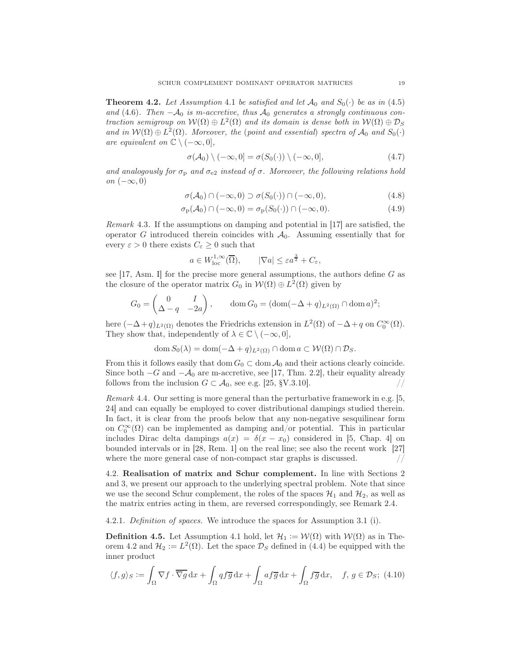**Theorem 4.2.** Let Assumption 4.1 be satisfied and let  $\mathcal{A}_0$  and  $S_0(\cdot)$  be as in (4.5) and (4.6). Then  $-\mathcal{A}_0$  is m-accretive, thus  $\mathcal{A}_0$  generates a strongly continuous contraction semigroup on  $W(\Omega) \oplus L^2(\Omega)$  and its domain is dense both in  $W(\Omega) \oplus \mathcal{D}_S$ and in  $W(\Omega) \oplus L^2(\Omega)$ . Moreover, the (point and essential) spectra of  $\mathcal{A}_0$  and  $S_0(\cdot)$ are equivalent on  $\mathbb{C} \setminus (-\infty, 0],$ 

$$
\sigma(\mathcal{A}_0) \setminus (-\infty, 0] = \sigma(S_0(\cdot)) \setminus (-\infty, 0], \tag{4.7}
$$

and analogously for  $\sigma_{\rm p}$  and  $\sigma_{\rm e2}$  instead of  $\sigma$ . Moreover, the following relations hold on  $(-\infty,0)$ 

$$
\sigma(\mathcal{A}_0) \cap (-\infty, 0) \supset \sigma(S_0(\cdot)) \cap (-\infty, 0), \tag{4.8}
$$

$$
\sigma_{\mathbf{p}}(\mathcal{A}_0) \cap (-\infty, 0) = \sigma_{\mathbf{p}}(S_0(\cdot)) \cap (-\infty, 0). \tag{4.9}
$$

Remark 4.3. If the assumptions on damping and potential in [17] are satisfied, the operator G introduced therein coincides with  $\mathcal{A}_0$ . Assuming essentially that for every  $\varepsilon > 0$  there exists  $C_{\varepsilon} \geq 0$  such that

$$
a \in W^{1,\infty}_{loc}(\overline{\Omega}), \qquad |\nabla a| \leq \varepsilon a^{\frac{3}{2}} + C_{\varepsilon},
$$

see  $[17, \text{Asm}]$  for the precise more general assumptions, the authors define G as the closure of the operator matrix  $G_0$  in  $W(\Omega) \oplus L^2(\Omega)$  given by

$$
G_0 = \begin{pmatrix} 0 & I \\ \Delta - q & -2a \end{pmatrix}, \qquad \text{dom}\, G_0 = (\text{dom}(-\Delta + q)_{L^2(\Omega)} \cap \text{dom}\, a)^2;
$$

here  $(-\Delta + q)_{L^2(\Omega)}$  denotes the Friedrichs extension in  $L^2(\Omega)$  of  $-\Delta + q$  on  $C_0^{\infty}(\Omega)$ . They show that, independently of  $\lambda \in \mathbb{C} \setminus (-\infty, 0],$ 

$$
\operatorname{dom} S_0(\lambda) = \operatorname{dom} (-\Delta + q)_{L^2(\Omega)} \cap \operatorname{dom} a \subset \mathcal{W}(\Omega) \cap \mathcal{D}_S.
$$

From this it follows easily that dom  $G_0 \subset \text{dom } A_0$  and their actions clearly coincide. Since both  $-G$  and  $-\mathcal{A}_0$  are m-accretive, see [17, Thm. 2.2], their equality already follows from the inclusion  $G \subset \mathcal{A}_0$ , see e.g. [25, §V.3.10].

Remark 4.4. Our setting is more general than the perturbative framework in e.g. [5, 24] and can equally be employed to cover distributional dampings studied therein. In fact, it is clear from the proofs below that any non-negative sesquilinear form on  $C_0^{\infty}(\Omega)$  can be implemented as damping and/or potential. This in particular includes Dirac delta dampings  $a(x) = \delta(x - x_0)$  considered in [5, Chap. 4] on bounded intervals or in [28, Rem. 1] on the real line; see also the recent work [27] where the more general case of non-compact star graphs is discussed.  $\frac{1}{2}$ 

4.2. Realisation of matrix and Schur complement. In line with Sections 2 and 3, we present our approach to the underlying spectral problem. Note that since we use the second Schur complement, the roles of the spaces  $\mathcal{H}_1$  and  $\mathcal{H}_2$ , as well as the matrix entries acting in them, are reversed correspondingly, see Remark 2.4.

# 4.2.1. Definition of spaces. We introduce the spaces for Assumption 3.1 (i).

**Definition 4.5.** Let Assumption 4.1 hold, let  $\mathcal{H}_1 := \mathcal{W}(\Omega)$  with  $\mathcal{W}(\Omega)$  as in Theorem 4.2 and  $\mathcal{H}_2 := L^2(\Omega)$ . Let the space  $\mathcal{D}_S$  defined in (4.4) be equipped with the inner product

$$
\langle f, g \rangle_S := \int_{\Omega} \nabla f \cdot \overline{\nabla g} \, dx + \int_{\Omega} q f \overline{g} \, dx + \int_{\Omega} a f \overline{g} \, dx + \int_{\Omega} f \overline{g} \, dx, \quad f, g \in \mathcal{D}_S; \ (4.10)
$$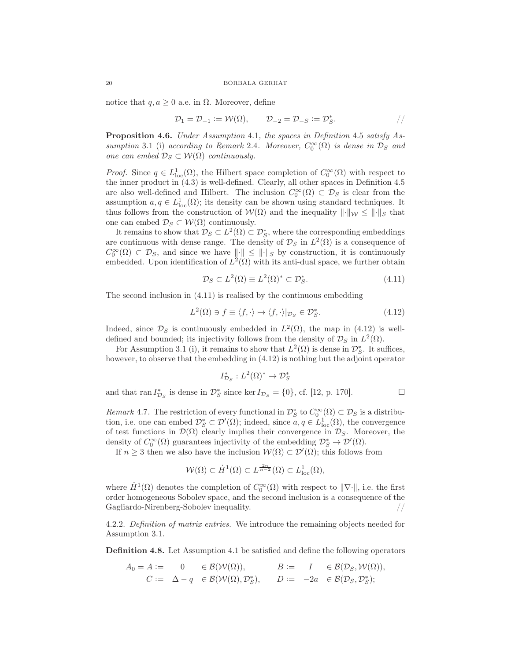notice that  $q, a \geq 0$  a.e. in  $\Omega$ . Moreover, define

$$
\mathcal{D}_1 = \mathcal{D}_{-1} := \mathcal{W}(\Omega), \qquad \mathcal{D}_{-2} = \mathcal{D}_{-S} := \mathcal{D}_S^*.
$$

Proposition 4.6. Under Assumption 4.1, the spaces in Definition 4.5 satisfy Assumption 3.1 (i) according to Remark 2.4. Moreover,  $C_0^{\infty}(\Omega)$  is dense in  $\mathcal{D}_S$  and one can embed  $\mathcal{D}_S \subset \mathcal{W}(\Omega)$  continuously.

*Proof.* Since  $q \in L^1_{loc}(\Omega)$ , the Hilbert space completion of  $C_0^{\infty}(\Omega)$  with respect to the inner product in (4.3) is well-defined. Clearly, all other spaces in Definition 4.5 are also well-defined and Hilbert. The inclusion  $C_0^{\infty}(\Omega) \subset \mathcal{D}_S$  is clear from the assumption  $a, q \in L^1_{loc}(\Omega)$ ; its density can be shown using standard techniques. It thus follows from the construction of  $W(\Omega)$  and the inequality  $\lVert \cdot \rVert_W \leq \lVert \cdot \rVert_S$  that one can embed  $\mathcal{D}_S \subset \mathcal{W}(\Omega)$  continuously.

It remains to show that  $\mathcal{D}_S \subset L^2(\Omega) \subset \mathcal{D}_S^*$ , where the corresponding embeddings are continuous with dense range. The density of  $\mathcal{D}_S$  in  $L^2(\Omega)$  is a consequence of  $C_0^{\infty}(\Omega) \subset \mathcal{D}_S$ , and since we have  $\|\cdot\| \leq \|\cdot\|_S$  by construction, it is continuously embedded. Upon identification of  $L^2(\Omega)$  with its anti-dual space, we further obtain

$$
\mathcal{D}_S \subset L^2(\Omega) \equiv L^2(\Omega)^* \subset \mathcal{D}_S^*.
$$
\n(4.11)

The second inclusion in (4.11) is realised by the continuous embedding

$$
L^{2}(\Omega) \ni f \equiv \langle f, \cdot \rangle \mapsto \langle f, \cdot \rangle |_{\mathcal{D}_{S}} \in \mathcal{D}_{S}^{*}.
$$
\n(4.12)

Indeed, since  $\mathcal{D}_S$  is continuously embedded in  $L^2(\Omega)$ , the map in (4.12) is welldefined and bounded; its injectivity follows from the density of  $\mathcal{D}_S$  in  $L^2(\Omega)$ .

For Assumption 3.1 (i), it remains to show that  $L^2(\Omega)$  is dense in  $\mathcal{D}_{S}^*$ . It suffices, however, to observe that the embedding in (4.12) is nothing but the adjoint operator

$$
I_{\mathcal{D}_S}^*: L^2(\Omega)^* \to \mathcal{D}_S^*
$$

and that  $\text{ran } I_{\mathcal{D}_S}^*$  is dense in  $\mathcal{D}_S^*$  since ker  $I_{\mathcal{D}_S} = \{0\}$ , cf. [12, p. 170].

Remark 4.7. The restriction of every functional in  $\mathcal{D}_{S}^{*}$  to  $C_{0}^{\infty}(\Omega) \subset \mathcal{D}_{S}$  is a distribution, i.e. one can embed  $\mathcal{D}_{S}^{*} \subset \mathcal{D}'(\Omega)$ ; indeed, since  $a, q \in L^{1}_{loc}(\Omega)$ , the convergence of test functions in  $\mathcal{D}(\Omega)$  clearly implies their convergence in  $\mathcal{D}_S$ . Moreover, the density of  $C_0^{\infty}(\Omega)$  guarantees injectivity of the embedding  $\mathcal{D}_S^* \to \mathcal{D}'(\Omega)$ .

If  $n \geq 3$  then we also have the inclusion  $\mathcal{W}(\Omega) \subset \mathcal{D}'(\Omega)$ ; this follows from

$$
\mathcal{W}(\Omega) \subset \dot{H}^1(\Omega) \subset L^{\frac{2n}{n-2}}(\Omega) \subset L^1_{\text{loc}}(\Omega),
$$

where  $H^1(\Omega)$  denotes the completion of  $C_0^{\infty}(\Omega)$  with respect to  $\|\nabla\cdot\|$ , i.e. the first order homogeneous Sobolev space, and the second inclusion is a consequence of the Gagliardo-Nirenberg-Sobolev inequality.

4.2.2. Definition of matrix entries. We introduce the remaining objects needed for Assumption 3.1.

Definition 4.8. Let Assumption 4.1 be satisfied and define the following operators

$$
A_0 = A := \begin{array}{rcl} 0 & \in \mathcal{B}(\mathcal{W}(\Omega)), & B := I & \in \mathcal{B}(\mathcal{D}_S, \mathcal{W}(\Omega)), \\ C := \Delta - q & \in \mathcal{B}(\mathcal{W}(\Omega), \mathcal{D}_S^*), & D := -2a & \in \mathcal{B}(\mathcal{D}_S, \mathcal{D}_S^*); \end{array}
$$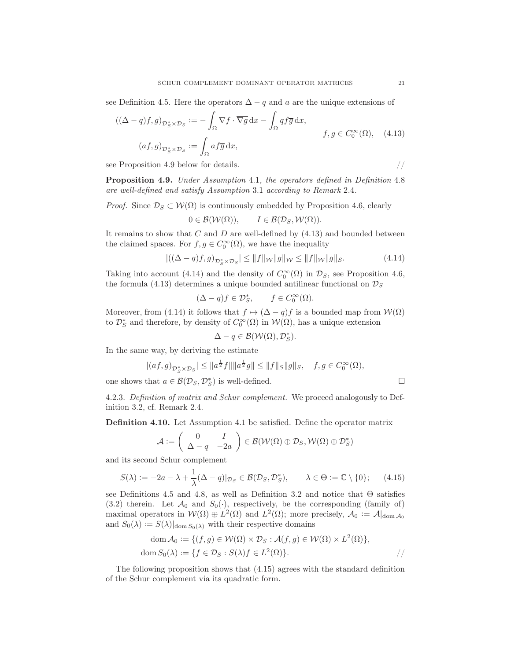see Definition 4.5. Here the operators  $\Delta - q$  and a are the unique extensions of

$$
((\Delta - q)f, g)_{\mathcal{D}_{S}^{*} \times \mathcal{D}_{S}} := -\int_{\Omega} \nabla f \cdot \overline{\nabla g} \, dx - \int_{\Omega} qf \overline{g} \, dx, f, g \in C_{0}^{\infty}(\Omega), \quad (4.13)
$$

$$
(af, g)_{\mathcal{D}_{S}^{*} \times \mathcal{D}_{S}} := \int_{\Omega} af \overline{g} \, dx,
$$

see Proposition 4.9 below for details.  $//$ 

Proposition 4.9. Under Assumption 4.1, the operators defined in Definition 4.8 are well-defined and satisfy Assumption 3.1 according to Remark 2.4.

*Proof.* Since  $\mathcal{D}_S \subset \mathcal{W}(\Omega)$  is continuously embedded by Proposition 4.6, clearly

$$
0\in\mathcal{B}(\mathcal{W}(\Omega)),\qquad I\in\mathcal{B}(\mathcal{D}_S,\mathcal{W}(\Omega)).
$$

It remains to show that  $C$  and  $D$  are well-defined by  $(4.13)$  and bounded between the claimed spaces. For  $f, g \in C_0^{\infty}(\Omega)$ , we have the inequality

$$
\left| \left( (\Delta - q)f, g \right)_{\mathcal{D}_{\mathcal{S}}^* \times \mathcal{D}_{\mathcal{S}}} \right| \le \|f\|_{\mathcal{W}} \|g\|_{\mathcal{W}} \le \|f\|_{\mathcal{W}} \|g\|_{\mathcal{S}}.
$$
 (4.14)

Taking into account (4.14) and the density of  $C_0^{\infty}(\Omega)$  in  $\mathcal{D}_S$ , see Proposition 4.6, the formula (4.13) determines a unique bounded antilinear functional on  $\mathcal{D}_S$ 

$$
(\Delta - q)f \in \mathcal{D}_S^*, \qquad f \in C_0^{\infty}(\Omega).
$$

Moreover, from (4.14) it follows that  $f \mapsto (\Delta - q)f$  is a bounded map from  $\mathcal{W}(\Omega)$ to  $\mathcal{D}_{S}^{*}$  and therefore, by density of  $C_0^{\infty}(\Omega)$  in  $\mathcal{W}(\Omega)$ , has a unique extension

$$
\Delta - q \in \mathcal{B}(\mathcal{W}(\Omega), \mathcal{D}_S^*).
$$

In the same way, by deriving the estimate

$$
|(af,g)_{\mathcal{D}_S^* \times \mathcal{D}_S}| \leq \|a^{\frac{1}{2}}f\| \|a^{\frac{1}{2}}g\| \leq \|f\|_S \|g\|_S, \quad f,g \in C_0^\infty(\Omega),
$$

one shows that  $a \in \mathcal{B}(\mathcal{D}_S, \mathcal{D}_S^*)$  is well-defined.

4.2.3. Definition of matrix and Schur complement. We proceed analogously to Definition 3.2, cf. Remark 2.4.

Definition 4.10. Let Assumption 4.1 be satisfied. Define the operator matrix

$$
\mathcal{A} := \left( \begin{array}{cc} 0 & I \\ \Delta - q & -2a \end{array} \right) \in \mathcal{B}(\mathcal{W}(\Omega) \oplus \mathcal{D}_S, \mathcal{W}(\Omega) \oplus \mathcal{D}_S^*)
$$

and its second Schur complement

$$
S(\lambda) := -2a - \lambda + \frac{1}{\lambda}(\Delta - q)|_{\mathcal{D}_S} \in \mathcal{B}(\mathcal{D}_S, \mathcal{D}_S^*), \qquad \lambda \in \Theta := \mathbb{C} \setminus \{0\};\tag{4.15}
$$

see Definitions 4.5 and 4.8, as well as Definition 3.2 and notice that Θ satisfies (3.2) therein. Let  $\mathcal{A}_0$  and  $S_0(\cdot)$ , respectively, be the corresponding (family of) maximal operators in  $W(\Omega) \oplus L^2(\Omega)$  and  $L^2(\Omega)$ ; more precisely,  $\mathcal{A}_0 := \mathcal{A}|_{\text{dom } \mathcal{A}_0}$ and  $S_0(\lambda) := S(\lambda)|_{\text{dom } S_0(\lambda)}$  with their respective domains

$$
\text{dom}\,\mathcal{A}_0 := \{ (f,g) \in \mathcal{W}(\Omega) \times \mathcal{D}_S : \mathcal{A}(f,g) \in \mathcal{W}(\Omega) \times L^2(\Omega) \},
$$
  
dom  $S_0(\lambda) := \{ f \in \mathcal{D}_S : S(\lambda)f \in L^2(\Omega) \}.$ 

The following proposition shows that (4.15) agrees with the standard definition of the Schur complement via its quadratic form.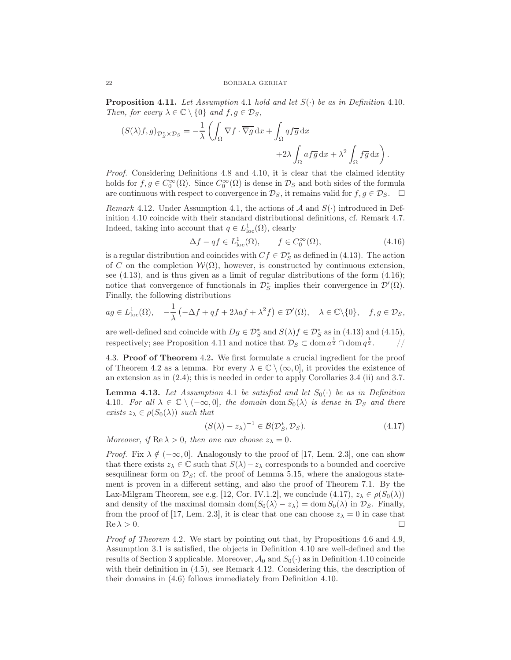**Proposition 4.11.** Let Assumption 4.1 hold and let  $S(\cdot)$  be as in Definition 4.10. Then, for every  $\lambda \in \mathbb{C} \setminus \{0\}$  and  $f, g \in \mathcal{D}_S$ ,

$$
(S(\lambda)f,g)_{\mathcal{D}_S^*\times\mathcal{D}_S} = -\frac{1}{\lambda} \left( \int_{\Omega} \nabla f \cdot \overline{\nabla g} \, dx + \int_{\Omega} q f \overline{g} \, dx + 2\lambda \int_{\Omega} af \overline{g} \, dx + \lambda^2 \int_{\Omega} f \overline{g} \, dx \right).
$$

Proof. Considering Definitions 4.8 and 4.10, it is clear that the claimed identity holds for  $f, g \in C_0^{\infty}(\Omega)$ . Since  $C_0^{\infty}(\Omega)$  is dense in  $\mathcal{D}_S$  and both sides of the formula are continuous with respect to convergence in  $\mathcal{D}_S$ , it remains valid for  $f, g \in \mathcal{D}_S$ .  $\Box$ 

*Remark* 4.12. Under Assumption 4.1, the actions of  $\mathcal A$  and  $S(\cdot)$  introduced in Definition 4.10 coincide with their standard distributional definitions, cf. Remark 4.7. Indeed, taking into account that  $q \in L^1_{loc}(\Omega)$ , clearly

$$
\Delta f - qf \in L_{\text{loc}}^1(\Omega), \qquad f \in C_0^{\infty}(\Omega), \tag{4.16}
$$

is a regular distribution and coincides with  $Cf \in \mathcal{D}_{S}^{*}$  as defined in (4.13). The action of C on the completion  $\mathcal{W}(\Omega)$ , however, is constructed by continuous extension, see (4.13), and is thus given as a limit of regular distributions of the form (4.16); notice that convergence of functionals in  $\mathcal{D}_{S}^{*}$  implies their convergence in  $\mathcal{D}'(\Omega)$ . Finally, the following distributions

$$
ag \in L^1_{loc}(\Omega), \quad -\frac{1}{\lambda} \left( -\Delta f + qf + 2\lambda af + \lambda^2 f \right) \in \mathcal{D}'(\Omega), \quad \lambda \in \mathbb{C} \setminus \{0\}, \quad f, g \in \mathcal{D}_S,
$$

are well-defined and coincide with  $Dg \in \mathcal{D}_{S}^{*}$  and  $S(\lambda)f \in \mathcal{D}_{S}^{*}$  as in (4.13) and (4.15), respectively; see Proposition 4.11 and notice that  $\mathcal{D}_S \subset \text{dom } a^{\frac{1}{2}} \cap \text{dom } q^{\frac{1}{2}}.$  //

4.3. Proof of Theorem 4.2. We first formulate a crucial ingredient for the proof of Theorem 4.2 as a lemma. For every  $\lambda \in \mathbb{C} \setminus (\infty, 0]$ , it provides the existence of an extension as in (2.4); this is needed in order to apply Corollaries 3.4 (ii) and 3.7.

**Lemma 4.13.** Let Assumption 4.1 be satisfied and let  $S_0(\cdot)$  be as in Definition 4.10. For all  $\lambda \in \mathbb{C} \setminus (-\infty, 0]$ , the domain dom  $S_0(\lambda)$  is dense in  $\mathcal{D}_S$  and there exists  $z_{\lambda} \in \rho(S_0(\lambda))$  such that

$$
(S(\lambda) - z_{\lambda})^{-1} \in \mathcal{B}(\mathcal{D}_{S}^{*}, \mathcal{D}_{S}). \tag{4.17}
$$

Moreover, if  $\text{Re }\lambda > 0$ , then one can choose  $z_{\lambda} = 0$ .

*Proof.* Fix  $\lambda \notin (-\infty, 0]$ . Analogously to the proof of [17, Lem. 2.3], one can show that there exists  $z_\lambda \in \mathbb{C}$  such that  $S(\lambda) - z_\lambda$  corresponds to a bounded and coercive sesquilinear form on  $\mathcal{D}_S$ ; cf. the proof of Lemma 5.15, where the analogous statement is proven in a different setting, and also the proof of Theorem 7.1. By the Lax-Milgram Theorem, see e.g. [12, Cor. IV.1.2], we conclude (4.17),  $z_{\lambda} \in \rho(S_0(\lambda))$ and density of the maximal domain dom $(S_0(\lambda) - z_\lambda) = \text{dom } S_0(\lambda)$  in  $\mathcal{D}_S$ . Finally, from the proof of [17, Lem. 2.3], it is clear that one can choose  $z_{\lambda} = 0$  in case that  $Re \lambda > 0.$ 

Proof of Theorem 4.2. We start by pointing out that, by Propositions 4.6 and 4.9, Assumption 3.1 is satisfied, the objects in Definition 4.10 are well-defined and the results of Section 3 applicable. Moreover,  $\mathcal{A}_0$  and  $S_0(\cdot)$  as in Definition 4.10 coincide with their definition in (4.5), see Remark 4.12. Considering this, the description of their domains in (4.6) follows immediately from Definition 4.10.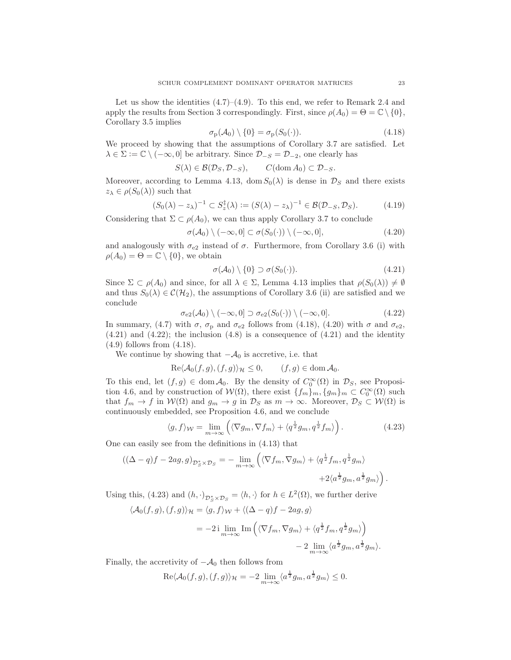Let us show the identities  $(4.7)$ – $(4.9)$ . To this end, we refer to Remark 2.4 and apply the results from Section 3 correspondingly. First, since  $\rho(A_0) = \Theta = \mathbb{C} \setminus \{0\},\$ Corollary 3.5 implies

$$
\sigma_{\mathbf{p}}(\mathcal{A}_0) \setminus \{0\} = \sigma_{\mathbf{p}}(S_0(\cdot)). \tag{4.18}
$$

We proceed by showing that the assumptions of Corollary 3.7 are satisfied. Let  $\lambda \in \Sigma := \mathbb{C} \setminus (-\infty, 0]$  be arbitrary. Since  $\mathcal{D}_{-S} = \mathcal{D}_{-2}$ , one clearly has

$$
S(\lambda) \in \mathcal{B}(\mathcal{D}_S, \mathcal{D}_{-S}), \qquad C(\text{dom}\, A_0) \subset \mathcal{D}_{-S}.
$$

Moreover, according to Lemma 4.13, dom  $S_0(\lambda)$  is dense in  $\mathcal{D}_S$  and there exists  $z_{\lambda} \in \rho(S_0(\lambda))$  such that

$$
(S_0(\lambda) - z_\lambda)^{-1} \subset S_z^{\dagger}(\lambda) := (S(\lambda) - z_\lambda)^{-1} \in \mathcal{B}(\mathcal{D}_{-S}, \mathcal{D}_S). \tag{4.19}
$$

Considering that  $\Sigma \subset \rho(A_0)$ , we can thus apply Corollary 3.7 to conclude

$$
\sigma(\mathcal{A}_0) \setminus (-\infty, 0] \subset \sigma(S_0(\cdot)) \setminus (-\infty, 0], \tag{4.20}
$$

and analogously with  $\sigma_{e2}$  instead of  $\sigma$ . Furthermore, from Corollary 3.6 (i) with  $\rho(A_0) = \Theta = \mathbb{C} \setminus \{0\}$ , we obtain

$$
\sigma(\mathcal{A}_0) \setminus \{0\} \supset \sigma(S_0(\cdot)). \tag{4.21}
$$

Since  $\Sigma \subset \rho(A_0)$  and since, for all  $\lambda \in \Sigma$ , Lemma 4.13 implies that  $\rho(S_0(\lambda)) \neq \emptyset$ and thus  $S_0(\lambda) \in \mathcal{C}(\mathcal{H}_2)$ , the assumptions of Corollary 3.6 (ii) are satisfied and we conclude

$$
\sigma_{e2}(\mathcal{A}_0) \setminus (-\infty, 0] \supset \sigma_{e2}(S_0(\cdot)) \setminus (-\infty, 0]. \tag{4.22}
$$

In summary, (4.7) with  $\sigma$ ,  $\sigma_{\rm p}$  and  $\sigma_{\rm e2}$  follows from (4.18), (4.20) with  $\sigma$  and  $\sigma_{\rm e2}$ ,  $(4.21)$  and  $(4.22)$ ; the inclusion  $(4.8)$  is a consequence of  $(4.21)$  and the identity (4.9) follows from (4.18).

We continue by showing that  $-\mathcal{A}_0$  is accretive, i.e. that

$$
\operatorname{Re}\langle \mathcal{A}_0(f,g), (f,g) \rangle_{\mathcal{H}} \le 0, \qquad (f,g) \in \operatorname{dom} \mathcal{A}_0.
$$

To this end, let  $(f, g) \in \text{dom} \mathcal{A}_0$ . By the density of  $C_0^{\infty}(\Omega)$  in  $\mathcal{D}_S$ , see Proposition 4.6, and by construction of  $W(\Omega)$ , there exist  $\{f_m\}_m$ ,  $\{g_m\}_m \subset C_0^{\infty}(\Omega)$  such that  $f_m \to f$  in  $W(\Omega)$  and  $g_m \to g$  in  $\mathcal{D}_S$  as  $m \to \infty$ . Moreover,  $\mathcal{D}_S \subset W(\Omega)$  is continuously embedded, see Proposition 4.6, and we conclude

$$
\langle g, f \rangle_{\mathcal{W}} = \lim_{m \to \infty} \left( \langle \nabla g_m, \nabla f_m \rangle + \langle q^{\frac{1}{2}} g_m, q^{\frac{1}{2}} f_m \rangle \right). \tag{4.23}
$$

One can easily see from the definitions in (4.13) that

$$
\left( (\Delta - q)f - 2ag, g \right)_{\mathcal{D}_{S}^{*} \times \mathcal{D}_{S}} = - \lim_{m \to \infty} \left( \langle \nabla f_{m}, \nabla g_{m} \rangle + \langle q^{\frac{1}{2}} f_{m}, q^{\frac{1}{2}} g_{m} \rangle \right) + 2 \langle a^{\frac{1}{2}} g_{m}, a^{\frac{1}{2}} g_{m} \rangle \right).
$$

Using this, (4.23) and  $(h, \cdot)_{\mathcal{D}_{S}^{*}\times\mathcal{D}_{S}} = \langle h, \cdot \rangle$  for  $h \in L^{2}(\Omega)$ , we further derive

$$
\langle \mathcal{A}_0(f,g), (f,g) \rangle_{\mathcal{H}} = \langle g, f \rangle_{\mathcal{W}} + \langle (\Delta - q)f - 2ag, g \rangle
$$
  
=  $-2i \lim_{m \to \infty} \text{Im} \left( \langle \nabla f_m, \nabla g_m \rangle + \langle q^{\frac{1}{2}} f_m, q^{\frac{1}{2}} g_m \rangle \right)$   
 $- 2 \lim_{m \to \infty} \langle a^{\frac{1}{2}} g_m, a^{\frac{1}{2}} g_m \rangle.$ 

Finally, the accretivity of  $-\mathcal{A}_0$  then follows from

$$
\operatorname{Re}\langle \mathcal{A}_0(f,g), (f,g) \rangle_{\mathcal{H}} = -2 \lim_{m \to \infty} \langle a^{\frac{1}{2}} g_m, a^{\frac{1}{2}} g_m \rangle \le 0.
$$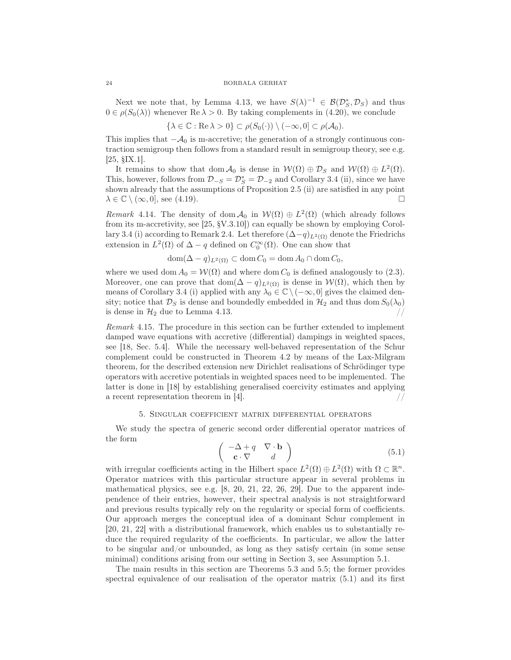Next we note that, by Lemma 4.13, we have  $S(\lambda)^{-1} \in \mathcal{B}(\mathcal{D}_{\mathcal{S}}^*, \mathcal{D}_{\mathcal{S}})$  and thus  $0 \in \rho(S_0(\lambda))$  whenever Re  $\lambda > 0$ . By taking complements in (4.20), we conclude

$$
\{\lambda \in \mathbb{C} : \text{Re}\,\lambda > 0\} \subset \rho(S_0(\cdot)) \setminus (-\infty, 0] \subset \rho(\mathcal{A}_0).
$$

This implies that  $-\mathcal{A}_0$  is m-accretive; the generation of a strongly continuous contraction semigroup then follows from a standard result in semigroup theory, see e.g. [25, §IX.1].

It remains to show that  $\text{dom } \mathcal{A}_0$  is dense in  $\mathcal{W}(\Omega) \oplus \mathcal{D}_S$  and  $\mathcal{W}(\Omega) \oplus L^2(\Omega)$ . This, however, follows from  $\mathcal{D}_{-S} = \mathcal{D}_{S}^* = \mathcal{D}_{-2}$  and Corollary 3.4 (ii), since we have shown already that the assumptions of Proposition 2.5 (ii) are satisfied in any point  $\lambda \in \mathbb{C} \setminus (\infty, 0]$ , see (4.19).

Remark 4.14. The density of dom  $\mathcal{A}_0$  in  $\mathcal{W}(\Omega) \oplus L^2(\Omega)$  (which already follows from its m-accretivity, see [25, §V.3.10]) can equally be shown by employing Corollary 3.4 (i) according to Remark 2.4. Let therefore  $(\Delta - q)_{L^2(\Omega)}$  denote the Friedrichs extension in  $L^2(\Omega)$  of  $\Delta - q$  defined on  $C_0^{\infty}(\Omega)$ . One can show that

$$
\operatorname{dom}(\Delta - q)_{L^2(\Omega)} \subset \operatorname{dom} C_0 = \operatorname{dom} A_0 \cap \operatorname{dom} C_0,
$$

where we used dom  $A_0 = \mathcal{W}(\Omega)$  and where dom  $C_0$  is defined analogously to (2.3). Moreover, one can prove that dom $(\Delta - q)_{L^2(\Omega)}$  is dense in  $\mathcal{W}(\Omega)$ , which then by means of Corollary 3.4 (i) applied with any  $\lambda_0 \in \mathbb{C} \setminus (-\infty, 0]$  gives the claimed density; notice that  $\mathcal{D}_S$  is dense and boundedly embedded in  $\mathcal{H}_2$  and thus dom  $S_0(\lambda_0)$ is dense in  $\mathcal{H}_2$  due to Lemma 4.13.

Remark 4.15. The procedure in this section can be further extended to implement damped wave equations with accretive (differential) dampings in weighted spaces, see [18, Sec. 5.4]. While the necessary well-behaved representation of the Schur complement could be constructed in Theorem 4.2 by means of the Lax-Milgram theorem, for the described extension new Dirichlet realisations of Schrödinger type operators with accretive potentials in weighted spaces need to be implemented. The latter is done in [18] by establishing generalised coercivity estimates and applying a recent representation theorem in [4].

## 5. Singular coefficient matrix differential operators

We study the spectra of generic second order differential operator matrices of the form

$$
\left(\begin{array}{cc} -\Delta + q & \nabla \cdot \mathbf{b} \\ \mathbf{c} \cdot \nabla & d \end{array}\right) \tag{5.1}
$$

with irregular coefficients acting in the Hilbert space  $L^2(\Omega) \oplus L^2(\Omega)$  with  $\Omega \subset \mathbb{R}^n$ . Operator matrices with this particular structure appear in several problems in mathematical physics, see e.g. [8, 20, 21, 22, 26, 29]. Due to the apparent independence of their entries, however, their spectral analysis is not straightforward and previous results typically rely on the regularity or special form of coefficients. Our approach merges the conceptual idea of a dominant Schur complement in [20, 21, 22] with a distributional framework, which enables us to substantially reduce the required regularity of the coefficients. In particular, we allow the latter to be singular and/or unbounded, as long as they satisfy certain (in some sense minimal) conditions arising from our setting in Section 3, see Assumption 5.1.

The main results in this section are Theorems 5.3 and 5.5; the former provides spectral equivalence of our realisation of the operator matrix (5.1) and its first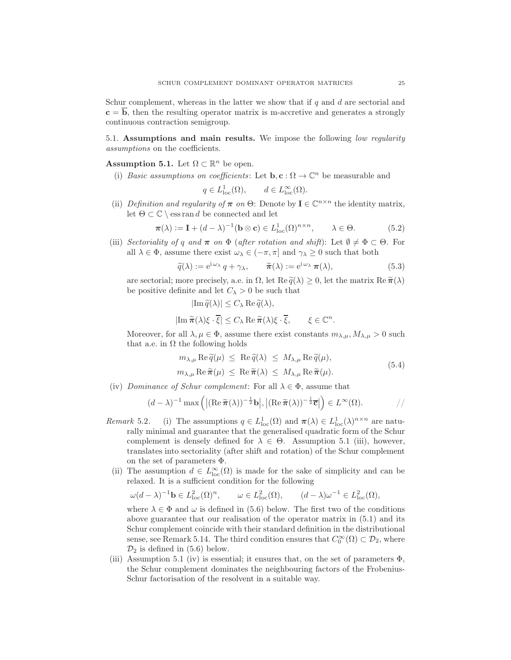Schur complement, whereas in the latter we show that if  $q$  and  $d$  are sectorial and  $c = \overline{b}$ , then the resulting operator matrix is m-accretive and generates a strongly continuous contraction semigroup.

5.1. Assumptions and main results. We impose the following low regularity assumptions on the coefficients.

**Assumption 5.1.** Let  $\Omega \subset \mathbb{R}^n$  be open.

(i) Basic assumptions on coefficients: Let  $\mathbf{b}, \mathbf{c} : \Omega \to \mathbb{C}^n$  be measurable and

$$
q \in L^1_{loc}(\Omega)
$$
,  $d \in L^\infty_{loc}(\Omega)$ .

(ii) Definition and regularity of  $\pi$  on  $\Theta$ : Denote by  $I \in \mathbb{C}^{n \times n}$  the identity matrix, let  $\Theta \subset \mathbb{C} \setminus \text{ess ran } d$  be connected and let

$$
\boldsymbol{\pi}(\lambda) := \mathbf{I} + (d - \lambda)^{-1} (\mathbf{b} \otimes \mathbf{c}) \in L^1_{\text{loc}}(\Omega)^{n \times n}, \qquad \lambda \in \Theta.
$$
 (5.2)

(iii) Sectoriality of q and  $\pi$  on  $\Phi$  (after rotation and shift): Let  $\emptyset \neq \Phi \subset \Theta$ . For all  $\lambda \in \Phi$ , assume there exist  $\omega_{\lambda} \in (-\pi, \pi]$  and  $\gamma_{\lambda} \geq 0$  such that both

$$
\widetilde{q}(\lambda) := e^{i \omega_{\lambda}} q + \gamma_{\lambda}, \qquad \widetilde{\pi}(\lambda) := e^{i \omega_{\lambda}} \pi(\lambda), \tag{5.3}
$$

are sectorial; more precisely, a.e. in  $\Omega$ , let  $\text{Re } \tilde{q}(\lambda) \geq 0$ , let the matrix  $\text{Re } \tilde{\pi}(\lambda)$ be positive definite and let  $C_{\lambda} > 0$  be such that

$$
|\text{Im}\,\widetilde{q}(\lambda)| \leq C_{\lambda}\,\text{Re}\,\widetilde{q}(\lambda),
$$
  

$$
|\text{Im}\,\widetilde{\pi}(\lambda)\xi\cdot\overline{\xi}| \leq C_{\lambda}\,\text{Re}\,\widetilde{\pi}(\lambda)\xi\cdot\overline{\xi}, \qquad \xi \in \mathbb{C}^n.
$$

Moreover, for all  $\lambda, \mu \in \Phi$ , assume there exist constants  $m_{\lambda,\mu}, M_{\lambda,\mu} > 0$  such that a.e. in  $\Omega$  the following holds

$$
m_{\lambda,\mu} \operatorname{Re} \tilde{q}(\mu) \leq \operatorname{Re} \tilde{q}(\lambda) \leq M_{\lambda,\mu} \operatorname{Re} \tilde{q}(\mu),
$$
  

$$
m_{\lambda,\mu} \operatorname{Re} \tilde{\pi}(\mu) \leq \operatorname{Re} \tilde{\pi}(\lambda) \leq M_{\lambda,\mu} \operatorname{Re} \tilde{\pi}(\mu).
$$
 (5.4)

(iv) Dominance of Schur complement: For all  $\lambda \in \Phi$ , assume that

$$
(d - \lambda)^{-1} \max \left( |(\mathrm{Re}\,\widetilde{\pi}(\lambda))^{-\frac{1}{2}} \mathbf{b}|, |(\mathrm{Re}\,\widetilde{\pi}(\lambda))^{-\frac{1}{2}} \overline{\mathbf{c}}| \right) \in L^{\infty}(\Omega). \tag{7}
$$

- Remark 5.2. (i) The assumptions  $q \in L^1_{loc}(\Omega)$  and  $\pi(\lambda) \in L^1_{loc}(\lambda)^{n \times n}$  are naturally minimal and guarantee that the generalised quadratic form of the Schur complement is densely defined for  $\lambda \in \Theta$ . Assumption 5.1 (iii), however, translates into sectoriality (after shift and rotation) of the Schur complement on the set of parameters Φ.
- (ii) The assumption  $d \in L^{\infty}_{loc}(\Omega)$  is made for the sake of simplicity and can be relaxed. It is a sufficient condition for the following

$$
\omega(d-\lambda)^{-1}\mathbf{b} \in L^2_{\text{loc}}(\Omega)^n, \qquad \omega \in L^2_{\text{loc}}(\Omega), \qquad (d-\lambda)\omega^{-1} \in L^2_{\text{loc}}(\Omega),
$$

where  $\lambda \in \Phi$  and  $\omega$  is defined in (5.6) below. The first two of the conditions above guarantee that our realisation of the operator matrix in (5.1) and its Schur complement coincide with their standard definition in the distributional sense, see Remark 5.14. The third condition ensures that  $C_0^{\infty}(\Omega) \subset \mathcal{D}_2$ , where  $\mathcal{D}_2$  is defined in (5.6) below.

(iii) Assumption 5.1 (iv) is essential; it ensures that, on the set of parameters  $\Phi$ , the Schur complement dominates the neighbouring factors of the Frobenius-Schur factorisation of the resolvent in a suitable way.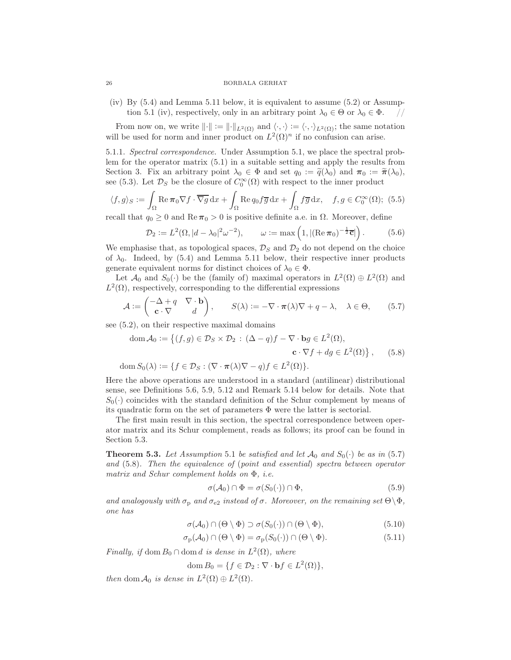(iv) By (5.4) and Lemma 5.11 below, it is equivalent to assume (5.2) or Assumption 5.1 (iv), respectively, only in an arbitrary point  $\lambda_0 \in \Theta$  or  $\lambda_0 \in \Phi$ .

From now on, we write  $\|\cdot\| := \|\cdot\|_{L^2(\Omega)}$  and  $\langle \cdot, \cdot \rangle := \langle \cdot, \cdot \rangle_{L^2(\Omega)}$ ; the same notation will be used for norm and inner product on  $L^2(\Omega)^n$  if no confusion can arise.

5.1.1. Spectral correspondence. Under Assumption 5.1, we place the spectral problem for the operator matrix (5.1) in a suitable setting and apply the results from Section 3. Fix an arbitrary point  $\lambda_0 \in \Phi$  and set  $q_0 := \tilde{q}(\lambda_0)$  and  $\pi_0 := \tilde{\pi}(\lambda_0)$ , see (5.3). Let  $\mathcal{D}_S$  be the closure of  $C_0^{\infty}(\Omega)$  with respect to the inner product

$$
\langle f, g \rangle_S := \int_{\Omega} \text{Re}\,\pi_0 \nabla f \cdot \overline{\nabla g} \,dx + \int_{\Omega} \text{Re}\,q_0 f \overline{g} \,dx + \int_{\Omega} f \overline{g} \,dx, \quad f, g \in C_0^{\infty}(\Omega); \tag{5.5}
$$

recall that  $q_0 \geq 0$  and  $\text{Re}\,\pi_0 > 0$  is positive definite a.e. in  $\Omega$ . Moreover, define

$$
\mathcal{D}_2 := L^2(\Omega, |d - \lambda_0|^2 \omega^{-2}), \qquad \omega := \max\left(1, |(\text{Re}\,\pi_0)^{-\frac{1}{2}}\overline{\mathbf{c}}|\right). \tag{5.6}
$$

We emphasise that, as topological spaces,  $\mathcal{D}_S$  and  $\mathcal{D}_2$  do not depend on the choice of  $\lambda_0$ . Indeed, by (5.4) and Lemma 5.11 below, their respective inner products generate equivalent norms for distinct choices of  $\lambda_0 \in \Phi$ .

Let  $\mathcal{A}_0$  and  $S_0(\cdot)$  be the (family of) maximal operators in  $L^2(\Omega) \oplus L^2(\Omega)$  and  $L^2(\Omega)$ , respectively, corresponding to the differential expressions

$$
\mathcal{A} := \begin{pmatrix} -\Delta + q & \nabla \cdot \mathbf{b} \\ \mathbf{c} \cdot \nabla & d \end{pmatrix}, \qquad S(\lambda) := -\nabla \cdot \pi(\lambda)\nabla + q - \lambda, \quad \lambda \in \Theta, \qquad (5.7)
$$

see (5.2), on their respective maximal domains

dom 
$$
\mathcal{A}_0 := \{(f, g) \in \mathcal{D}_S \times \mathcal{D}_2 : (\Delta - q)f - \nabla \cdot \mathbf{b}g \in L^2(\Omega),
$$
  
\n
$$
\mathbf{c} \cdot \nabla f + dg \in L^2(\Omega)\}, \qquad (5.8)
$$
\n
$$
\text{dom } S_0(\lambda) := \{f \in \mathcal{D}_S : (\nabla \cdot \pi(\lambda)\nabla - q)f \in L^2(\Omega)\}.
$$

Here the above operations are understood in a standard (antilinear) distributional sense, see Definitions 5.6, 5.9, 5.12 and Remark 5.14 below for details. Note that  $S_0(\cdot)$  coincides with the standard definition of the Schur complement by means of its quadratic form on the set of parameters  $\Phi$  were the latter is sectorial.

The first main result in this section, the spectral correspondence between operator matrix and its Schur complement, reads as follows; its proof can be found in Section 5.3.

**Theorem 5.3.** Let Assumption 5.1 be satisfied and let  $\mathcal{A}_0$  and  $S_0(\cdot)$  be as in (5.7) and (5.8). Then the equivalence of (point and essential) spectra between operator matrix and Schur complement holds on Φ, i.e.

$$
\sigma(\mathcal{A}_0) \cap \Phi = \sigma(S_0(\cdot)) \cap \Phi,\tag{5.9}
$$

and analogously with  $\sigma_{\rm p}$  and  $\sigma_{\rm e2}$  instead of  $\sigma$ . Moreover, on the remaining set  $\Theta \backslash \Phi$ , one has

$$
\sigma(\mathcal{A}_0) \cap (\Theta \setminus \Phi) \supset \sigma(S_0(\cdot)) \cap (\Theta \setminus \Phi), \tag{5.10}
$$

$$
\sigma_{\mathbf{p}}(\mathcal{A}_{0}) \cap (\Theta \setminus \Phi) = \sigma_{\mathbf{p}}(S_{0}(\cdot)) \cap (\Theta \setminus \Phi). \tag{5.11}
$$

Finally, if dom  $B_0 \cap$  dom d is dense in  $L^2(\Omega)$ , where

dom 
$$
B_0 = \{ f \in \mathcal{D}_2 : \nabla \cdot \mathbf{b} f \in L^2(\Omega) \},\
$$

then dom  $\mathcal{A}_0$  is dense in  $L^2(\Omega) \oplus L^2(\Omega)$ .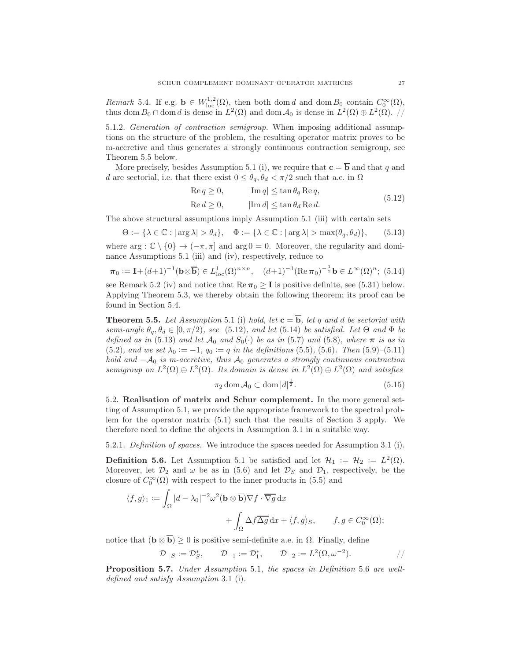Remark 5.4. If e.g.  $\mathbf{b} \in W^{1,2}_{loc}(\Omega)$ , then both dom d and dom  $B_0$  contain  $C_0^{\infty}(\Omega)$ , thus dom  $B_0 \cap$  dom d is dense in  $L^2(\Omega)$  and dom  $A_0$  is dense in  $L^2(\Omega) \oplus L^2(\Omega)$ . //

5.1.2. Generation of contraction semigroup. When imposing additional assumptions on the structure of the problem, the resulting operator matrix proves to be m-accretive and thus generates a strongly continuous contraction semigroup, see Theorem 5.5 below.

More precisely, besides Assumption 5.1 (i), we require that  $\mathbf{c} = \overline{\mathbf{b}}$  and that q and d are sectorial, i.e. that there exist  $0 \leq \theta_q$ ,  $\theta_d < \pi/2$  such that a.e. in  $\Omega$ 

$$
\begin{aligned}\n\text{Re } q &\geq 0, & |\text{Im } q| &\leq \tan \theta_q \text{ Re } q, \\
\text{Re } d &\geq 0, & |\text{Im } d| &\leq \tan \theta_d \text{ Re } d.\n\end{aligned} \tag{5.12}
$$

The above structural assumptions imply Assumption 5.1 (iii) with certain sets

$$
\Theta := \{ \lambda \in \mathbb{C} : |\arg \lambda| > \theta_d \}, \quad \Phi := \{ \lambda \in \mathbb{C} : |\arg \lambda| > \max(\theta_q, \theta_d) \}, \qquad (5.13)
$$

where  $\arg : \mathbb{C} \setminus \{0\} \to (-\pi, \pi]$  and  $\arg 0 = 0$ . Moreover, the regularity and dominance Assumptions 5.1 (iii) and (iv), respectively, reduce to

$$
\pi_0 := \mathbf{I} + (d+1)^{-1} (\mathbf{b} \otimes \overline{\mathbf{b}}) \in L^1_{loc}(\Omega)^{n \times n}, \quad (d+1)^{-1} (\text{Re}\,\pi_0)^{-\frac{1}{2}} \mathbf{b} \in L^\infty(\Omega)^n; \tag{5.14}
$$

see Remark 5.2 (iv) and notice that  $\text{Re}\,\pi_0 \geq I$  is positive definite, see (5.31) below. Applying Theorem 5.3, we thereby obtain the following theorem; its proof can be found in Section 5.4.

**Theorem 5.5.** Let Assumption 5.1 (i) hold, let  $\mathbf{c} = \overline{\mathbf{b}}$ , let q and d be sectorial with semi-angle  $\theta_q$ ,  $\theta_d \in [0, \pi/2)$ , see (5.12), and let (5.14) be satisfied. Let  $\Theta$  and  $\Phi$  be defined as in (5.13) and let  $\mathcal{A}_0$  and  $S_0(\cdot)$  be as in (5.7) and (5.8), where  $\pi$  is as in (5.2), and we set  $\lambda_0 := -1$ ,  $q_0 := q$  in the definitions (5.5), (5.6). Then (5.9)–(5.11) hold and  $-A_0$  is m-accretive, thus  $A_0$  generates a strongly continuous contraction semigroup on  $L^2(\Omega) \oplus L^2(\Omega)$ . Its domain is dense in  $L^2(\Omega) \oplus L^2(\Omega)$  and satisfies

$$
\pi_2 \operatorname{dom} \mathcal{A}_0 \subset \operatorname{dom} |d|^{\frac{1}{2}}.
$$
\n(5.15)

5.2. Realisation of matrix and Schur complement. In the more general setting of Assumption 5.1, we provide the appropriate framework to the spectral problem for the operator matrix (5.1) such that the results of Section 3 apply. We therefore need to define the objects in Assumption 3.1 in a suitable way.

5.2.1. Definition of spaces. We introduce the spaces needed for Assumption 3.1 (i).

**Definition 5.6.** Let Assumption 5.1 be satisfied and let  $\mathcal{H}_1 := \mathcal{H}_2 := L^2(\Omega)$ . Moreover, let  $\mathcal{D}_2$  and  $\omega$  be as in (5.6) and let  $\mathcal{D}_S$  and  $\mathcal{D}_1$ , respectively, be the closure of  $C_0^{\infty}(\Omega)$  with respect to the inner products in (5.5) and

$$
\langle f, g \rangle_1 := \int_{\Omega} |d - \lambda_0|^{-2} \omega^2 (\mathbf{b} \otimes \overline{\mathbf{b}}) \nabla f \cdot \overline{\nabla g} \, dx + \int_{\Omega} \Delta f \overline{\Delta g} \, dx + \langle f, g \rangle_S, \qquad f, g \in C_0^{\infty}(\Omega);
$$

notice that  $(\mathbf{b} \otimes \overline{\mathbf{b}}) \geq 0$  is positive semi-definite a.e. in  $\Omega$ . Finally, define

$$
\mathcal{D}_{-S} := \mathcal{D}_{S}^{*}, \qquad \mathcal{D}_{-1} := \mathcal{D}_{1}^{*}, \qquad \mathcal{D}_{-2} := L^{2}(\Omega, \omega^{-2}). \qquad \qquad \frac{1}{2}
$$

Proposition 5.7. Under Assumption 5.1, the spaces in Definition 5.6 are welldefined and satisfy Assumption 3.1 (i).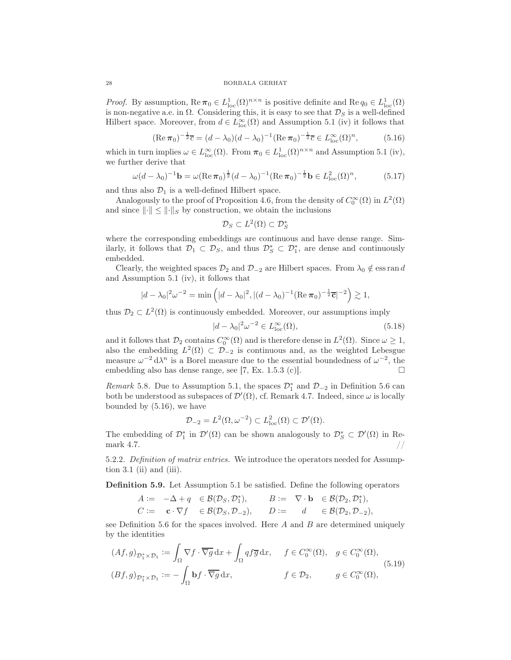*Proof.* By assumption,  $\text{Re}\,\pi_0 \in L^1_{\text{loc}}(\Omega)$ <sup>n×n</sup> is positive definite and  $\text{Re}\,q_0 \in L^1_{\text{loc}}(\Omega)$ is non-negative a.e. in  $\Omega$ . Considering this, it is easy to see that  $\mathcal{D}_S$  is a well-defined Hilbert space. Moreover, from  $d \in L^{\infty}_{loc}(\Omega)$  and Assumption 5.1 (iv) it follows that

$$
(\text{Re}\,\pi_0)^{-\frac{1}{2}}\overline{c} = (d - \lambda_0)(d - \lambda_0)^{-1}(\text{Re}\,\pi_0)^{-\frac{1}{2}}\overline{c} \in L^{\infty}_{\text{loc}}(\Omega)^n, \tag{5.16}
$$

which in turn implies  $\omega \in L^{\infty}_{loc}(\Omega)$ . From  $\pi_0 \in L^1_{loc}(\Omega)^{n \times n}$  and Assumption 5.1 (iv), we further derive that

$$
\omega(d - \lambda_0)^{-1} \mathbf{b} = \omega(\text{Re}\,\pi_0)^{\frac{1}{2}}(d - \lambda_0)^{-1}(\text{Re}\,\pi_0)^{-\frac{1}{2}}\mathbf{b} \in L^2_{\text{loc}}(\Omega)^n, \tag{5.17}
$$

and thus also  $\mathcal{D}_1$  is a well-defined Hilbert space.

Analogously to the proof of Proposition 4.6, from the density of  $C_0^{\infty}(\Omega)$  in  $L^2(\Omega)$ and since  $\lVert \cdot \rVert \leq \lVert \cdot \rVert_S$  by construction, we obtain the inclusions

$$
\mathcal{D}_S \subset L^2(\Omega) \subset \mathcal{D}_S^*
$$

where the corresponding embeddings are continuous and have dense range. Similarly, it follows that  $\mathcal{D}_1 \subset \mathcal{D}_S$ , and thus  $\mathcal{D}_S^* \subset \mathcal{D}_1^*$ , are dense and continuously embedded.

Clearly, the weighted spaces  $\mathcal{D}_2$  and  $\mathcal{D}_{-2}$  are Hilbert spaces. From  $\lambda_0 \notin \text{ess ran } d$ and Assumption 5.1 (iv), it follows that

$$
|d - \lambda_0|^2 \omega^{-2} = \min\left(|d - \lambda_0|^2, |(d - \lambda_0)^{-1} (\text{Re}\,\pi_0)^{-\frac{1}{2}} \overline{\mathbf{c}}|^{-2}\right) \gtrsim 1,
$$

thus  $\mathcal{D}_2 \subset L^2(\Omega)$  is continuously embedded. Moreover, our assumptions imply

$$
|d - \lambda_0|^2 \omega^{-2} \in L_{\text{loc}}^{\infty}(\Omega),\tag{5.18}
$$

and it follows that  $\mathcal{D}_2$  contains  $C_0^{\infty}(\Omega)$  and is therefore dense in  $L^2(\Omega)$ . Since  $\omega \geq 1$ , also the embedding  $L^2(\Omega) \subset \mathcal{D}_{-2}$  is continuous and, as the weighted Lebesgue measure  $\omega^{-2} d\lambda^n$  is a Borel measure due to the essential boundedness of  $\omega^{-2}$ , the embedding also has dense range, see [7, Ex. 1.5.3 (c)].  $\Box$ 

Remark 5.8. Due to Assumption 5.1, the spaces  $\mathcal{D}_1^*$  and  $\mathcal{D}_{-2}$  in Definition 5.6 can both be understood as subspaces of  $\mathcal{D}'(\Omega)$ , cf. Remark 4.7. Indeed, since  $\omega$  is locally bounded by (5.16), we have

$$
\mathcal{D}_{-2} = L^2(\Omega, \omega^{-2}) \subset L^2_{\text{loc}}(\Omega) \subset \mathcal{D}'(\Omega).
$$

The embedding of  $\mathcal{D}_1^*$  in  $\mathcal{D}'(\Omega)$  can be shown analogously to  $\mathcal{D}_S^* \subset \mathcal{D}'(\Omega)$  in Remark 4.7.  $\frac{1}{2}$  //

5.2.2. Definition of matrix entries. We introduce the operators needed for Assumption 3.1 (ii) and (iii).

Definition 5.9. Let Assumption 5.1 be satisfied. Define the following operators

$$
\begin{array}{rclcrcl} A & := & -\Delta + q & \in \mathcal{B}(\mathcal{D}_S, \mathcal{D}_1^*), & \quad B := & \nabla \cdot \mathbf{b} & \in \mathcal{B}(\mathcal{D}_2, \mathcal{D}_1^*), \\ C & := & \mathbf{c} \cdot \nabla f & \in \mathcal{B}(\mathcal{D}_S, \mathcal{D}_{-2}), & \quad D := & d & \in \mathcal{B}(\mathcal{D}_2, \mathcal{D}_{-2}), \end{array}
$$

see Definition 5.6 for the spaces involved. Here  $A$  and  $B$  are determined uniquely by the identities

$$
(Af,g)_{\mathcal{D}_1^* \times \mathcal{D}_1} := \int_{\Omega} \nabla f \cdot \overline{\nabla g} \, dx + \int_{\Omega} q f \overline{g} \, dx, \quad f \in C_0^{\infty}(\Omega), \quad g \in C_0^{\infty}(\Omega),
$$
  

$$
(Bf,g)_{\mathcal{D}_1^* \times \mathcal{D}_1} := -\int_{\Omega} \mathbf{b} f \cdot \overline{\nabla g} \, dx, \qquad f \in \mathcal{D}_2, \qquad g \in C_0^{\infty}(\Omega),
$$
  

$$
(5.19)
$$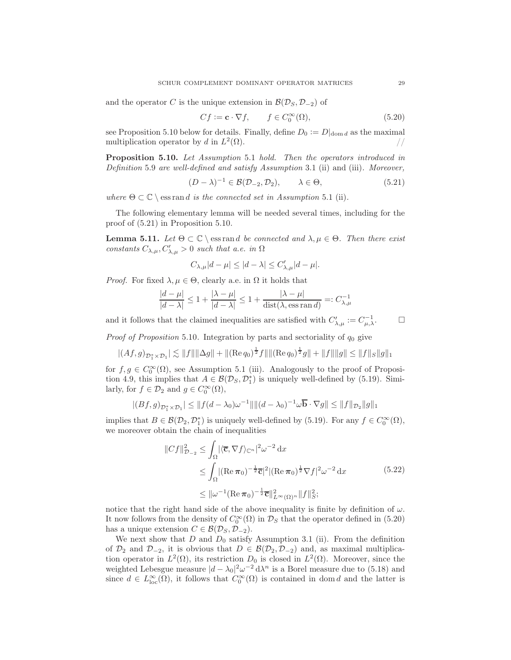and the operator C is the unique extension in  $\mathcal{B}(\mathcal{D}_S, \mathcal{D}_{-2})$  of

$$
Cf := \mathbf{c} \cdot \nabla f, \qquad f \in C_0^{\infty}(\Omega), \tag{5.20}
$$

see Proposition 5.10 below for details. Finally, define  $D_0 := D|_{\text{dom } d}$  as the maximal multiplication operator by d in  $L^2(\Omega)$ . multiplication operator by d in  $L^2$  $(\Omega)$ . //

Proposition 5.10. Let Assumption 5.1 hold. Then the operators introduced in Definition 5.9 are well-defined and satisfy Assumption 3.1 (ii) and (iii). Moreover,

$$
(D - \lambda)^{-1} \in \mathcal{B}(\mathcal{D}_{-2}, \mathcal{D}_2), \qquad \lambda \in \Theta,
$$
\n
$$
(5.21)
$$

where  $\Theta \subset \mathbb{C} \setminus \text{ess ran } d$  is the connected set in Assumption 5.1 (ii).

The following elementary lemma will be needed several times, including for the proof of (5.21) in Proposition 5.10.

**Lemma 5.11.** Let  $\Theta \subset \mathbb{C} \setminus \mathcal{C}$  is rand be connected and  $\lambda, \mu \in \Theta$ . Then there exist constants  $C_{\lambda,\mu}, C'_{\lambda,\mu} > 0$  such that a.e. in  $\Omega$ 

$$
C_{\lambda,\mu}|d-\mu|\leq |d-\lambda|\leq C'_{\lambda,\mu}|d-\mu|.
$$

*Proof.* For fixed  $\lambda, \mu \in \Theta$ , clearly a.e. in  $\Omega$  it holds that

$$
\frac{|d-\mu|}{|d-\lambda|} \le 1 + \frac{|\lambda-\mu|}{|d-\lambda|} \le 1 + \frac{|\lambda-\mu|}{\text{dist}(\lambda, \text{ess ran } d)} =: C_{\lambda,\mu}^{-1}
$$

and it follows that the claimed inequalities are satisfied with  $C'_{\lambda,\mu} := C_{\mu,\lambda}^{-1}$ .

*Proof of Proposition* 5.10. Integration by parts and sectoriality of  $q_0$  give

$$
|(Af,g)_{\mathcal{D}_1^* \times \mathcal{D}_1}| \lesssim ||f|| ||\Delta g|| + ||(\text{Re}\,q_0)^{\frac{1}{2}}f|| ||(\text{Re}\,q_0)^{\frac{1}{2}}g|| + ||f|| ||g|| \leq ||f||_S ||g||_1
$$

for  $f, g \in C_0^{\infty}(\Omega)$ , see Assumption 5.1 (iii). Analogously to the proof of Proposition 4.9, this implies that  $A \in \mathcal{B}(\mathcal{D}_S, \mathcal{D}_1^*)$  is uniquely well-defined by (5.19). Similarly, for  $f \in \mathcal{D}_2$  and  $g \in C_0^{\infty}(\Omega)$ ,

$$
|(Bf,g)_{\mathcal{D}_1^* \times \mathcal{D}_1}| \leq ||f(d - \lambda_0)\omega^{-1}|| ||(d - \lambda_0)^{-1}\omega \overline{\mathbf{b}} \cdot \nabla g|| \leq ||f||_{\mathcal{D}_2} ||g||_1
$$

implies that  $B \in \mathcal{B}(\mathcal{D}_2, \mathcal{D}_1^*)$  is uniquely well-defined by (5.19). For any  $f \in C_0^{\infty}(\Omega)$ , we moreover obtain the chain of inequalities

$$
||Cf||_{\mathcal{D}_{-2}}^2 \le \int_{\Omega} |\langle \overline{\mathbf{c}}, \nabla f \rangle_{\mathbb{C}^n}|^2 \omega^{-2} \, \mathrm{d}x
$$
  
\n
$$
\le \int_{\Omega} |(\operatorname{Re} \pi_0)^{-\frac{1}{2}} \overline{\mathbf{c}}|^2 |(\operatorname{Re} \pi_0)^{\frac{1}{2}} \nabla f|^2 \omega^{-2} \, \mathrm{d}x
$$
  
\n
$$
\le ||\omega^{-1}(\operatorname{Re} \pi_0)^{-\frac{1}{2}} \overline{\mathbf{c}}||_{L^{\infty}(\Omega)^n}^2 ||f||_{S}^2; \tag{5.22}
$$

notice that the right hand side of the above inequality is finite by definition of  $\omega$ . It now follows from the density of  $C_0^{\infty}(\Omega)$  in  $\mathcal{D}_S$  that the operator defined in (5.20) has a unique extension  $C \in \mathcal{B}(\mathcal{D}_S, \mathcal{D}_{-2}).$ 

We next show that  $D$  and  $D_0$  satisfy Assumption 3.1 (ii). From the definition of  $\mathcal{D}_2$  and  $\mathcal{D}_{-2}$ , it is obvious that  $D \in \mathcal{B}(\mathcal{D}_2, \mathcal{D}_{-2})$  and, as maximal multiplication operator in  $L^2(\Omega)$ , its restriction  $D_0$  is closed in  $L^2(\Omega)$ . Moreover, since the weighted Lebesgue measure  $|d - \lambda_0|^2 \omega^{-2} d\lambda^n$  is a Borel measure due to (5.18) and since  $d \in L^{\infty}_{loc}(\Omega)$ , it follows that  $C_0^{\infty}(\Omega)$  is contained in dom d and the latter is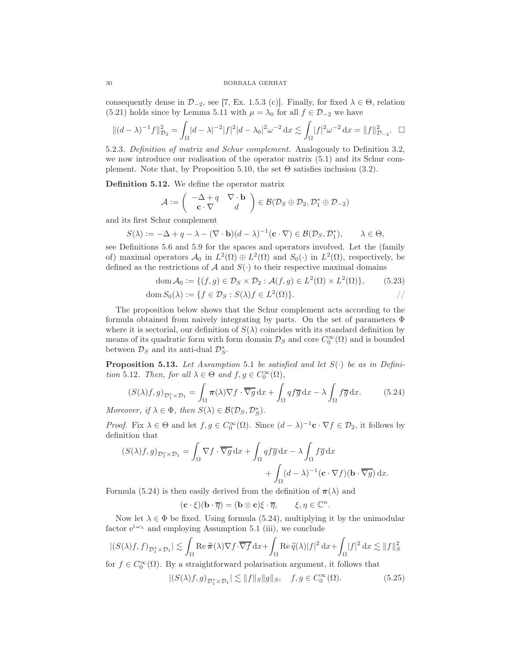consequently dense in  $\mathcal{D}_{-2}$ , see [7, Ex. 1.5.3 (c)]. Finally, for fixed  $\lambda \in \Theta$ , relation (5.21) holds since by Lemma 5.11 with  $\mu = \lambda_0$  for all  $f \in \mathcal{D}_{-2}$  we have

$$
\|(d-\lambda)^{-1}f\|_{\mathcal{D}_2}^2 = \int_{\Omega} |d-\lambda|^{-2}|f|^2|d-\lambda_0|^2\omega^{-2}\,\mathrm{d}x \lesssim \int_{\Omega} |f|^2\omega^{-2}\,\mathrm{d}x = \|f\|_{\mathcal{D}_{-2}}^2.\quad \Box
$$

5.2.3. Definition of matrix and Schur complement. Analogously to Definition 3.2, we now introduce our realisation of the operator matrix (5.1) and its Schur complement. Note that, by Proposition 5.10, the set  $\Theta$  satisfies inclusion (3.2).

Definition 5.12. We define the operator matrix

$$
\mathcal{A} := \left( \begin{array}{cc} -\Delta + q & \nabla \cdot \mathbf{b} \\ \mathbf{c} \cdot \nabla & d \end{array} \right) \in \mathcal{B}(\mathcal{D}_S \oplus \mathcal{D}_2, \mathcal{D}_1^* \oplus \mathcal{D}_{-2})
$$

and its first Schur complement

$$
S(\lambda) := -\Delta + q - \lambda - (\nabla \cdot \mathbf{b})(d - \lambda)^{-1}(\mathbf{c} \cdot \nabla) \in \mathcal{B}(\mathcal{D}_S, \mathcal{D}_1^*), \qquad \lambda \in \Theta,
$$

see Definitions 5.6 and 5.9 for the spaces and operators involved. Let the (family of) maximal operators  $\mathcal{A}_0$  in  $L^2(\Omega) \oplus L^2(\Omega)$  and  $S_0(\cdot)$  in  $L^2(\Omega)$ , respectively, be defined as the restrictions of A and  $S(\cdot)$  to their respective maximal domains

$$
\operatorname{dom} \mathcal{A}_0 := \{ (f, g) \in \mathcal{D}_S \times \mathcal{D}_2 : \mathcal{A}(f, g) \in L^2(\Omega) \times L^2(\Omega) \},\tag{5.23}
$$

$$
\operatorname{dom} S_0(\lambda) := \{ f \in \mathcal{D}_S : S(\lambda)f \in L^2(\Omega) \}.
$$

The proposition below shows that the Schur complement acts according to the formula obtained from naively integrating by parts. On the set of parameters Φ where it is sectorial, our definition of  $S(\lambda)$  coincides with its standard definition by means of its quadratic form with form domain  $\mathcal{D}_S$  and core  $C_0^{\infty}(\Omega)$  and is bounded between  $\mathcal{D}_S$  and its anti-dual  $\mathcal{D}_S^*$ .

**Proposition 5.13.** Let Assumption 5.1 be satisfied and let  $S(\cdot)$  be as in Definition 5.12. Then, for all  $\lambda \in \Theta$  and  $f, g \in C_0^{\infty}(\Omega)$ ,

$$
(S(\lambda)f,g)_{\mathcal{D}_1^*\times\mathcal{D}_1} = \int_{\Omega} \pi(\lambda)\nabla f \cdot \overline{\nabla g} \,dx + \int_{\Omega} qf\overline{g} \,dx - \lambda \int_{\Omega} f\overline{g} \,dx. \tag{5.24}
$$

Moreover, if  $\lambda \in \Phi$ , then  $S(\lambda) \in \mathcal{B}(\mathcal{D}_S, \mathcal{D}_S^*)$ .

*Proof.* Fix  $\lambda \in \Theta$  and let  $f, g \in C_0^{\infty}(\Omega)$ . Since  $(d - \lambda)^{-1}c \cdot \nabla f \in \mathcal{D}_2$ , it follows by definition that

$$
\begin{aligned} (S(\lambda)f,g)_{\mathcal{D}_1^*\times\mathcal{D}_1} &= \int_{\Omega}\nabla f\cdot\overline{\nabla g}\,\mathrm{d} x + \int_{\Omega}qf\overline{g}\,\mathrm{d} x - \lambda\int_{\Omega}f\overline{g}\,\mathrm{d} x\\ &\quad + \int_{\Omega}(d-\lambda)^{-1}(\mathbf{c}\cdot\nabla f)(\mathbf{b}\cdot\overline{\nabla g})\,\mathrm{d} x. \end{aligned}
$$

Formula (5.24) is then easily derived from the definition of  $\pi(\lambda)$  and

$$
(\mathbf{c} \cdot \xi)(\mathbf{b} \cdot \overline{\eta}) = (\mathbf{b} \otimes \mathbf{c})\xi \cdot \overline{\eta}, \qquad \xi, \eta \in \mathbb{C}^n.
$$

Now let  $\lambda \in \Phi$  be fixed. Using formula (5.24), multiplying it by the unimodular factor  $e^{i \omega_{\lambda}}$  and employing Assumption 5.1 (iii), we conclude

$$
|(S(\lambda)f,f)_{\mathcal{D}_1^*\times\mathcal{D}_1}|\lesssim \int_{\Omega}\operatorname{Re}\widetilde{\pi}(\lambda)\nabla f\cdot\overline{\nabla f}\,\mathrm{d} x+\int_{\Omega}\operatorname{Re}\widetilde{q}(\lambda)|f|^2\,\mathrm{d} x+\int_{\Omega}|f|^2\,\mathrm{d} x\lesssim \|f\|_S^2
$$

for  $f \in C_0^{\infty}(\Omega)$ . By a straightforward polarisation argument, it follows that

$$
|(S(\lambda)f,g)_{\mathcal{D}_1^*\times\mathcal{D}_1}|\lesssim \|f\|_S\|g\|_S,\quad f,g\in C_0^\infty(\Omega). \tag{5.25}
$$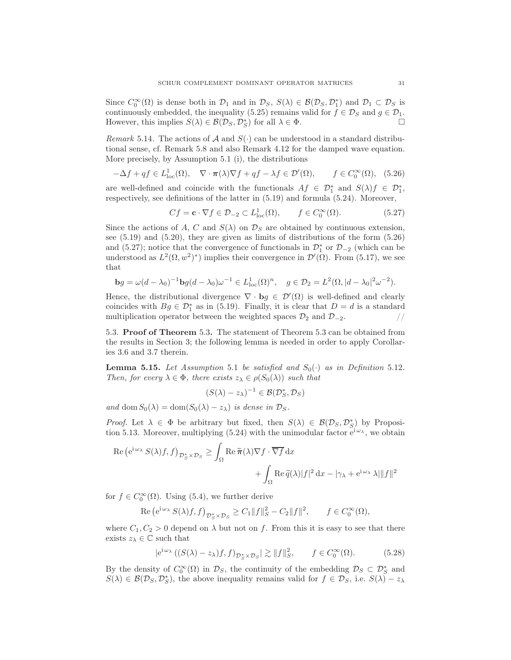Since  $C_0^{\infty}(\Omega)$  is dense both in  $\mathcal{D}_1$  and in  $\mathcal{D}_S$ ,  $S(\lambda) \in \mathcal{B}(\mathcal{D}_S, \mathcal{D}_1^*)$  and  $\mathcal{D}_1 \subset \mathcal{D}_S$  is continuously embedded, the inequality (5.25) remains valid for  $f \in \mathcal{D}_S$  and  $g \in \mathcal{D}_1$ .<br>However this implies  $S(\lambda) \in \mathcal{B}(\mathcal{D}_S, \mathcal{D}_S^*)$  for all  $\lambda \in \Phi$ However, this implies  $S(\lambda) \in \mathcal{B}(\mathcal{D}_S, \mathcal{D}_S^*)$  for all  $\lambda \in \Phi$ .

Remark 5.14. The actions of A and  $S(\cdot)$  can be understood in a standard distributional sense, cf. Remark 5.8 and also Remark 4.12 for the damped wave equation. More precisely, by Assumption 5.1 (i), the distributions

$$
-\Delta f + qf \in L^1_{loc}(\Omega), \quad \nabla \cdot \pi(\lambda)\nabla f + qf - \lambda f \in \mathcal{D}'(\Omega), \qquad f \in C_0^{\infty}(\Omega), \quad (5.26)
$$

are well-defined and coincide with the functionals  $Af \in \mathcal{D}_1^*$  and  $S(\lambda)f \in \mathcal{D}_1^*$ , respectively, see definitions of the latter in (5.19) and formula (5.24). Moreover,

$$
Cf = \mathbf{c} \cdot \nabla f \in \mathcal{D}_{-2} \subset L^1_{\text{loc}}(\Omega), \qquad f \in C_0^{\infty}(\Omega). \tag{5.27}
$$

Since the actions of A, C and  $S(\lambda)$  on  $\mathcal{D}_S$  are obtained by continuous extension, see (5.19) and (5.20), they are given as limits of distributions of the form (5.26) and (5.27); notice that the convergence of functionals in  $\mathcal{D}_1^*$  or  $\mathcal{D}_{-2}$  (which can be understood as  $L^2(\Omega, w^2)^*$  implies their convergence in  $\mathcal{D}'(\Omega)$ . From (5.17), we see that

$$
\mathbf{b}g = \omega(d - \lambda_0)^{-1} \mathbf{b}g(d - \lambda_0)\omega^{-1} \in L^1_{loc}(\Omega)^n, \quad g \in \mathcal{D}_2 = L^2(\Omega, |d - \lambda_0|^2 \omega^{-2}).
$$

Hence, the distributional divergence  $\nabla \cdot \mathbf{b}g \in \mathcal{D}'(\Omega)$  is well-defined and clearly coincides with  $Bg \in \mathcal{D}_{1}^{*}$  as in (5.19). Finally, it is clear that  $D = d$  is a standard multiplication operator between the weighted spaces  $\mathcal{D}_2$  and  $\mathcal{D}_{-2}$ . //

5.3. Proof of Theorem 5.3. The statement of Theorem 5.3 can be obtained from the results in Section 3; the following lemma is needed in order to apply Corollaries 3.6 and 3.7 therein.

**Lemma 5.15.** Let Assumption 5.1 be satisfied and  $S_0(\cdot)$  as in Definition 5.12. Then, for every  $\lambda \in \Phi$ , there exists  $z_{\lambda} \in \rho(S_0(\lambda))$  such that

$$
(S(\lambda) - z_{\lambda})^{-1} \in \mathcal{B}(\mathcal{D}_S^*, \mathcal{D}_S)
$$

and dom  $S_0(\lambda) = \text{dom}(S_0(\lambda) - z_\lambda)$  is dense in  $\mathcal{D}_S$ .

*Proof.* Let  $\lambda \in \Phi$  be arbitrary but fixed, then  $S(\lambda) \in \mathcal{B}(\mathcal{D}_S, \mathcal{D}_S^*)$  by Proposition 5.13. Moreover, multiplying (5.24) with the unimodular factor  $e^{i\omega_{\lambda}}$ , we obtain

$$
\operatorname{Re} \left( e^{i \omega_{\lambda}} S(\lambda) f, f \right)_{\mathcal{D}_{S}^{*} \times \mathcal{D}_{S}} \geq \int_{\Omega} \operatorname{Re} \widetilde{\pi}(\lambda) \nabla f \cdot \overline{\nabla f} \, dx + \int_{\Omega} \operatorname{Re} \widetilde{q}(\lambda) |f|^{2} \, dx - |\gamma_{\lambda} + e^{i \omega_{\lambda}} \lambda| \|f\|^{2}
$$

for  $f \in C_0^{\infty}(\Omega)$ . Using (5.4), we further derive

Re 
$$
(e^{i\omega_\lambda} S(\lambda)f, f)_{\mathcal{D}_S^* \times \mathcal{D}_S} \geq C_1 ||f||_S^2 - C_2 ||f||^2
$$
,  $f \in C_0^{\infty}(\Omega)$ ,

where  $C_1, C_2 > 0$  depend on  $\lambda$  but not on f. From this it is easy to see that there exists  $z_{\lambda} \in \mathbb{C}$  such that

$$
|e^{i\omega_{\lambda}}\left((S(\lambda)-z_{\lambda})f,f\right)_{\mathcal{D}_{S}^{*}\times\mathcal{D}_{S}}|\gtrsim\|f\|_{S}^{2},\qquad f\in C_{0}^{\infty}(\Omega). \tag{5.28}
$$

By the density of  $C_0^{\infty}(\Omega)$  in  $\mathcal{D}_S$ , the continuity of the embedding  $\mathcal{D}_S \subset \mathcal{D}_S^*$  and  $S(\lambda) \in \mathcal{B}(\mathcal{D}_S, \mathcal{D}_S^*)$ , the above inequality remains valid for  $f \in \mathcal{D}_S$ , i.e.  $S(\lambda) - z_\lambda$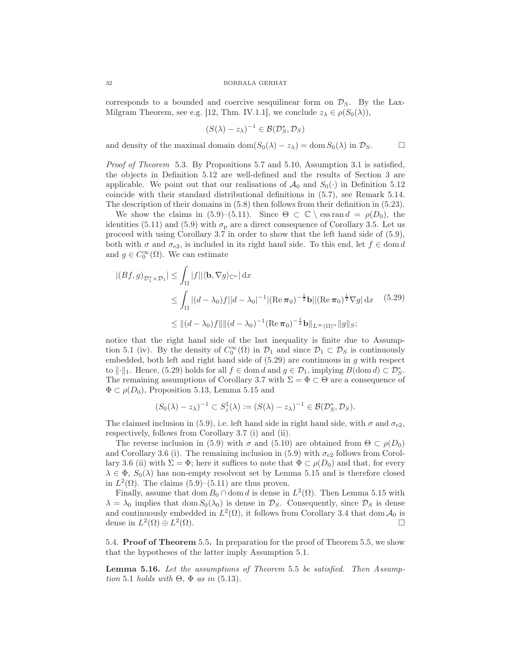corresponds to a bounded and coercive sesquilinear form on  $\mathcal{D}_S$ . By the Lax-Milgram Theorem, see e.g. [12, Thm. IV.1.1], we conclude  $z_{\lambda} \in \rho(S_0(\lambda)),$ 

$$
(S(\lambda) - z_{\lambda})^{-1} \in \mathcal{B}(\mathcal{D}_S^*, \mathcal{D}_S)
$$

and density of the maximal domain dom $(S_0(\lambda) - z_\lambda) = \text{dom } S_0(\lambda)$  in  $\mathcal{D}_S$ .

Proof of Theorem 5.3. By Propositions 5.7 and 5.10, Assumption 3.1 is satisfied, the objects in Definition 5.12 are well-defined and the results of Section 3 are applicable. We point out that our realisations of  $\mathcal{A}_0$  and  $S_0(\cdot)$  in Definition 5.12 coincide with their standard distributional definitions in (5.7), see Remark 5.14. The description of their domains in (5.8) then follows from their definition in (5.23).

We show the claims in (5.9)–(5.11). Since  $\Theta \subset \mathbb{C} \setminus \text{ess ran } d = \rho(D_0)$ , the identities (5.11) and (5.9) with  $\sigma_{\rm p}$  are a direct consequence of Corollary 3.5. Let us proceed with using Corollary 3.7 in order to show that the left hand side of (5.9), both with  $\sigma$  and  $\sigma_{e2}$ , is included in its right hand side. To this end, let  $f \in \text{dom } d$ and  $g \in C_0^{\infty}(\Omega)$ . We can estimate

$$
|(Bf,g)_{\mathcal{D}_1^* \times \mathcal{D}_1}| \leq \int_{\Omega} |f| |\langle \mathbf{b}, \nabla g \rangle_{\mathbb{C}^n}| \, dx
$$
  
\n
$$
\leq \int_{\Omega} |(d - \lambda_0)f||d - \lambda_0|^{-1} |(\text{Re}\,\pi_0)^{-\frac{1}{2}} \mathbf{b}| |(\text{Re}\,\pi_0)^{\frac{1}{2}} \nabla g| \, dx \quad (5.29)
$$
  
\n
$$
\leq ||(d - \lambda_0)f|| ||(d - \lambda_0)^{-1} (\text{Re}\,\pi_0)^{-\frac{1}{2}} \mathbf{b}||_{L^{\infty}(\Omega)^n} ||g||_S;
$$

notice that the right hand side of the last inequality is finite due to Assumption 5.1 (iv). By the density of  $C_0^{\infty}(\Omega)$  in  $\mathcal{D}_1$  and since  $\mathcal{D}_1 \subset \mathcal{D}_S$  is continuously embedded, both left and right hand side of  $(5.29)$  are continuous in g with respect to  $\|\cdot\|_1$ . Hence, (5.29) holds for all  $f \in \text{dom } d$  and  $g \in \mathcal{D}_1$ , implying  $B(\text{dom } d) \subset \mathcal{D}_{S}^*$ . The remaining assumptions of Corollary 3.7 with  $\Sigma = \Phi \subset \Theta$  are a consequence of  $\Phi \subset \rho(D_0)$ , Proposition 5.13, Lemma 5.15 and

$$
(S_0(\lambda) - z_\lambda)^{-1} \subset S_z^{\ddagger}(\lambda) := (S(\lambda) - z_\lambda)^{-1} \in \mathcal{B}(\mathcal{D}_S^*, \mathcal{D}_S).
$$

The claimed inclusion in (5.9), i.e. left hand side in right hand side, with  $\sigma$  and  $\sigma_{e2}$ , respectively, follows from Corollary 3.7 (i) and (ii).

The reverse inclusion in (5.9) with  $\sigma$  and (5.10) are obtained from  $\Theta \subset \rho(D_0)$ and Corollary 3.6 (i). The remaining inclusion in (5.9) with  $\sigma_{e2}$  follows from Corollary 3.6 (ii) with  $\Sigma = \Phi$ ; here it suffices to note that  $\Phi \subset \rho(D_0)$  and that, for every  $\lambda \in \Phi$ ,  $S_0(\lambda)$  has non-empty resolvent set by Lemma 5.15 and is therefore closed in  $L^2(\Omega)$ . The claims  $(5.9)$ – $(5.11)$  are thus proven.

Finally, assume that dom  $B_0 \cap$  dom d is dense in  $L^2(\Omega)$ . Then Lemma 5.15 with  $\lambda = \lambda_0$  implies that dom  $S_0(\lambda_0)$  is dense in  $\mathcal{D}_s$ . Consequently, since  $\mathcal{D}_s$  is dense and continuously embedded in  $L^2(\Omega)$ , it follows from Corollary 3.4 that dom  $\mathcal{A}_0$  is dense in  $L^2(\Omega) \oplus L^2$  $(\Omega)$ .

5.4. Proof of Theorem 5.5. In preparation for the proof of Theorem 5.5, we show that the hypotheses of the latter imply Assumption 5.1.

Lemma 5.16. Let the assumptions of Theorem 5.5 be satisfied. Then Assumption 5.1 holds with  $\Theta$ ,  $\Phi$  as in (5.13).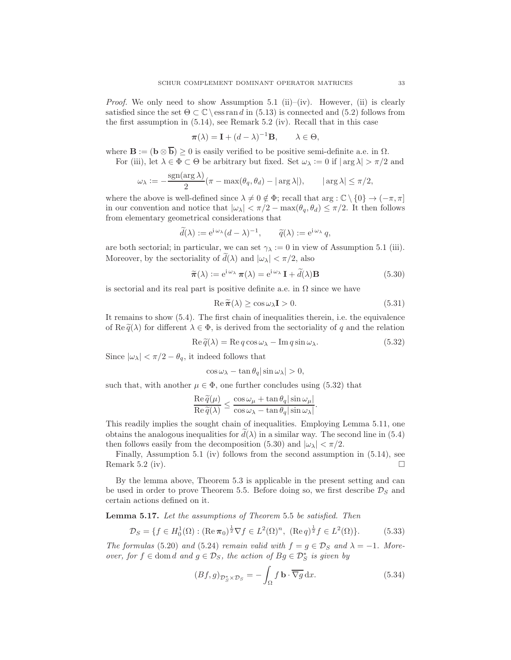*Proof.* We only need to show Assumption 5.1 (ii)–(iv). However, (ii) is clearly satisfied since the set  $\Theta \subset \mathbb{C} \setminus \mathsf{ess\,ran\,} d$  in (5.13) is connected and (5.2) follows from the first assumption in (5.14), see Remark 5.2 (iv). Recall that in this case

$$
\pi(\lambda) = \mathbf{I} + (d - \lambda)^{-1} \mathbf{B}, \qquad \lambda \in \Theta,
$$

where  $\mathbf{B} := (\mathbf{b} \otimes \overline{\mathbf{b}}) \geq 0$  is easily verified to be positive semi-definite a.e. in  $\Omega$ . For (iii), let  $\lambda \in \Phi \subset \Theta$  be arbitrary but fixed. Set  $\omega_{\lambda} := 0$  if  $|\arg \lambda| > \pi/2$  and

$$
\omega_\lambda := -\frac{\text{sgn}(\text{arg }\lambda)}{2} (\pi - \text{max}(\theta_q, \theta_d) - |\text{arg }\lambda|), \qquad |\text{arg }\lambda| \leq \pi/2,
$$

where the above is well-defined since  $\lambda \neq 0 \notin \Phi$ ; recall that arg :  $\mathbb{C} \setminus \{0\} \rightarrow (-\pi, \pi]$ in our convention and notice that  $|\omega_{\lambda}| < \pi/2 - \max(\theta_a, \theta_d) \leq \pi/2$ . It then follows from elementary geometrical considerations that

$$
\widetilde{d}(\lambda) := e^{i \omega_{\lambda}} (d - \lambda)^{-1}, \qquad \widetilde{q}(\lambda) := e^{i \omega_{\lambda}} q,
$$

are both sectorial; in particular, we can set  $\gamma_{\lambda} := 0$  in view of Assumption 5.1 (iii). Moreover, by the sectoriality of  $d(\lambda)$  and  $|\omega_{\lambda}| < \pi/2$ , also

$$
\widetilde{\boldsymbol{\pi}}(\lambda) := e^{i \omega_{\lambda}} \boldsymbol{\pi}(\lambda) = e^{i \omega_{\lambda}} \mathbf{I} + \widetilde{d}(\lambda) \mathbf{B}
$$
\n(5.30)

is sectorial and its real part is positive definite a.e. in  $\Omega$  since we have

$$
\operatorname{Re}\widetilde{\pi}(\lambda) \ge \cos\omega_{\lambda}\mathbf{I} > 0. \tag{5.31}
$$

It remains to show (5.4). The first chain of inequalities therein, i.e. the equivalence of Re $\tilde{q}(\lambda)$  for different  $\lambda \in \Phi$ , is derived from the sectoriality of q and the relation

$$
\operatorname{Re}\tilde{q}(\lambda) = \operatorname{Re}q\cos\omega_{\lambda} - \operatorname{Im}q\sin\omega_{\lambda}.\tag{5.32}
$$

Since  $|\omega_{\lambda}| < \pi/2 - \theta_q$ , it indeed follows that

$$
\cos \omega_{\lambda} - \tan \theta_q |\sin \omega_{\lambda}| > 0,
$$

such that, with another  $\mu \in \Phi$ , one further concludes using (5.32) that

$$
\frac{\operatorname{Re}\widetilde{q}(\mu)}{\operatorname{Re}\widetilde{q}(\lambda)} \le \frac{\cos\omega_{\mu} + \tan\theta_{q}|\sin\omega_{\mu}|}{\cos\omega_{\lambda} - \tan\theta_{q}|\sin\omega_{\lambda}|}.
$$

This readily implies the sought chain of inequalities. Employing Lemma 5.11, one obtains the analogous inequalities for  $d(\lambda)$  in a similar way. The second line in (5.4) then follows easily from the decomposition (5.30) and  $|\omega_{\lambda}| < \pi/2$ .

Finally, Assumption 5.1 (iv) follows from the second assumption in (5.14), see Remark 5.2 (iv).

By the lemma above, Theorem 5.3 is applicable in the present setting and can be used in order to prove Theorem 5.5. Before doing so, we first describe  $\mathcal{D}_S$  and certain actions defined on it.

Lemma 5.17. Let the assumptions of Theorem 5.5 be satisfied. Then

$$
\mathcal{D}_S = \{ f \in H_0^1(\Omega) : (\text{Re}\,\pi_0)^{\frac{1}{2}} \nabla f \in L^2(\Omega)^n, \ (\text{Re}\,q)^{\frac{1}{2}} f \in L^2(\Omega) \}. \tag{5.33}
$$

The formulas (5.20) and (5.24) remain valid with  $f = g \in \mathcal{D}_S$  and  $\lambda = -1$ . Moreover, for  $f \in \text{dom } d$  and  $g \in \mathcal{D}_S$ , the action of  $Bg \in \mathcal{D}_S^*$  is given by

$$
(Bf, g)_{\mathcal{D}_S^* \times \mathcal{D}_S} = -\int_{\Omega} f \mathbf{b} \cdot \overline{\nabla g} \, dx. \tag{5.34}
$$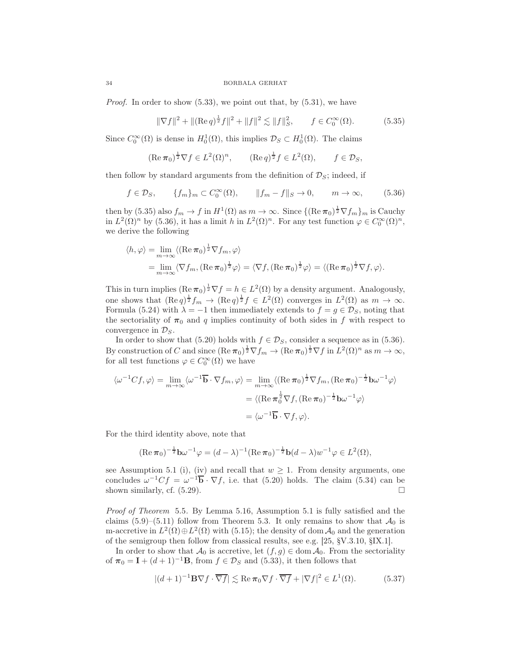*Proof.* In order to show  $(5.33)$ , we point out that, by  $(5.31)$ , we have

$$
\|\nabla f\|^2 + \|(\text{Re}\,q)^{\frac{1}{2}}f\|^2 + \|f\|^2 \lesssim \|f\|_{S}^2, \qquad f \in C_0^{\infty}(\Omega). \tag{5.35}
$$

Since  $C_0^{\infty}(\Omega)$  is dense in  $H_0^1(\Omega)$ , this implies  $\mathcal{D}_S \subset H_0^1(\Omega)$ . The claims

$$
(\operatorname{Re}\pi_0)^{\frac{1}{2}}\nabla f \in L^2(\Omega)^n
$$
,  $(\operatorname{Re} q)^{\frac{1}{2}}f \in L^2(\Omega)$ ,  $f \in \mathcal{D}_S$ ,

then follow by standard arguments from the definition of  $\mathcal{D}_S$ ; indeed, if

$$
f \in \mathcal{D}_S, \qquad \{f_m\}_m \subset C_0^{\infty}(\Omega), \qquad \|f_m - f\|_S \to 0, \qquad m \to \infty,
$$
 (5.36)

then by (5.35) also  $f_m \to f$  in  $H^1(\Omega)$  as  $m \to \infty$ . Since  $\{(\text{Re}\,\pi_0)^{\frac{1}{2}}\nabla f_m\}_m$  is Cauchy in  $L^2(\Omega)^n$  by (5.36), it has a limit h in  $L^2(\Omega)^n$ . For any test function  $\varphi \in C_0^{\infty}(\Omega)^n$ , we derive the following

$$
\langle h, \varphi \rangle = \lim_{m \to \infty} \langle (\operatorname{Re} \pi_0)^{\frac{1}{2}} \nabla f_m, \varphi \rangle
$$
  
= 
$$
\lim_{m \to \infty} \langle \nabla f_m, (\operatorname{Re} \pi_0)^{\frac{1}{2}} \varphi \rangle = \langle \nabla f, (\operatorname{Re} \pi_0)^{\frac{1}{2}} \varphi \rangle = \langle (\operatorname{Re} \pi_0)^{\frac{1}{2}} \nabla f, \varphi \rangle.
$$

This in turn implies  $(\text{Re}\,\pi_0)^{\frac{1}{2}}\nabla f = h \in L^2(\Omega)$  by a density argument. Analogously, one shows that  $(\text{Re } q)^{\frac{1}{2}} f_m \to (\text{Re } q)^{\frac{1}{2}} f \in L^2(\Omega)$  converges in  $L^2(\Omega)$  as  $m \to \infty$ . Formula (5.24) with  $\lambda = -1$  then immediately extends to  $f = g \in \mathcal{D}_S$ , noting that the sectoriality of  $\pi_0$  and q implies continuity of both sides in f with respect to convergence in  $\mathcal{D}_S$ .

In order to show that (5.20) holds with  $f \in \mathcal{D}_S$ , consider a sequence as in (5.36). By construction of C and since  $(\text{Re }\pi_0)^{\frac{1}{2}}\nabla f_m \to (\text{Re }\pi_0)^{\frac{1}{2}}\nabla f$  in  $L^2(\Omega)^n$  as  $m \to \infty$ , for all test functions  $\varphi \in C_0^{\infty}(\Omega)$  we have

$$
\langle \omega^{-1} C f, \varphi \rangle = \lim_{m \to \infty} \langle \omega^{-1} \overline{\mathbf{b}} \cdot \nabla f_m, \varphi \rangle = \lim_{m \to \infty} \langle (\operatorname{Re} \pi_0)^{\frac{1}{2}} \nabla f_m, (\operatorname{Re} \pi_0)^{-\frac{1}{2}} \mathbf{b} \omega^{-1} \varphi \rangle
$$

$$
= \langle (\operatorname{Re} \pi_0^{\frac{1}{2}} \nabla f, (\operatorname{Re} \pi_0)^{-\frac{1}{2}} \mathbf{b} \omega^{-1} \varphi \rangle
$$

$$
= \langle \omega^{-1} \overline{\mathbf{b}} \cdot \nabla f, \varphi \rangle.
$$

For the third identity above, note that

$$
(\operatorname{Re}\pi_0)^{-\frac{1}{2}}\mathbf{b}\omega^{-1}\varphi = (d-\lambda)^{-1}(\operatorname{Re}\pi_0)^{-\frac{1}{2}}\mathbf{b}(d-\lambda)w^{-1}\varphi \in L^2(\Omega),
$$

see Assumption 5.1 (i), (iv) and recall that  $w \geq 1$ . From density arguments, one concludes  $\omega^{-1}Cf = \omega^{-1}\overline{\mathbf{b}} \cdot \nabla f$ , i.e. that (5.20) holds. The claim (5.34) can be shown similarly, cf.  $(5.29)$ .

Proof of Theorem 5.5. By Lemma 5.16, Assumption 5.1 is fully satisfied and the claims (5.9)–(5.11) follow from Theorem 5.3. It only remains to show that  $\mathcal{A}_0$  is m-accretive in  $L^2(\Omega) \oplus L^2(\Omega)$  with (5.15); the density of dom  $\mathcal{A}_0$  and the generation of the semigroup then follow from classical results, see e.g. [25, §V.3.10, §IX.1].

In order to show that  $\mathcal{A}_0$  is accretive, let  $(f, g) \in \text{dom } \mathcal{A}_0$ . From the sectoriality of  $\pi_0 = \mathbf{I} + (d+1)^{-1}\mathbf{B}$ , from  $f \in \mathcal{D}_S$  and (5.33), it then follows that

$$
|(d+1)^{-1}\mathbf{B}\nabla f \cdot \overline{\nabla f}| \lesssim \text{Re}\,\pi_0 \nabla f \cdot \overline{\nabla f} + |\nabla f|^2 \in L^1(\Omega). \tag{5.37}
$$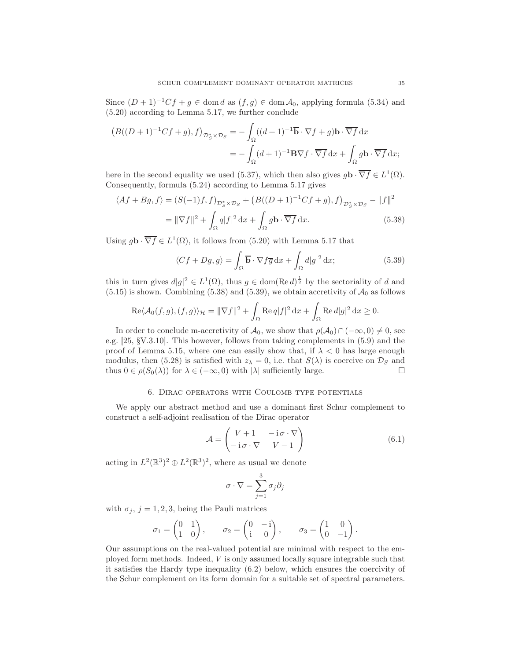Since  $(D+1)^{-1}Cf + g \in \text{dom } d$  as  $(f,g) \in \text{dom } \mathcal{A}_0$ , applying formula (5.34) and (5.20) according to Lemma 5.17, we further conclude

$$
(B((D+1)^{-1}Cf+g),f)_{\mathcal{D}_{S}^{*}\times\mathcal{D}_{S}} = -\int_{\Omega}((d+1)^{-1}\overline{\mathbf{b}}\cdot\nabla f+g)\mathbf{b}\cdot\overline{\nabla f}\,\mathrm{d}x
$$

$$
= -\int_{\Omega}(d+1)^{-1}\mathbf{B}\nabla f\cdot\overline{\nabla f}\,\mathrm{d}x + \int_{\Omega}g\mathbf{b}\cdot\overline{\nabla f}\,\mathrm{d}x;
$$

here in the second equality we used (5.37), which then also gives  $g\mathbf{b} \cdot \overline{\nabla f} \in L^1(\Omega)$ . Consequently, formula (5.24) according to Lemma 5.17 gives

$$
\langle Af + Bg, f \rangle = (S(-1)f, f)_{\mathcal{D}_S^* \times \mathcal{D}_S} + \left( B((D+1)^{-1}Cf + g), f \right)_{\mathcal{D}_S^* \times \mathcal{D}_S} - ||f||^2
$$
  

$$
= ||\nabla f||^2 + \int_{\Omega} q|f|^2 dx + \int_{\Omega} g \mathbf{b} \cdot \overline{\nabla f} dx. \tag{5.38}
$$

Using  $g\mathbf{b} \cdot \overline{\nabla f} \in L^1(\Omega)$ , it follows from (5.20) with Lemma 5.17 that

$$
\langle Cf + Dg, g \rangle = \int_{\Omega} \overline{\mathbf{b}} \cdot \nabla f \overline{g} \, dx + \int_{\Omega} d|g|^2 \, dx; \tag{5.39}
$$

this in turn gives  $d|g|^2 \in L^1(\Omega)$ , thus  $g \in \text{dom}(\text{Re } d)^{\frac{1}{2}}$  by the sectoriality of d and  $(5.15)$  is shown. Combining  $(5.38)$  and  $(5.39)$ , we obtain accretivity of  $\mathcal{A}_0$  as follows

$$
\operatorname{Re}\langle \mathcal{A}_0(f,g),(f,g)\rangle_{\mathcal{H}}=\|\nabla f\|^2+\int_{\Omega}\operatorname{Re} q|f|^2\,\mathrm{d} x+\int_{\Omega}\operatorname{Re} d|g|^2\,\mathrm{d} x\geq 0.
$$

In order to conclude m-accretivity of  $\mathcal{A}_0$ , we show that  $\rho(\mathcal{A}_0) \cap (-\infty, 0) \neq 0$ , see e.g. [25, §V.3.10]. This however, follows from taking complements in (5.9) and the proof of Lemma 5.15, where one can easily show that, if  $\lambda < 0$  has large enough modulus, then (5.28) is satisfied with  $z_{\lambda} = 0$ , i.e. that  $S(\lambda)$  is coercive on  $\mathcal{D}_S$  and thus  $0 \in \rho(S_0(\lambda))$  for  $\lambda \in (-\infty, 0)$  with  $|\lambda|$  sufficiently large. thus  $0 \in \rho(S_0(\lambda))$  for  $\lambda \in (-\infty, 0)$  with  $|\lambda|$  sufficiently large.

# 6. Dirac operators with Coulomb type potentials

We apply our abstract method and use a dominant first Schur complement to construct a self-adjoint realisation of the Dirac operator

$$
\mathcal{A} = \begin{pmatrix} V+1 & -\mathrm{i}\,\sigma \cdot \nabla \\ -\mathrm{i}\,\sigma \cdot \nabla & V-1 \end{pmatrix} \tag{6.1}
$$

acting in  $L^2(\mathbb{R}^3)^2 \oplus L^2(\mathbb{R}^3)^2$ , where as usual we denote

$$
\sigma \cdot \nabla = \sum_{j=1}^{3} \sigma_j \partial_j
$$

with  $\sigma_i$ ,  $j = 1, 2, 3$ , being the Pauli matrices

$$
\sigma_1 = \begin{pmatrix} 0 & 1 \\ 1 & 0 \end{pmatrix}, \quad \sigma_2 = \begin{pmatrix} 0 & -i \\ i & 0 \end{pmatrix}, \quad \sigma_3 = \begin{pmatrix} 1 & 0 \\ 0 & -1 \end{pmatrix}.
$$

Our assumptions on the real-valued potential are minimal with respect to the employed form methods. Indeed, V is only assumed locally square integrable such that it satisfies the Hardy type inequality (6.2) below, which ensures the coercivity of the Schur complement on its form domain for a suitable set of spectral parameters.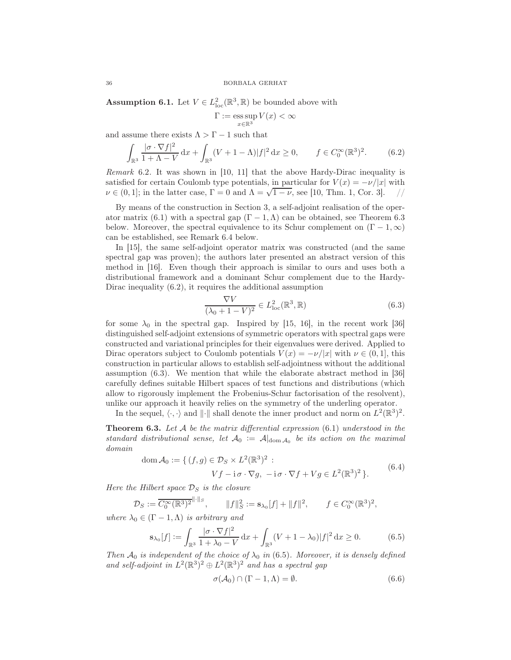**Assumption 6.1.** Let  $V \in L^2_{loc}(\mathbb{R}^3, \mathbb{R})$  be bounded above with

$$
\Gamma:=\operatornamewithlimits{ess\,sup}_{x\in\mathbb{R}^3}V(x)<\infty
$$

and assume there exists  $\Lambda > \Gamma - 1$  such that

$$
\int_{\mathbb{R}^3} \frac{|\sigma \cdot \nabla f|^2}{1 + \Lambda - V} \, \mathrm{d}x + \int_{\mathbb{R}^3} (V + 1 - \Lambda) |f|^2 \, \mathrm{d}x \ge 0, \qquad f \in C_0^{\infty}(\mathbb{R}^3)^2. \tag{6.2}
$$

Remark 6.2. It was shown in [10, 11] that the above Hardy-Dirac inequality is satisfied for certain Coulomb type potentials, in particular for  $V(x) = -\nu/|x|$  with  $\nu \in (0, 1]$ ; in the latter case,  $\Gamma = 0$  and  $\Lambda = \sqrt{1 - \nu}$ , see [10, Thm. 1, Cor. 3]. //  $\nu \in (0, 1]$ ; in the latter case,  $\Gamma = 0$  and  $\Lambda = \sqrt{1 - \nu}$ , see [10, Thm. 1, Cor. 3].

By means of the construction in Section 3, a self-adjoint realisation of the operator matrix (6.1) with a spectral gap  $(\Gamma - 1, \Lambda)$  can be obtained, see Theorem 6.3 below. Moreover, the spectral equivalence to its Schur complement on  $(\Gamma - 1, \infty)$ can be established, see Remark 6.4 below.

In [15], the same self-adjoint operator matrix was constructed (and the same spectral gap was proven); the authors later presented an abstract version of this method in [16]. Even though their approach is similar to ours and uses both a distributional framework and a dominant Schur complement due to the Hardy-Dirac inequality (6.2), it requires the additional assumption

$$
\frac{\nabla V}{(\lambda_0 + 1 - V)^2} \in L^2_{\text{loc}}(\mathbb{R}^3, \mathbb{R})
$$
\n(6.3)

for some  $\lambda_0$  in the spectral gap. Inspired by [15, 16], in the recent work [36] distinguished self-adjoint extensions of symmetric operators with spectral gaps were constructed and variational principles for their eigenvalues were derived. Applied to Dirac operators subject to Coulomb potentials  $V(x) = -\nu/|x|$  with  $\nu \in (0, 1]$ , this construction in particular allows to establish self-adjointness without the additional assumption (6.3). We mention that while the elaborate abstract method in [36] carefully defines suitable Hilbert spaces of test functions and distributions (which allow to rigorously implement the Frobenius-Schur factorisation of the resolvent), unlike our approach it heavily relies on the symmetry of the underling operator.

In the sequel,  $\langle \cdot, \cdot \rangle$  and  $\| \cdot \|$  shall denote the inner product and norm on  $L^2(\mathbb{R}^3)^2$ .

**Theorem 6.3.** Let A be the matrix differential expression  $(6.1)$  understood in the standard distributional sense, let  $A_0 := A|_{\text{dom } A_0}$  be its action on the maximal domain

$$
\text{dom}\,\mathcal{A}_0 := \{ (f,g) \in \mathcal{D}_S \times L^2(\mathbb{R}^3)^2 : Vf - \mathbf{i}\sigma \cdot \nabla g, \ -\mathbf{i}\sigma \cdot \nabla f + Vg \in L^2(\mathbb{R}^3)^2 \}. \tag{6.4}
$$

Here the Hilbert space  $\mathcal{D}_S$  is the closure

$$
\mathcal{D}_S := \overline{C_0^{\infty}(\mathbb{R}^3)^2}^{\|\cdot\|_S}, \qquad \|f\|_S^2 := \mathbf{s}_{\lambda_0}[f] + \|f\|^2, \qquad f \in C_0^{\infty}(\mathbb{R}^3)^2,
$$

where  $\lambda_0 \in (\Gamma - 1, \Lambda)$  is arbitrary and

$$
\mathbf{s}_{\lambda_0}[f] := \int_{\mathbb{R}^3} \frac{|\sigma \cdot \nabla f|^2}{1 + \lambda_0 - V} \, \mathrm{d}x + \int_{\mathbb{R}^3} (V + 1 - \lambda_0) |f|^2 \, \mathrm{d}x \ge 0. \tag{6.5}
$$

Then  $\mathcal{A}_0$  is independent of the choice of  $\lambda_0$  in (6.5). Moreover, it is densely defined and self-adjoint in  $L^2(\mathbb{R}^3)^2 \oplus L^2(\mathbb{R}^3)^2$  and has a spectral gap

$$
\sigma(\mathcal{A}_0) \cap (\Gamma - 1, \Lambda) = \emptyset. \tag{6.6}
$$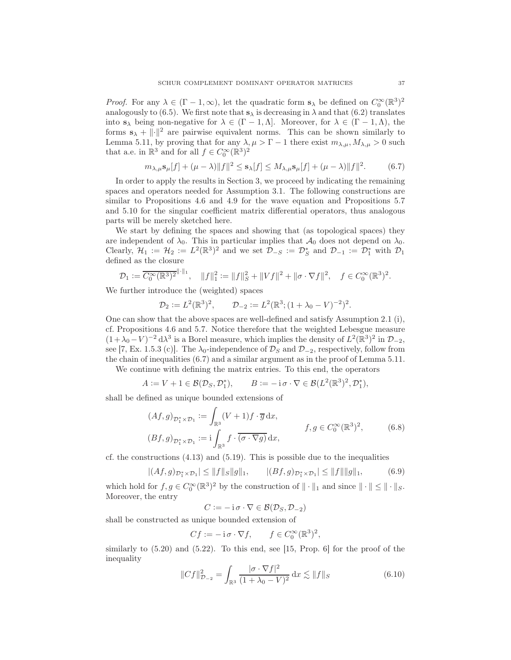*Proof.* For any  $\lambda \in (\Gamma - 1, \infty)$ , let the quadratic form  $s_{\lambda}$  be defined on  $C_0^{\infty}(\mathbb{R}^3)^2$ analogously to (6.5). We first note that  $s_{\lambda}$  is decreasing in  $\lambda$  and that (6.2) translates into  $s_{\lambda}$  being non-negative for  $\lambda \in (\Gamma - 1, \Lambda]$ . Moreover, for  $\lambda \in (\Gamma - 1, \Lambda)$ , the forms  $s_{\lambda} + ||\cdot||^2$  are pairwise equivalent norms. This can be shown similarly to Lemma 5.11, by proving that for any  $\lambda, \mu > \Gamma - 1$  there exist  $m_{\lambda,\mu}, M_{\lambda,\mu} > 0$  such that a.e. in  $\mathbb{R}^3$  and for all  $f \in C_0^{\infty}(\mathbb{R}^3)^2$ 

$$
m_{\lambda,\mu} \mathbf{s}_{\mu}[f] + (\mu - \lambda) \|f\|^2 \le \mathbf{s}_{\lambda}[f] \le M_{\lambda,\mu} \mathbf{s}_{\mu}[f] + (\mu - \lambda) \|f\|^2. \tag{6.7}
$$

In order to apply the results in Section 3, we proceed by indicating the remaining spaces and operators needed for Assumption 3.1. The following constructions are similar to Propositions 4.6 and 4.9 for the wave equation and Propositions 5.7 and 5.10 for the singular coefficient matrix differential operators, thus analogous parts will be merely sketched here.

We start by defining the spaces and showing that (as topological spaces) they are independent of  $\lambda_0$ . This in particular implies that  $\mathcal{A}_0$  does not depend on  $\lambda_0$ . Clearly,  $\mathcal{H}_1 := \mathcal{H}_2 := L^2(\mathbb{R}^3)^2$  and we set  $\mathcal{D}_{-S} := \mathcal{D}_S^*$  and  $\mathcal{D}_{-1} := \mathcal{D}_1^*$  with  $\mathcal{D}_1$ defined as the closure

$$
\mathcal{D}_1 := \overline{C_0^{\infty}(\mathbb{R}^3)^2}^{\|\cdot\|_1}, \quad \|f\|_1^2 := \|f\|_S^2 + \|Vf\|^2 + \|\sigma \cdot \nabla f\|^2, \quad f \in C_0^{\infty}(\mathbb{R}^3)^2.
$$

We further introduce the (weighted) spaces

$$
\mathcal{D}_2 := L^2(\mathbb{R}^3)^2, \qquad \mathcal{D}_{-2} := L^2(\mathbb{R}^3; (1 + \lambda_0 - V)^{-2})^2.
$$

One can show that the above spaces are well-defined and satisfy Assumption 2.1 (i), cf. Propositions 4.6 and 5.7. Notice therefore that the weighted Lebesgue measure  $(1 + \lambda_0 - V)^{-2} d\lambda^3$  is a Borel measure, which implies the density of  $L^2(\mathbb{R}^3)^2$  in  $\mathcal{D}_{-2}$ , see [7, Ex. 1.5.3 (c)]. The  $\lambda_0$ -independence of  $\mathcal{D}_S$  and  $\mathcal{D}_{-2}$ , respectively, follow from the chain of inequalities (6.7) and a similar argument as in the proof of Lemma 5.11. We continue with defining the matrix entries. To this end, the operators

$$
A := V + 1 \in \mathcal{B}(\mathcal{D}_S, \mathcal{D}_1^*), \qquad B := -\mathrm{i}\,\sigma \cdot \nabla \in \mathcal{B}(L^2(\mathbb{R}^3)^2, \mathcal{D}_1^*),
$$

shall be defined as unique bounded extensions of

$$
(Af,g)_{\mathcal{D}_1^* \times \mathcal{D}_1} := \int_{\mathbb{R}^3} (V+1)f \cdot \overline{g} dx,
$$
  

$$
(Bf,g)_{\mathcal{D}_1^* \times \mathcal{D}_1} := i \int_{\mathbb{R}^3} f \cdot \overline{(\sigma \cdot \nabla g)} dx,
$$
  

$$
f, g \in C_0^{\infty}(\mathbb{R}^3)^2,
$$
 (6.8)

cf. the constructions  $(4.13)$  and  $(5.19)$ . This is possible due to the inequalities

$$
|(Af,g)_{\mathcal{D}_1^* \times \mathcal{D}_1}| \le ||f||_S||g||_1, \qquad |(Bf,g)_{\mathcal{D}_1^* \times \mathcal{D}_1}| \le ||f|| ||g||_1,\tag{6.9}
$$

which hold for  $f, g \in C_0^{\infty}(\mathbb{R}^3)^2$  by the construction of  $\|\cdot\|_1$  and since  $\|\cdot\| \le \|\cdot\|_S$ . Moreover, the entry

$$
C := -\mathrm{i}\,\sigma\cdot\nabla \in \mathcal{B}(\mathcal{D}_S, \mathcal{D}_{-2})
$$

shall be constructed as unique bounded extension of

$$
Cf := -\mathbf{i}\,\sigma \cdot \nabla f, \qquad f \in C_0^{\infty}(\mathbb{R}^3)^2,
$$

similarly to  $(5.20)$  and  $(5.22)$ . To this end, see [15, Prop. 6] for the proof of the inequality

$$
||Cf||_{\mathcal{D}_{-2}}^2 = \int_{\mathbb{R}^3} \frac{|\sigma \cdot \nabla f|^2}{(1 + \lambda_0 - V)^2} dx \lesssim ||f||_S
$$
 (6.10)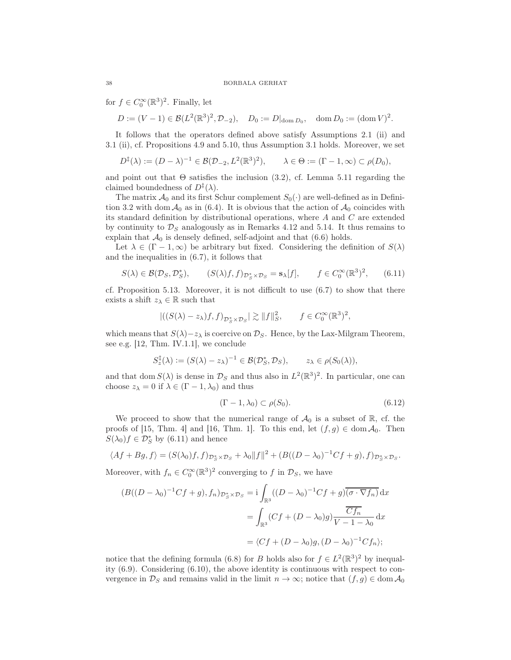for  $f \in C_0^{\infty}(\mathbb{R}^3)^2$ . Finally, let

$$
D := (V - 1) \in \mathcal{B}(L^2(\mathbb{R}^3)^2, \mathcal{D}_{-2}), \quad D_0 := D|_{\text{dom } D_0}, \quad \text{dom } D_0 := (\text{dom } V)^2.
$$

It follows that the operators defined above satisfy Assumptions 2.1 (ii) and 3.1 (ii), cf. Propositions 4.9 and 5.10, thus Assumption 3.1 holds. Moreover, we set

$$
D^{\ddagger}(\lambda) := (D - \lambda)^{-1} \in \mathcal{B}(\mathcal{D}_{-2}, L^2(\mathbb{R}^3)^2), \qquad \lambda \in \Theta := (\Gamma - 1, \infty) \subset \rho(D_0),
$$

and point out that  $\Theta$  satisfies the inclusion (3.2), cf. Lemma 5.11 regarding the claimed boundedness of  $D^{\ddagger}(\lambda)$ .

The matrix  $\mathcal{A}_0$  and its first Schur complement  $S_0(\cdot)$  are well-defined as in Definition 3.2 with dom  $\mathcal{A}_0$  as in (6.4). It is obvious that the action of  $\mathcal{A}_0$  coincides with its standard definition by distributional operations, where A and C are extended by continuity to  $\mathcal{D}_S$  analogously as in Remarks 4.12 and 5.14. It thus remains to explain that  $\mathcal{A}_0$  is densely defined, self-adjoint and that  $(6.6)$  holds.

Let  $\lambda \in (\Gamma - 1, \infty)$  be arbitrary but fixed. Considering the definition of  $S(\lambda)$ and the inequalities in (6.7), it follows that

$$
S(\lambda) \in \mathcal{B}(\mathcal{D}_S, \mathcal{D}_S^*), \qquad (S(\lambda)f, f)_{\mathcal{D}_S^* \times \mathcal{D}_S} = \mathbf{s}_{\lambda}[f], \qquad f \in C_0^{\infty}(\mathbb{R}^3)^2, \qquad (6.11)
$$

cf. Proposition 5.13. Moreover, it is not difficult to use (6.7) to show that there exists a shift  $z_\lambda \in \mathbb{R}$  such that

$$
|((S(\lambda) - z_{\lambda})f, f)_{\mathcal{D}_{\mathcal{S}}^* \times \mathcal{D}_{S}}| \gtrsim ||f||_{S}^2, \qquad f \in C_0^{\infty}(\mathbb{R}^3)^2,
$$

which means that  $S(\lambda)-z_\lambda$  is coercive on  $\mathcal{D}_S$ . Hence, by the Lax-Milgram Theorem, see e.g. [12, Thm. IV.1.1], we conclude

$$
S_z^{\ddagger}(\lambda) := (S(\lambda) - z_{\lambda})^{-1} \in \mathcal{B}(\mathcal{D}_S^*, \mathcal{D}_S), \qquad z_{\lambda} \in \rho(S_0(\lambda)),
$$

and that dom  $S(\lambda)$  is dense in  $\mathcal{D}_S$  and thus also in  $L^2(\mathbb{R}^3)^2$ . In particular, one can choose  $z_{\lambda} = 0$  if  $\lambda \in (\Gamma - 1, \lambda_0)$  and thus

$$
(\Gamma - 1, \lambda_0) \subset \rho(S_0). \tag{6.12}
$$

We proceed to show that the numerical range of  $\mathcal{A}_0$  is a subset of  $\mathbb{R}$ , cf. the proofs of [15, Thm. 4] and [16, Thm. 1]. To this end, let  $(f, g) \in \text{dom} \mathcal{A}_0$ . Then  $S(\lambda_0)f \in \mathcal{D}_S^*$  by (6.11) and hence

$$
\langle Af + Bg, f \rangle = (S(\lambda_0)f, f)_{\mathcal{D}_S^* \times \mathcal{D}_S} + \lambda_0 \|f\|^2 + (B((D - \lambda_0)^{-1}Cf + g), f)_{\mathcal{D}_S^* \times \mathcal{D}_S}.
$$

Moreover, with  $f_n \in C_0^{\infty}(\mathbb{R}^3)^2$  converging to f in  $\mathcal{D}_S$ , we have

$$
(B((D - \lambda_0)^{-1}Cf + g), f_n)_{\mathcal{D}_S^* \times \mathcal{D}_S} = \mathbf{i} \int_{\mathbb{R}^3} ((D - \lambda_0)^{-1}Cf + g)\overline{(\sigma \cdot \nabla f_n)} dx
$$
  

$$
= \int_{\mathbb{R}^3} (Cf + (D - \lambda_0)g) \frac{\overline{Cf_n}}{V - 1 - \lambda_0} dx
$$
  

$$
= \langle Cf + (D - \lambda_0)g, (D - \lambda_0)^{-1}Cf_n \rangle;
$$

notice that the defining formula (6.8) for B holds also for  $f \in L^2(\mathbb{R}^3)^2$  by inequality (6.9). Considering (6.10), the above identity is continuous with respect to convergence in  $\mathcal{D}_S$  and remains valid in the limit  $n \to \infty$ ; notice that  $(f, g) \in \text{dom } \mathcal{A}_0$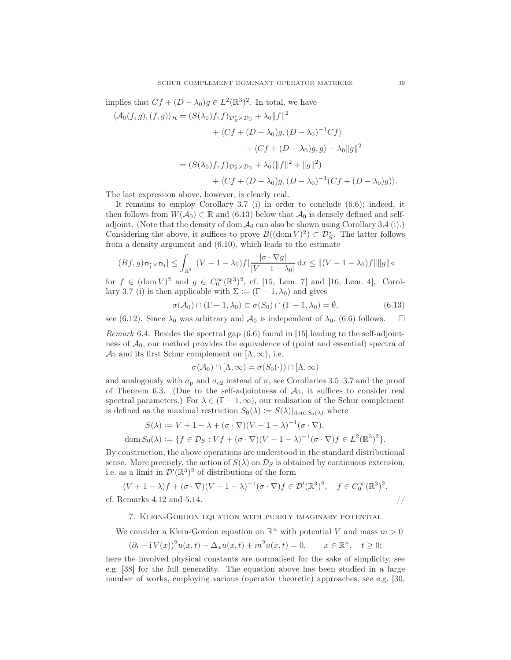implies that  $Cf + (D - \lambda_0)g \in L^2(\mathbb{R}^3)^2$ . In total, we have

$$
\langle \mathcal{A}_0(f,g), (f,g) \rangle_{\mathcal{H}} = (S(\lambda_0)f, f)_{\mathcal{D}_S^* \times \mathcal{D}_S} + \lambda_0 ||f||^2
$$
  
+ 
$$
\langle Cf + (D - \lambda_0)g, (D - \lambda_0)^{-1}Cf \rangle
$$
  
+ 
$$
\langle Cf + (D - \lambda_0)g, g \rangle + \lambda_0 ||g||^2
$$
  
= 
$$
(S(\lambda_0)f, f)_{\mathcal{D}_S^* \times \mathcal{D}_S} + \lambda_0 (||f||^2 + ||g||^2)
$$
  
+ 
$$
\langle Cf + (D - \lambda_0)g, (D - \lambda_0)^{-1}(Cf + (D - \lambda_0)g) \rangle.
$$

The last expression above, however, is clearly real.

It remains to employ Corollary 3.7 (i) in order to conclude (6.6); indeed, it then follows from  $W(\mathcal{A}_0) \subset \mathbb{R}$  and (6.13) below that  $\mathcal{A}_0$  is densely defined and selfadjoint. (Note that the density of dom  $A_0$  can also be shown using Corollary 3.4 (i).) Considering the above, it suffices to prove  $B((\text{dom } V)^2) \subset \mathcal{D}_{S}^*$ . The latter follows from a density argument and (6.10), which leads to the estimate

$$
|(Bf,g)_{\mathcal{D}_1^* \times \mathcal{D}_1}| \leq \int_{\mathbb{R}^3} |(V-1-\lambda_0)f| \frac{|\sigma \cdot \nabla g|}{|V-1-\lambda_0|} dx \leq ||(V-1-\lambda_0)f|| ||g||_S
$$

for  $f \in (\text{dom } V)^2$  and  $g \in C_0^{\infty}(\mathbb{R}^3)^2$ , cf. [15, Lem. 7] and [16, Lem. 4]. Corollary 3.7 (i) is then applicable with  $\Sigma := (\Gamma - 1, \lambda_0)$  and gives

$$
\sigma(\mathcal{A}_0) \cap (\Gamma - 1, \lambda_0) \subset \sigma(S_0) \cap (\Gamma - 1, \lambda_0) = \emptyset,
$$
\n(6.13)

see (6.12). Since  $\lambda_0$  was arbitrary and  $\mathcal{A}_0$  is independent of  $\lambda_0$ , (6.6) follows.  $\Box$ 

Remark 6.4. Besides the spectral gap (6.6) found in [15] leading to the self-adjointness of  $A_0$ , our method provides the equivalence of (point and essential) spectra of  $\mathcal{A}_0$  and its first Schur complement on [ $\Lambda, \infty$ ), i.e.

$$
\sigma(\mathcal{A}_0) \cap [\Lambda, \infty) = \sigma(S_0(\cdot)) \cap [\Lambda, \infty)
$$

and analogously with  $\sigma_{\rm p}$  and  $\sigma_{\rm e2}$  instead of  $\sigma$ , see Corollaries 3.5–3.7 and the proof of Theorem 6.3. (Due to the self-adjointness of  $A_0$ , it suffices to consider real spectral parameters.) For  $\lambda \in (\Gamma - 1, \infty)$ , our realisation of the Schur complement is defined as the maximal restriction  $S_0(\lambda) := S(\lambda)|_{\text{dom } S_0(\lambda)}$  where

$$
S(\lambda) := V + 1 - \lambda + (\sigma \cdot \nabla)(V - 1 - \lambda)^{-1}(\sigma \cdot \nabla),
$$
  
dom  $S_0(\lambda) := \{ f \in \mathcal{D}_S : V f + (\sigma \cdot \nabla)(V - 1 - \lambda)^{-1}(\sigma \cdot \nabla)f \in L^2(\mathbb{R}^3)^2 \}.$ 

By construction, the above operations are understood in the standard distributional sense. More precisely, the action of  $S(\lambda)$  on  $\mathcal{D}_S$  is obtained by continuous extension, i.e. as a limit in  $\mathcal{D}'(\mathbb{R}^3)^2$  of distributions of the form

$$
(V+1-\lambda)f+(\sigma\cdot\nabla)(V-1-\lambda)^{-1}(\sigma\cdot\nabla)f\in\mathcal{D}'(\mathbb{R}^3)^2,\quad f\in C_0^{\infty}(\mathbb{R}^3)^2,
$$
cf. Remarks 4.12 and 5.14.

## 7. Klein-Gordon equation with purely imaginary potential

We consider a Klein-Gordon equation on  $\mathbb{R}^n$  with potential V and mass  $m > 0$ 

$$
(\partial_t - \mathrm{i} V(x))^2 u(x, t) - \Delta_x u(x, t) + m^2 u(x, t) = 0, \qquad x \in \mathbb{R}^n, \quad t \ge 0;
$$

here the involved physical constants are normalised for the sake of simplicity, see e.g. [38] for the full generality. The equation above has been studied in a large number of works, employing various (operator theoretic) approaches, see e.g. [30,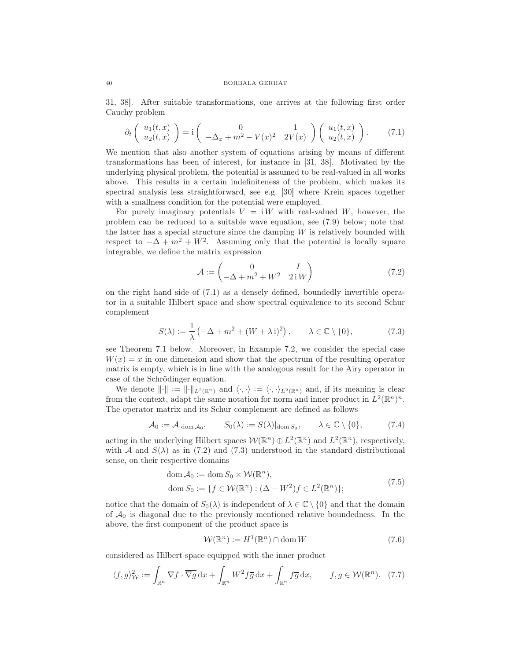31, 38]. After suitable transformations, one arrives at the following first order Cauchy problem

$$
\partial_t \left( \begin{array}{c} u_1(t,x) \\ u_2(t,x) \end{array} \right) = \mathbf{i} \left( \begin{array}{c} 0 & 1 \\ -\Delta_x + m^2 - V(x)^2 & 2V(x) \end{array} \right) \left( \begin{array}{c} u_1(t,x) \\ u_2(t,x) \end{array} \right). \tag{7.1}
$$

We mention that also another system of equations arising by means of different transformations has been of interest, for instance in [31, 38]. Motivated by the underlying physical problem, the potential is assumed to be real-valued in all works above. This results in a certain indefiniteness of the problem, which makes its spectral analysis less straightforward, see e.g. [30] where Krein spaces together with a smallness condition for the potential were employed.

For purely imaginary potentials  $V = iW$  with real-valued W, however, the problem can be reduced to a suitable wave equation, see (7.9) below; note that the latter has a special structure since the damping  $W$  is relatively bounded with respect to  $-\Delta + m^2 + W^2$ . Assuming only that the potential is locally square integrable, we define the matrix expression

$$
\mathcal{A} := \begin{pmatrix} 0 & I \\ -\Delta + m^2 + W^2 & 2iW \end{pmatrix} \tag{7.2}
$$

on the right hand side of (7.1) as a densely defined, boundedly invertible operator in a suitable Hilbert space and show spectral equivalence to its second Schur complement

$$
S(\lambda) := \frac{1}{\lambda} \left( -\Delta + m^2 + (W + \lambda i)^2 \right), \qquad \lambda \in \mathbb{C} \setminus \{0\}, \tag{7.3}
$$

see Theorem 7.1 below. Moreover, in Example 7.2, we consider the special case  $W(x) = x$  in one dimension and show that the spectrum of the resulting operator matrix is empty, which is in line with the analogous result for the Airy operator in case of the Schrödinger equation.

We denote  $\|\cdot\| := \|\cdot\|_{L^2(\mathbb{R}^n)}$  and  $\langle \cdot, \cdot \rangle := \langle \cdot, \cdot \rangle_{L^2(\mathbb{R}^n)}$  and, if its meaning is clear from the context, adapt the same notation for norm and inner product in  $L^2(\mathbb{R}^n)^n$ . The operator matrix and its Schur complement are defined as follows

$$
\mathcal{A}_0 := \mathcal{A}|_{\text{dom}\,\mathcal{A}_0}, \qquad S_0(\lambda) := S(\lambda)|_{\text{dom}\,S_0}, \qquad \lambda \in \mathbb{C} \setminus \{0\}, \tag{7.4}
$$

acting in the underlying Hilbert spaces  $W(\mathbb{R}^n) \oplus L^2(\mathbb{R}^n)$  and  $L^2(\mathbb{R}^n)$ , respectively, with A and  $S(\lambda)$  as in (7.2) and (7.3) understood in the standard distributional sense, on their respective domains

dom 
$$
\mathcal{A}_0 := \text{dom } S_0 \times \mathcal{W}(\mathbb{R}^n)
$$
,  
\n
$$
\text{dom } S_0 := \{ f \in \mathcal{W}(\mathbb{R}^n) : (\Delta - W^2)f \in L^2(\mathbb{R}^n) \};
$$
\n(7.5)

notice that the domain of  $S_0(\lambda)$  is independent of  $\lambda \in \mathbb{C} \setminus \{0\}$  and that the domain of  $\mathcal{A}_0$  is diagonal due to the previously mentioned relative boundedness. In the above, the first component of the product space is

$$
\mathcal{W}(\mathbb{R}^n) := H^1(\mathbb{R}^n) \cap \text{dom}\, W \tag{7.6}
$$

considered as Hilbert space equipped with the inner product

$$
\langle f, g \rangle_{\mathcal{W}}^2 := \int_{\mathbb{R}^n} \nabla f \cdot \overline{\nabla g} \, dx + \int_{\mathbb{R}^n} W^2 f \overline{g} \, dx + \int_{\mathbb{R}^n} f \overline{g} \, dx, \qquad f, g \in \mathcal{W}(\mathbb{R}^n). \tag{7.7}
$$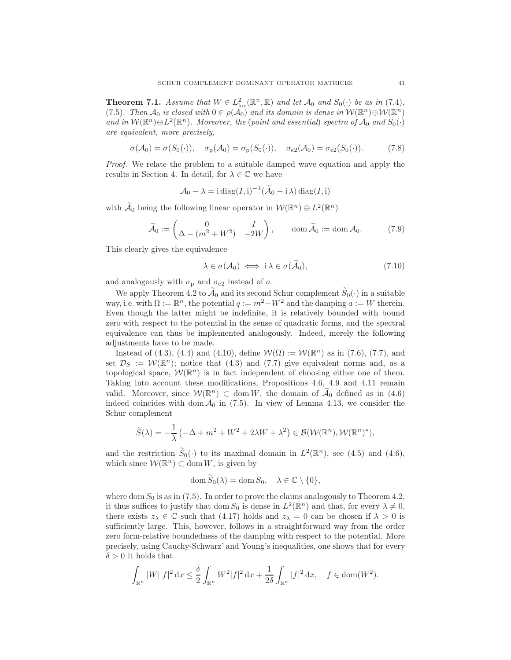**Theorem 7.1.** Assume that  $W \in L^2_{loc}(\mathbb{R}^n, \mathbb{R})$  and let  $\mathcal{A}_0$  and  $S_0(\cdot)$  be as in (7.4), (7.5). Then  $\mathcal{A}_0$  is closed with  $0 \in \rho(\mathcal{A}_0)$  and its domain is dense in  $\mathcal{W}(\mathbb{R}^n) \oplus \mathcal{W}(\mathbb{R}^n)$ and in  $W(\mathbb{R}^n) \oplus L^2(\mathbb{R}^n)$ . Moreover, the (point and essential) spectra of  $\mathcal{A}_0$  and  $S_0(\cdot)$ are equivalent, more precisely,

$$
\sigma(\mathcal{A}_0) = \sigma(S_0(\cdot)), \quad \sigma_\mathbf{p}(\mathcal{A}_0) = \sigma_\mathbf{p}(S_0(\cdot)), \quad \sigma_\mathbf{e_2}(\mathcal{A}_0) = \sigma_\mathbf{e_2}(S_0(\cdot)). \tag{7.8}
$$

Proof. We relate the problem to a suitable damped wave equation and apply the results in Section 4. In detail, for  $\lambda \in \mathbb{C}$  we have

$$
A_0 - \lambda = \mathrm{i} \operatorname{diag}(I, \mathrm{i})^{-1} (\widetilde{A}_0 - \mathrm{i} \lambda) \operatorname{diag}(I, \mathrm{i})
$$

with  $\tilde{A}_0$  being the following linear operator in  $W(\mathbb{R}^n) \oplus L^2(\mathbb{R}^n)$ 

$$
\widetilde{\mathcal{A}}_0 := \begin{pmatrix} 0 & I \\ \Delta - (m^2 + W^2) & -2W \end{pmatrix}, \qquad \text{dom}\,\widetilde{\mathcal{A}}_0 := \text{dom}\,\mathcal{A}_0. \tag{7.9}
$$

This clearly gives the equivalence

$$
\lambda \in \sigma(\mathcal{A}_0) \iff \mathrm{i}\,\lambda \in \sigma(\widetilde{\mathcal{A}}_0),\tag{7.10}
$$

and analogously with  $\sigma_{\rm p}$  and  $\sigma_{\rm e2}$  instead of  $\sigma$ .

We apply Theorem 4.2 to  $\mathcal{A}_0$  and its second Schur complement  $\widetilde{S}_0(\cdot)$  in a suitable way, i.e. with  $\Omega := \mathbb{R}^n$ , the potential  $q := m^2 + W^2$  and the damping  $a := W$  therein. Even though the latter might be indefinite, it is relatively bounded with bound zero with respect to the potential in the sense of quadratic forms, and the spectral equivalence can thus be implemented analogously. Indeed, merely the following adjustments have to be made.

Instead of (4.3), (4.4) and (4.10), define  $W(\Omega) := W(\mathbb{R}^n)$  as in (7.6), (7.7), and set  $\mathcal{D}_S := \mathcal{W}(\mathbb{R}^n)$ ; notice that (4.3) and (7.7) give equivalent norms and, as a topological space,  $W(\mathbb{R}^n)$  is in fact independent of choosing either one of them. Taking into account these modifications, Propositions 4.6, 4.9 and 4.11 remain valid. Moreover, since  $W(\mathbb{R}^n) \subset \text{dom } W$ , the domain of  $A_0$  defined as in (4.6) indeed coincides with dom  $A_0$  in (7.5). In view of Lemma 4.13, we consider the Schur complement

$$
\widetilde{S}(\lambda) = -\frac{1}{\lambda} \left( -\Delta + m^2 + W^2 + 2\lambda W + \lambda^2 \right) \in \mathcal{B}(\mathcal{W}(\mathbb{R}^n), \mathcal{W}(\mathbb{R}^n)^*),
$$

and the restriction  $\widetilde{S}_0(\cdot)$  to its maximal domain in  $L^2(\mathbb{R}^n)$ , see (4.5) and (4.6), which since  $W(\mathbb{R}^n) \subset \text{dom } W$ , is given by

$$
\operatorname{dom} S_0(\lambda) = \operatorname{dom} S_0, \quad \lambda \in \mathbb{C} \setminus \{0\},\
$$

where dom  $S_0$  is as in (7.5). In order to prove the claims analogously to Theorem 4.2, it thus suffices to justify that  $\text{dom } S_0$  is dense in  $L^2(\mathbb{R}^n)$  and that, for every  $\lambda \neq 0$ , there exists  $z_{\lambda} \in \mathbb{C}$  such that (4.17) holds and  $z_{\lambda} = 0$  can be chosen if  $\lambda > 0$  is sufficiently large. This, however, follows in a straightforward way from the order zero form-relative boundedness of the damping with respect to the potential. More precisely, using Cauchy-Schwarz' and Young's inequalities, one shows that for every  $\delta > 0$  it holds that

$$
\int_{\mathbb{R}^n} |W||f|^2 \, \mathrm{d}x \le \frac{\delta}{2} \int_{\mathbb{R}^n} W^2 |f|^2 \, \mathrm{d}x + \frac{1}{2\delta} \int_{\mathbb{R}^n} |f|^2 \, \mathrm{d}x, \quad f \in \text{dom}(W^2).
$$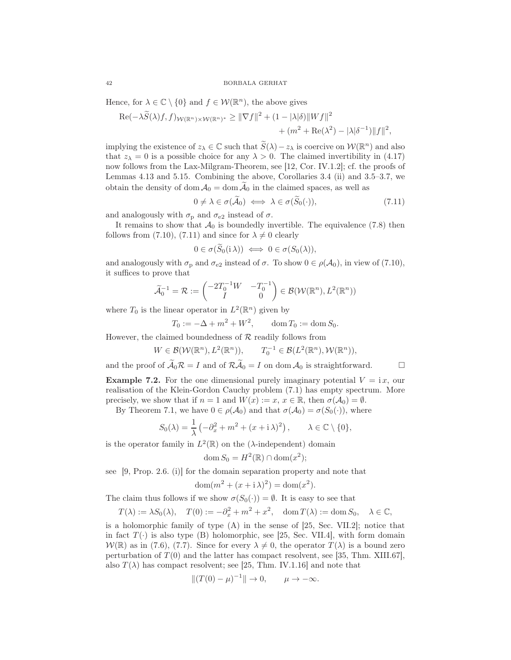Hence, for  $\lambda \in \mathbb{C} \setminus \{0\}$  and  $f \in \mathcal{W}(\mathbb{R}^n)$ , the above gives

$$
\operatorname{Re}(-\lambda \widetilde{S}(\lambda)f,f)_{\mathcal{W}(\mathbb{R}^n)\times\mathcal{W}(\mathbb{R}^n)^*} \geq \|\nabla f\|^2 + (1 - |\lambda|\delta)\|Wf\|^2
$$
  
+ 
$$
(m^2 + \operatorname{Re}(\lambda^2) - |\lambda|\delta^{-1})\|f\|^2,
$$

implying the existence of  $z_\lambda \in \mathbb{C}$  such that  $\widetilde{S}(\lambda) - z_\lambda$  is coercive on  $\mathcal{W}(\mathbb{R}^n)$  and also that  $z_{\lambda} = 0$  is a possible choice for any  $\lambda > 0$ . The claimed invertibility in (4.17) now follows from the Lax-Milgram-Theorem, see [12, Cor. IV.1.2]; cf. the proofs of Lemmas 4.13 and 5.15. Combining the above, Corollaries 3.4 (ii) and 3.5–3.7, we obtain the density of dom  $A_0 = \text{dom } \widetilde{A}_0$  in the claimed spaces, as well as

$$
0 \neq \lambda \in \sigma(\widetilde{\mathcal{A}}_0) \iff \lambda \in \sigma(\widetilde{S}_0(\cdot)), \tag{7.11}
$$

and analogously with  $\sigma_{\rm p}$  and  $\sigma_{\rm e2}$  instead of  $\sigma$ .

It remains to show that  $\mathcal{A}_0$  is boundedly invertible. The equivalence (7.8) then follows from (7.10), (7.11) and since for  $\lambda \neq 0$  clearly

$$
0 \in \sigma(S_0(i\lambda)) \iff 0 \in \sigma(S_0(\lambda)),
$$

and analogously with  $\sigma_{\rm p}$  and  $\sigma_{\rm e2}$  instead of  $\sigma$ . To show  $0 \in \rho(\mathcal{A}_0)$ , in view of (7.10), it suffices to prove that

$$
\widetilde{\mathcal{A}}_0^{-1} = \mathcal{R} := \begin{pmatrix} -2T_0^{-1}W & -T_0^{-1} \\ I & 0 \end{pmatrix} \in \mathcal{B}(\mathcal{W}(\mathbb{R}^n), L^2(\mathbb{R}^n))
$$

where  $T_0$  is the linear operator in  $L^2(\mathbb{R}^n)$  given by

$$
T_0 := -\Delta + m^2 + W^2
$$
,  $\text{dom } T_0 := \text{dom } S_0$ .

However, the claimed boundedness of  $R$  readily follows from

$$
W \in \mathcal{B}(\mathcal{W}(\mathbb{R}^n), L^2(\mathbb{R}^n)), \qquad T_0^{-1} \in \mathcal{B}(L^2(\mathbb{R}^n), \mathcal{W}(\mathbb{R}^n)),
$$

and the proof of  $\widetilde{\mathcal{A}}_0 \mathcal{R} = I$  and of  $\mathcal{R} \widetilde{\mathcal{A}}_0 = I$  on dom  $\mathcal{A}_0$  is straightforward.

**Example 7.2.** For the one dimensional purely imaginary potential  $V = i x$ , our realisation of the Klein-Gordon Cauchy problem (7.1) has empty spectrum. More precisely, we show that if  $n = 1$  and  $W(x) := x, x \in \mathbb{R}$ , then  $\sigma(\mathcal{A}_0) = \emptyset$ .

By Theorem 7.1, we have  $0 \in \rho(\mathcal{A}_0)$  and that  $\sigma(\mathcal{A}_0) = \sigma(S_0(\cdot))$ , where

$$
S_0(\lambda) = \frac{1}{\lambda} \left( -\partial_x^2 + m^2 + (x + \mathrm{i} \lambda)^2 \right), \qquad \lambda \in \mathbb{C} \setminus \{0\},\
$$

is the operator family in  $L^2(\mathbb{R})$  on the ( $\lambda$ -independent) domain

$$
\operatorname{dom} S_0 = H^2(\mathbb{R}) \cap \operatorname{dom}(x^2);
$$

see [9, Prop. 2.6. (i)] for the domain separation property and note that

$$
\operatorname{dom}(m^2 + (x + \mathrm{i}\,\lambda)^2) = \operatorname{dom}(x^2).
$$

The claim thus follows if we show  $\sigma(S_0(\cdot)) = \emptyset$ . It is easy to see that

$$
T(\lambda) := \lambda S_0(\lambda), \quad T(0) := -\partial_x^2 + m^2 + x^2, \quad \text{dom}\, T(\lambda) := \text{dom}\, S_0, \quad \lambda \in \mathbb{C},
$$

is a holomorphic family of type  $(A)$  in the sense of [25, Sec. VII.2]; notice that in fact  $T(\cdot)$  is also type (B) holomorphic, see [25, Sec. VII.4], with form domain  $W(\mathbb{R})$  as in (7.6), (7.7). Since for every  $\lambda \neq 0$ , the operator  $T(\lambda)$  is a bound zero perturbation of  $T(0)$  and the latter has compact resolvent, see [35, Thm. XIII.67], also  $T(\lambda)$  has compact resolvent; see [25, Thm. IV.1.16] and note that

$$
||(T(0) - \mu)^{-1}|| \to 0, \qquad \mu \to -\infty.
$$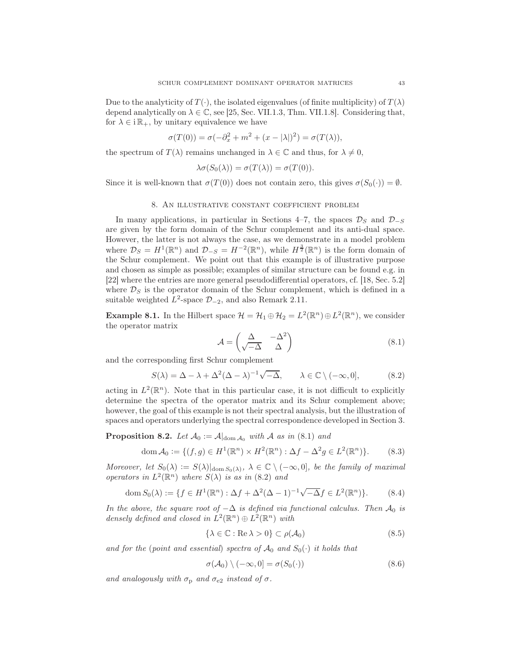Due to the analyticity of  $T(\cdot)$ , the isolated eigenvalues (of finite multiplicity) of  $T(\lambda)$ depend analytically on  $\lambda \in \mathbb{C}$ , see [25, Sec. VII.1.3, Thm. VII.1.8]. Considering that, for  $\lambda \in i\mathbb{R}_+$ , by unitary equivalence we have

$$
\sigma(T(0)) = \sigma(-\partial_x^2 + m^2 + (x - |\lambda|)^2) = \sigma(T(\lambda)),
$$

the spectrum of  $T(\lambda)$  remains unchanged in  $\lambda \in \mathbb{C}$  and thus, for  $\lambda \neq 0$ ,

$$
\lambda \sigma(S_0(\lambda)) = \sigma(T(\lambda)) = \sigma(T(0)).
$$

Since it is well-known that  $\sigma(T(0))$  does not contain zero, this gives  $\sigma(S_0(\cdot)) = \emptyset$ .

## 8. An illustrative constant coefficient problem

In many applications, in particular in Sections 4–7, the spaces  $\mathcal{D}_S$  and  $\mathcal{D}_{-S}$ are given by the form domain of the Schur complement and its anti-dual space. However, the latter is not always the case, as we demonstrate in a model problem where  $\mathcal{D}_S = H^1(\mathbb{R}^n)$  and  $\mathcal{D}_{-S} = H^{-2}(\mathbb{R}^n)$ , while  $H^{\frac{3}{2}}(\mathbb{R}^n)$  is the form domain of the Schur complement. We point out that this example is of illustrative purpose and chosen as simple as possible; examples of similar structure can be found e.g. in [22] where the entries are more general pseudodifferential operators, cf. [18, Sec. 5.2] where  $\mathcal{D}_S$  is the operator domain of the Schur complement, which is defined in a suitable weighted  $L^2$ -space  $\mathcal{D}_{-2}$ , and also Remark 2.11.

**Example 8.1.** In the Hilbert space  $\mathcal{H} = \mathcal{H}_1 \oplus \mathcal{H}_2 = L^2(\mathbb{R}^n) \oplus L^2(\mathbb{R}^n)$ , we consider the operator matrix

$$
\mathcal{A} = \begin{pmatrix} \Delta & -\Delta^2 \\ \sqrt{-\Delta} & \Delta \end{pmatrix} \tag{8.1}
$$

and the corresponding first Schur complement

$$
S(\lambda) = \Delta - \lambda + \Delta^2 (\Delta - \lambda)^{-1} \sqrt{-\Delta}, \qquad \lambda \in \mathbb{C} \setminus (-\infty, 0],
$$
 (8.2)

acting in  $L^2(\mathbb{R}^n)$ . Note that in this particular case, it is not difficult to explicitly determine the spectra of the operator matrix and its Schur complement above; however, the goal of this example is not their spectral analysis, but the illustration of spaces and operators underlying the spectral correspondence developed in Section 3.

**Proposition 8.2.** Let  $\mathcal{A}_0 := \mathcal{A}|_{\text{dom }\mathcal{A}_0}$  with  $\mathcal{A}$  as in (8.1) and

$$
\operatorname{dom} \mathcal{A}_0 := \{ (f, g) \in H^1(\mathbb{R}^n) \times H^2(\mathbb{R}^n) : \Delta f - \Delta^2 g \in L^2(\mathbb{R}^n) \}. \tag{8.3}
$$

Moreover, let  $S_0(\lambda) := S(\lambda)|_{\text{dom }S_0(\lambda)}, \lambda \in \mathbb{C} \setminus (-\infty, 0],$  be the family of maximal operators in  $L^2(\mathbb{R}^n)$  where  $S(\lambda)$  is as in (8.2) and

dom 
$$
S_0(\lambda) := \{ f \in H^1(\mathbb{R}^n) : \Delta f + \Delta^2 (\Delta - 1)^{-1} \sqrt{-\Delta} f \in L^2(\mathbb{R}^n) \}.
$$
 (8.4)

In the above, the square root of  $-\Delta$  is defined via functional calculus. Then  $\mathcal{A}_0$  is densely defined and closed in  $L^2(\mathbb{R}^n) \oplus L^2(\mathbb{R}^n)$  with

$$
\{\lambda \in \mathbb{C} : \text{Re}\,\lambda > 0\} \subset \rho(\mathcal{A}_0) \tag{8.5}
$$

and for the (point and essential) spectra of  $\mathcal{A}_0$  and  $S_0(\cdot)$  it holds that

$$
\sigma(\mathcal{A}_0) \setminus (-\infty, 0] = \sigma(S_0(\cdot)) \tag{8.6}
$$

and analogously with  $\sigma_{\rm p}$  and  $\sigma_{\rm e2}$  instead of  $\sigma$ .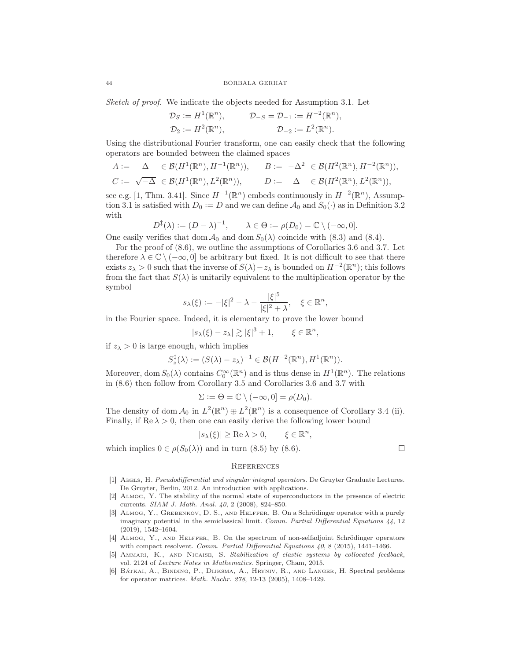Sketch of proof. We indicate the objects needed for Assumption 3.1. Let

$$
\mathcal{D}_S := H^1(\mathbb{R}^n), \qquad \mathcal{D}_{-S} = \mathcal{D}_{-1} := H^{-2}(\mathbb{R}^n),
$$
  

$$
\mathcal{D}_2 := H^2(\mathbb{R}^n), \qquad \mathcal{D}_{-2} := L^2(\mathbb{R}^n).
$$

Using the distributional Fourier transform, one can easily check that the following operators are bounded between the claimed spaces

$$
A := \Delta \in \mathcal{B}(H^1(\mathbb{R}^n), H^{-1}(\mathbb{R}^n)), \qquad B := -\Delta^2 \in \mathcal{B}(H^2(\mathbb{R}^n), H^{-2}(\mathbb{R}^n)),
$$
  

$$
C := \sqrt{-\Delta} \in \mathcal{B}(H^1(\mathbb{R}^n), L^2(\mathbb{R}^n)), \qquad D := \Delta \in \mathcal{B}(H^2(\mathbb{R}^n), L^2(\mathbb{R}^n)),
$$

see e.g. [1, Thm. 3.41]. Since  $H^{-1}(\mathbb{R}^n)$  embeds continuously in  $H^{-2}(\mathbb{R}^n)$ , Assumption 3.1 is satisfied with  $D_0 := D$  and we can define  $\mathcal{A}_0$  and  $S_0(\cdot)$  as in Definition 3.2 with

$$
D^{\ddagger}(\lambda) := (D - \lambda)^{-1}, \qquad \lambda \in \Theta := \rho(D_0) = \mathbb{C} \setminus (-\infty, 0].
$$

One easily verifies that dom  $\mathcal{A}_0$  and dom  $S_0(\lambda)$  coincide with (8.3) and (8.4).

For the proof of (8.6), we outline the assumptions of Corollaries 3.6 and 3.7. Let therefore  $\lambda \in \mathbb{C} \setminus (-\infty, 0]$  be arbitrary but fixed. It is not difficult to see that there exists  $z_{\lambda} > 0$  such that the inverse of  $S(\lambda) - z_{\lambda}$  is bounded on  $H^{-2}(\mathbb{R}^n)$ ; this follows from the fact that  $S(\lambda)$  is unitarily equivalent to the multiplication operator by the symbol

$$
s_{\lambda}(\xi) := -|\xi|^2 - \lambda - \frac{|\xi|^5}{|\xi|^2 + \lambda}, \quad \xi \in \mathbb{R}^n,
$$

in the Fourier space. Indeed, it is elementary to prove the lower bound

$$
|s_{\lambda}(\xi)-z_{\lambda}|\gtrsim |\xi|^3+1, \qquad \xi\in\mathbb{R}^n,
$$

if  $z_{\lambda} > 0$  is large enough, which implies

$$
S_z^{\ddagger}(\lambda) := (S(\lambda) - z_{\lambda})^{-1} \in \mathcal{B}(H^{-2}(\mathbb{R}^n), H^1(\mathbb{R}^n)).
$$

Moreover, dom  $S_0(\lambda)$  contains  $C_0^{\infty}(\mathbb{R}^n)$  and is thus dense in  $H^1(\mathbb{R}^n)$ . The relations in (8.6) then follow from Corollary 3.5 and Corollaries 3.6 and 3.7 with

$$
\Sigma := \Theta = \mathbb{C} \setminus (-\infty, 0] = \rho(D_0).
$$

The density of dom  $\mathcal{A}_0$  in  $L^2(\mathbb{R}^n) \oplus L^2(\mathbb{R}^n)$  is a consequence of Corollary 3.4 (ii). Finally, if  $\text{Re }\lambda > 0$ , then one can easily derive the following lower bound

$$
|s_{\lambda}(\xi)| \ge \text{Re}\,\lambda > 0, \qquad \xi \in \mathbb{R}^n,
$$

which implies  $0 \in \rho(S_0(\lambda))$  and in turn (8.5) by (8.6).

## **REFERENCES**

- [1] ABELS, H. Pseudodifferential and singular integral operators. De Gruyter Graduate Lectures. De Gruyter, Berlin, 2012. An introduction with applications.
- [2] Almog, Y. The stability of the normal state of superconductors in the presence of electric currents. SIAM J. Math. Anal. 40, 2 (2008), 824–850.
- [3] Almog, Y., Grebenkov, D. S., and Helffer, B. On a Schrödinger operator with a purely imaginary potential in the semiclassical limit. Comm. Partial Differential Equations 44, 12 (2019), 1542–1604.
- [4] Almog, Y., and Helffer, B. On the spectrum of non-selfadjoint Schrödinger operators with compact resolvent. Comm. Partial Differential Equations  $40, 8$  (2015), 1441–1466.
- [5] Ammari, K., and Nicaise, S. Stabilization of elastic systems by collocated feedback, vol. 2124 of Lecture Notes in Mathematics. Springer, Cham, 2015.
- [6] Bátkai, A., Binding, P., Dijksma, A., Hryniv, R., and Langer, H. Spectral problems for operator matrices. Math. Nachr. 278, 12-13 (2005), 1408–1429.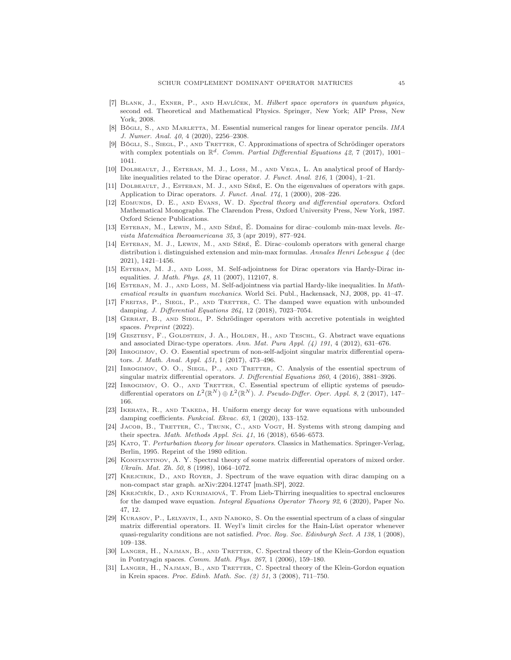- [7] Blank, J., Exner, P., and Havlíček, M. Hilbert space operators in quantum physics, second ed. Theoretical and Mathematical Physics. Springer, New York; AIP Press, New York, 2008.
- [8] Bögli, S., AND MARLETTA, M. Essential numerical ranges for linear operator pencils. IMA J. Numer. Anal. 40, 4 (2020), 2256–2308.
- [9] Bögli, S., Siegl, P., AND TRETTER, C. Approximations of spectra of Schrödinger operators with complex potentials on  $\mathbb{R}^d$ . Comm. Partial Differential Equations 42, 7 (2017), 1001– 1041.
- [10] DOLBEAULT, J., ESTEBAN, M. J., LOSS, M., AND VEGA, L. An analytical proof of Hardylike inequalities related to the Dirac operator. J. Funct. Anal. 216, 1 (2004), 1-21.
- [11] DOLBEAULT, J., ESTEBAN, M. J., AND SÉRÉ, E. On the eigenvalues of operators with gaps. Application to Dirac operators. J. Funct. Anal. 174, 1 (2000), 208–226.
- [12] EDMUNDS, D. E., AND EVANS, W. D. Spectral theory and differential operators. Oxford Mathematical Monographs. The Clarendon Press, Oxford University Press, New York, 1987. Oxford Science Publications.
- [13] Esteban, M., Lewin, M., and Séré, É. Domains for dirac–coulomb min-max levels. Revista Matemática Iberoamericana 35, 3 (apr 2019), 877–924.
- [14] Esteban, M. J., Lewin, M., and Séré, É. Dirac–coulomb operators with general charge distribution i. distinguished extension and min-max formulas. Annales Henri Lebesgue 4 (dec 2021), 1421–1456.
- [15] Esteban, M. J., and Loss, M. Self-adjointness for Dirac operators via Hardy-Dirac inequalities. J. Math. Phys. 48, 11 (2007), 112107, 8.
- [16] Esteban, M. J., and Loss, M. Self-adjointness via partial Hardy-like inequalities. In Mathematical results in quantum mechanics. World Sci. Publ., Hackensack, NJ, 2008, pp. 41–47.
- [17] Freitas, P., Siegl, P., and Tretter, C. The damped wave equation with unbounded damping. J. Differential Equations 264, 12 (2018), 7023–7054.
- [18] Gerhat, B., and Siegl, P. Schrödinger operators with accretive potentials in weighted spaces. Preprint (2022).
- [19] GESZTESY, F., GOLDSTEIN, J. A., HOLDEN, H., AND TESCHL, G. Abstract wave equations and associated Dirac-type operators. Ann. Mat. Pura Appl.  $(4)$  191, 4 (2012), 631–676.
- [20] Ibrogimov, O. O. Essential spectrum of non-self-adjoint singular matrix differential operators. J. Math. Anal. Appl. 451, 1 (2017), 473–496.
- [21] Ibrogimov, O. O., SIEGL, P., AND TRETTER, C. Analysis of the essential spectrum of singular matrix differential operators. J. Differential Equations 260, 4 (2016), 3881–3926.
- [22] Ibrogimov, O. O., AND TRETTER, C. Essential spectrum of elliptic systems of pseudodifferential operators on  $L^2(\mathbb{R}^N) \oplus L^2(\mathbb{R}^N)$ . J. Pseudo-Differ. Oper. Appl. 8, 2 (2017), 147– 166.
- [23] IKEHATA, R., AND TAKEDA, H. Uniform energy decay for wave equations with unbounded damping coefficients. Funkcial. Ekvac. 63, 1 (2020), 133–152.
- JACOB, B., TRETTER, C., TRUNK, C., AND VOGT, H. Systems with strong damping and their spectra. Math. Methods Appl. Sci. 41, 16 (2018), 6546–6573.
- [25] Kato, T. Perturbation theory for linear operators. Classics in Mathematics. Springer-Verlag, Berlin, 1995. Reprint of the 1980 edition.
- [26] Konstantinov, A. Y. Spectral theory of some matrix differential operators of mixed order. Ukraïn. Mat. Zh. 50, 8 (1998), 1064–1072.
- [27] Krejcirik, D., and Royer, J. Spectrum of the wave equation with dirac damping on a non-compact star graph. arXiv:2204.12747 [math.SP], 2022.
- [28] Krejčiřík, D., and Kurimaiová, T. From Lieb-Thirring inequalities to spectral enclosures for the damped wave equation. Integral Equations Operator Theory 92, 6 (2020), Paper No. 47, 12.
- [29] KURASOV, P., LELYAVIN, I., AND NABOKO, S. On the essential spectrum of a class of singular matrix differential operators. II. Weyl's limit circles for the Hain-Lüst operator whenever quasi-regularity conditions are not satisfied. Proc. Roy. Soc. Edinburgh Sect. A 138, 1 (2008), 109–138.
- [30] LANGER, H., NAJMAN, B., AND TRETTER, C. Spectral theory of the Klein-Gordon equation in Pontryagin spaces. Comm. Math. Phys. 267, 1 (2006), 159–180.
- [31] LANGER, H., NAJMAN, B., AND TRETTER, C. Spectral theory of the Klein-Gordon equation in Krein spaces. Proc. Edinb. Math. Soc. (2) 51, 3 (2008), 711–750.